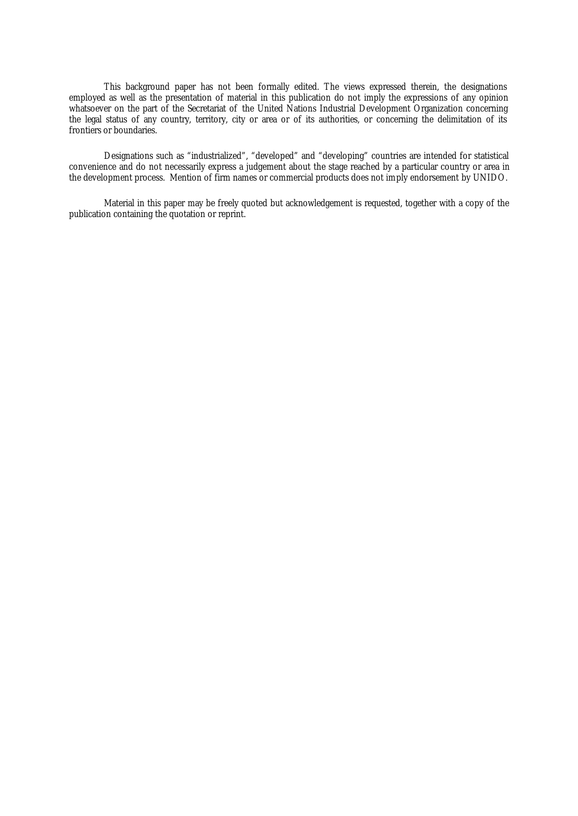This background paper has not been formally edited. The views expressed therein, the designations employed as well as the presentation of material in this publication do not imply the expressions of any opinion whatsoever on the part of the Secretariat of the United Nations Industrial Development Organization concerning the legal status of any country, territory, city or area or of its authorities, or concerning the delimitation of its frontiers or boundaries.

Designations such as "industrialized", "developed" and "developing" countries are intended for statistical convenience and do not necessarily express a judgement about the stage reached by a particular country or area in the development process. Mention of firm names or commercial products does not imply endorsement by UNIDO.

Material in this paper may be freely quoted but acknowledgement is requested, together with a copy of the publication containing the quotation or reprint.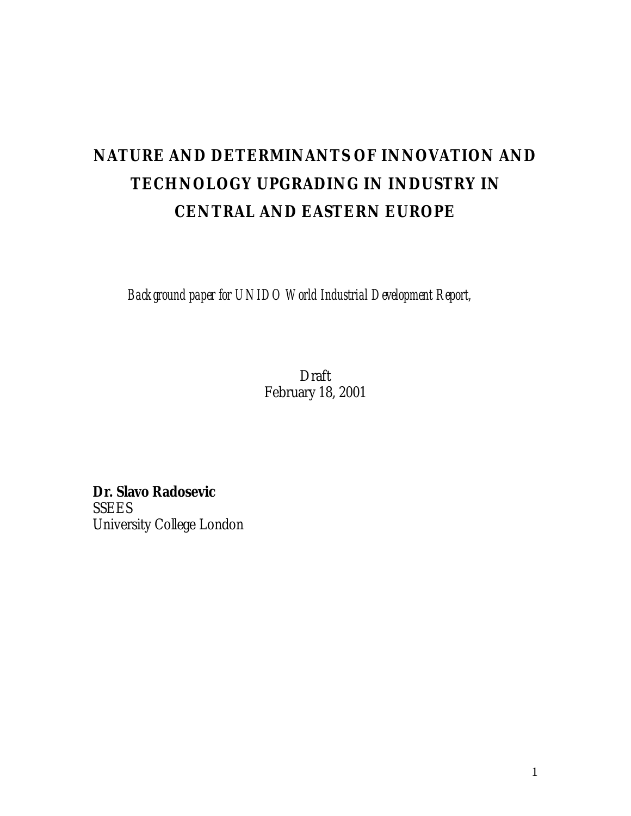# **NATURE AND DETERMINANTS OF INNOVATION AND TECHNOLOGY UPGRADING IN INDUSTRY IN CENTRAL AND EASTERN EUROPE**

*Background paper for UNIDO World Industrial Development Report, 2000*

Draft February 18, 2001

**Dr. Slavo Radosevic SSEES** University College London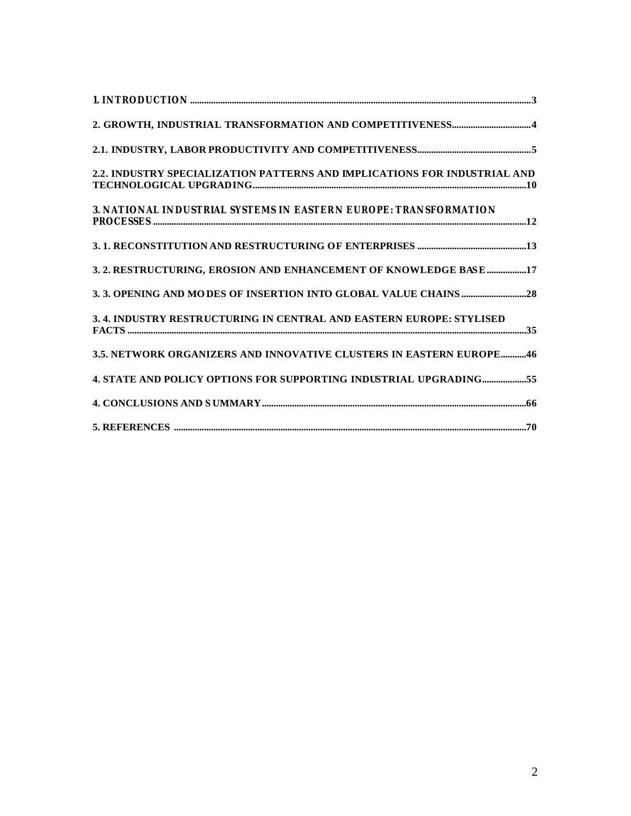| 2.2. INDUSTRY SPECIALIZATION PATTERNS AND IMPLICATIONS FOR INDUSTRIAL AND |
|---------------------------------------------------------------------------|
| 3. NATIONAL INDUSTRIAL SYSTEMS IN EASTERN EUROPE: TRANSFORMATION          |
|                                                                           |
| 3.2. RESTRUCTURING, EROSION AND ENHANCEMENT OF KNOWLEDGE BASE 17          |
|                                                                           |
| 3.4. INDUSTRY RESTRUCTURING IN CENTRAL AND EASTERN EUROPE: STYLISED       |
| 3.5. NETWORK ORGANIZERS AND INNOVATIVE CLUSTERS IN EASTERN EUROPE46       |
| 4. STATE AND POLICY OPTIONS FOR SUPPORTING INDUSTRIAL UPGRADING55         |
|                                                                           |
|                                                                           |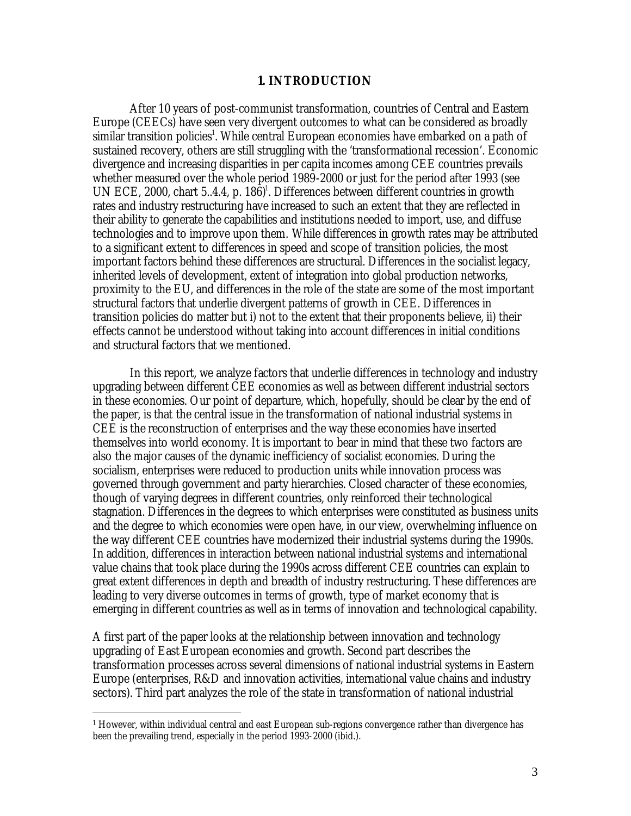### **1. INTRODUCTION**

After 10 years of post-communist transformation, countries of Central and Eastern Europe (CEECs) have seen very divergent outcomes to what can be considered as broadly similar transition policies<sup>1</sup>. While central European economies have embarked on a path of sustained recovery, others are still struggling with the 'transformational recession'. Economic divergence and increasing disparities in per capita incomes among CEE countries prevails whether measured over the whole period 1989-2000 or just for the period after 1993 (see UN ECE, 2000, chart 5..4.4, p.  $186$ <sup> $1$ </sup>. Differences between different countries in growth rates and industry restructuring have increased to such an extent that they are reflected in their ability to generate the capabilities and institutions needed to import, use, and diffuse technologies and to improve upon them. While differences in growth rates may be attributed to a significant extent to differences in speed and scope of transition policies, the most important factors behind these differences are structural. Differences in the socialist legacy, inherited levels of development, extent of integration into global production networks, proximity to the EU, and differences in the role of the state are some of the most important structural factors that underlie divergent patterns of growth in CEE. Differences in transition policies do matter but i) not to the extent that their proponents believe, ii) their effects cannot be understood without taking into account differences in initial conditions and structural factors that we mentioned.

In this report, we analyze factors that underlie differences in technology and industry upgrading between different CEE economies as well as between different industrial sectors in these economies. Our point of departure, which, hopefully, should be clear by the end of the paper, is that the central issue in the transformation of national industrial systems in CEE is the reconstruction of enterprises and the way these economies have inserted themselves into world economy. It is important to bear in mind that these two factors are also the major causes of the dynamic inefficiency of socialist economies. During the socialism, enterprises were reduced to production units while innovation process was governed through government and party hierarchies. Closed character of these economies, though of varying degrees in different countries, only reinforced their technological stagnation. Differences in the degrees to which enterprises were constituted as business units and the degree to which economies were open have, in our view, overwhelming influence on the way different CEE countries have modernized their industrial systems during the 1990s. In addition, differences in interaction between national industrial systems and international value chains that took place during the 1990s across different CEE countries can explain to great extent differences in depth and breadth of industry restructuring. These differences are leading to very diverse outcomes in terms of growth, type of market economy that is emerging in different countries as well as in terms of innovation and technological capability.

A first part of the paper looks at the relationship between innovation and technology upgrading of East European economies and growth. Second part describes the transformation processes across several dimensions of national industrial systems in Eastern Europe (enterprises, R&D and innovation activities, international value chains and industry sectors). Third part analyzes the role of the state in transformation of national industrial

<sup>1</sup> However, within individual central and east European sub-regions convergence rather than divergence has been the prevailing trend, especially in the period 1993-2000 (ibid.).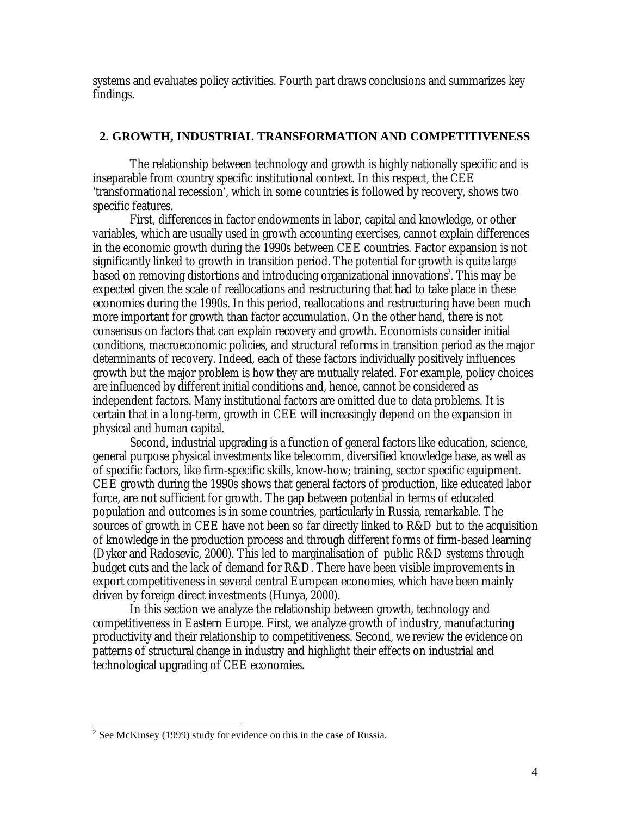systems and evaluates policy activities. Fourth part draws conclusions and summarizes key findings.

## **2. GROWTH, INDUSTRIAL TRANSFORMATION AND COMPETITIVENESS**

The relationship between technology and growth is highly nationally specific and is inseparable from country specific institutional context. In this respect, the CEE 'transformational recession', which in some countries is followed by recovery, shows two specific features.

First, differences in factor endowments in labor, capital and knowledge, or other variables, which are usually used in growth accounting exercises, cannot explain differences in the economic growth during the 1990s between CEE countries. Factor expansion is not significantly linked to growth in transition period. The potential for growth is quite large based on removing distortions and introducing organizational innovations<sup>2</sup>. This may be expected given the scale of reallocations and restructuring that had to take place in these economies during the 1990s. In this period, reallocations and restructuring have been much more important for growth than factor accumulation. On the other hand, there is not consensus on factors that can explain recovery and growth. Economists consider initial conditions, macroeconomic policies, and structural reforms in transition period as the major determinants of recovery. Indeed, each of these factors individually positively influences growth but the major problem is how they are mutually related. For example, policy choices are influenced by different initial conditions and, hence, cannot be considered as independent factors. Many institutional factors are omitted due to data problems. It is certain that in a long-term, growth in CEE will increasingly depend on the expansion in physical and human capital.

Second, industrial upgrading is a function of general factors like education, science, general purpose physical investments like telecomm, diversified knowledge base, as well as of specific factors, like firm-specific skills, know-how; training, sector specific equipment. CEE growth during the 1990s shows that general factors of production, like educated labor force, are not sufficient for growth. The gap between potential in terms of educated population and outcomes is in some countries, particularly in Russia, remarkable. The sources of growth in CEE have not been so far directly linked to R&D but to the acquisition of knowledge in the production process and through different forms of firm-based learning (Dyker and Radosevic, 2000). This led to marginalisation of public R&D systems through budget cuts and the lack of demand for R&D. There have been visible improvements in export competitiveness in several central European economies, which have been mainly driven by foreign direct investments (Hunya, 2000).

In this section we analyze the relationship between growth, technology and competitiveness in Eastern Europe. First, we analyze growth of industry, manufacturing productivity and their relationship to competitiveness. Second, we review the evidence on patterns of structural change in industry and highlight their effects on industrial and technological upgrading of CEE economies.

 $2^2$  See McKinsey (1999) study for evidence on this in the case of Russia.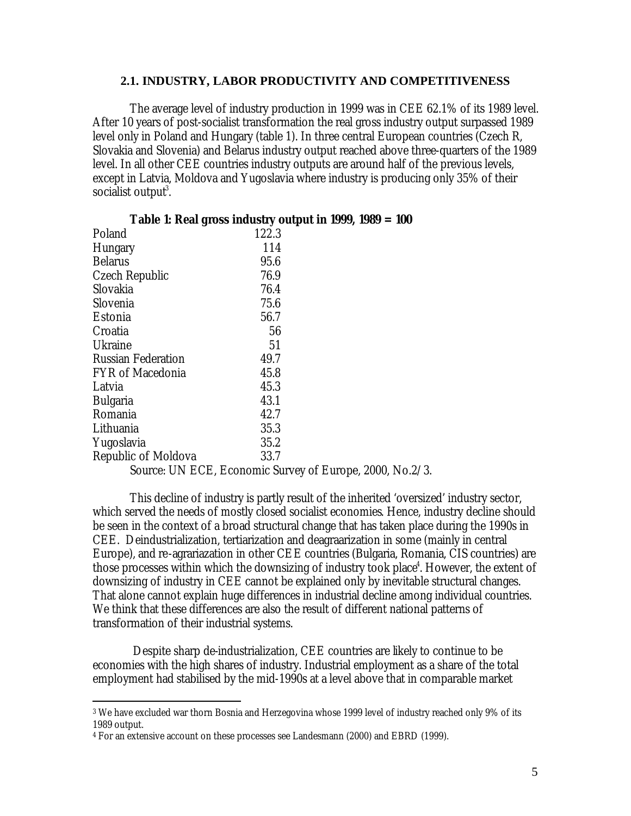## **2.1. INDUSTRY, LABOR PRODUCTIVITY AND COMPETITIVENESS**

The average level of industry production in 1999 was in CEE 62.1% of its 1989 level. After 10 years of post-socialist transformation the real gross industry output surpassed 1989 level only in Poland and Hungary (table 1). In three central European countries (Czech R, Slovakia and Slovenia) and Belarus industry output reached above three-quarters of the 1989 level. In all other CEE countries industry outputs are around half of the previous levels, except in Latvia, Moldova and Yugoslavia where industry is producing only 35% of their socialist output $^3$ .

| rabic r. ivcar gross muustry vulput in 1999, r. |       |  |
|-------------------------------------------------|-------|--|
| Poland                                          | 122.3 |  |
| <b>Hungary</b>                                  | 114   |  |
| <b>Belarus</b>                                  | 95.6  |  |
| <b>Czech Republic</b>                           | 76.9  |  |
| Slovakia                                        | 76.4  |  |
| Slovenia                                        | 75.6  |  |
| Estonia                                         | 56.7  |  |
| Croatia                                         | 56    |  |
| Ukraine                                         | 51    |  |
| <b>Russian Federation</b>                       | 49.7  |  |
| <b>FYR</b> of Macedonia                         | 45.8  |  |
| Latvia                                          | 45.3  |  |
| <b>Bulgaria</b>                                 | 43.1  |  |
| Romania                                         | 42.7  |  |
| Lithuania                                       | 35.3  |  |
| Yugoslavia                                      | 35.2  |  |
| Republic of Moldova                             | 33.7  |  |
|                                                 |       |  |

## **Table 1: Real gross industry output in 1999, 1989 = 100**

Source: UN ECE, Economic Survey of Europe, 2000, No.2/3.

This decline of industry is partly result of the inherited 'oversized' industry sector, which served the needs of mostly closed socialist economies. Hence, industry decline should be seen in the context of a broad structural change that has taken place during the 1990s in CEE. Deindustrialization, tertiarization and deagraarization in some (mainly in central Europe), and re-agrariazation in other CEE countries (Bulgaria, Romania, CIS countries) are those processes within which the downsizing of industry took place<sup>4</sup>. However, the extent of downsizing of industry in CEE cannot be explained only by inevitable structural changes. That alone cannot explain huge differences in industrial decline among individual countries. We think that these differences are also the result of different national patterns of transformation of their industrial systems.

 Despite sharp de-industrialization, CEE countries are likely to continue to be economies with the high shares of industry. Industrial employment as a share of the total employment had stabilised by the mid-1990s at a level above that in comparable market

<sup>3</sup> We have excluded war thorn Bosnia and Herzegovina whose 1999 level of industry reached only 9% of its 1989 output.

<sup>4</sup> For an extensive account on these processes see Landesmann (2000) and EBRD (1999).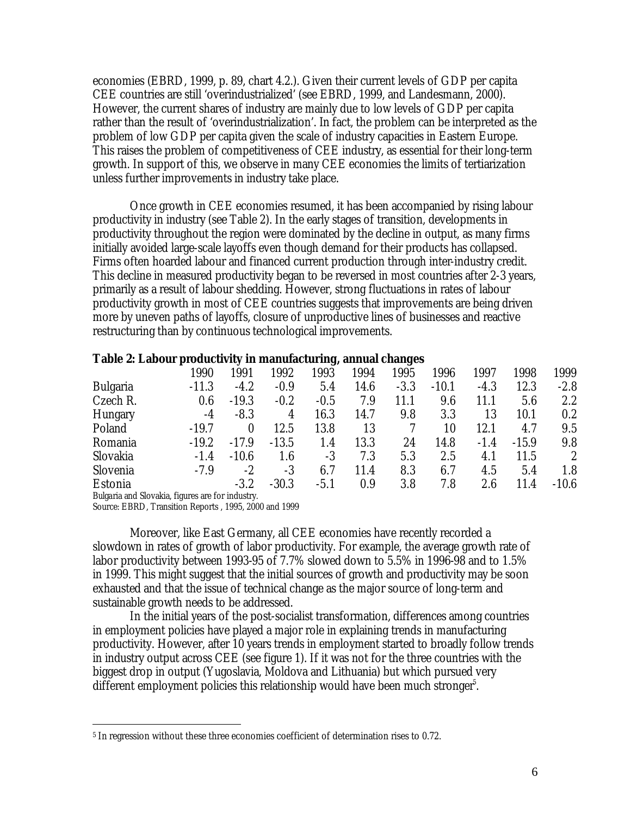economies (EBRD, 1999, p. 89, chart 4.2.). Given their current levels of GDP per capita CEE countries are still 'overindustrialized' (see EBRD, 1999, and Landesmann, 2000). However, the current shares of industry are mainly due to low levels of GDP per capita rather than the result of 'overindustrialization'. In fact, the problem can be interpreted as the problem of low GDP per capita given the scale of industry capacities in Eastern Europe. This raises the problem of competitiveness of CEE industry, as essential for their long-term growth. In support of this, we observe in many CEE economies the limits of tertiarization unless further improvements in industry take place.

Once growth in CEE economies resumed, it has been accompanied by rising labour productivity in industry (see Table 2). In the early stages of transition, developments in productivity throughout the region were dominated by the decline in output, as many firms initially avoided large-scale layoffs even though demand for their products has collapsed. Firms often hoarded labour and financed current production through inter-industry credit. This decline in measured productivity began to be reversed in most countries after 2-3 years, primarily as a result of labour shedding. However, strong fluctuations in rates of labour productivity growth in most of CEE countries suggests that improvements are being driven more by uneven paths of layoffs, closure of unproductive lines of businesses and reactive restructuring than by continuous technological improvements.

|         |         |         |        |      | Table 2: Labour productivity in manufacturing, annual changes |         |        |         |                |
|---------|---------|---------|--------|------|---------------------------------------------------------------|---------|--------|---------|----------------|
| 1990    | 1991    | 1992    | 1993   | 1994 | 1995                                                          | 1996    | 1997   | 1998    | 1999           |
| $-11.3$ | $-4.2$  | $-0.9$  | 5.4    | 14.6 | $-3.3$                                                        | $-10.1$ | $-4.3$ | 12.3    | $-2.8$         |
| 0.6     | $-19.3$ | $-0.2$  | $-0.5$ | 7.9  | 11.1                                                          | 9.6     | 11.1   | 5.6     | 2.2            |
| $-4$    | $-8.3$  | 4       | 16.3   | 14.7 | 9.8                                                           | 3.3     | 13     | 10.1    | 0.2            |
| $-19.7$ | 0       | 12.5    | 13.8   | 13   |                                                               | 10      | 12.1   | 4.7     | 9.5            |
| $-19.2$ | $-17.9$ | $-13.5$ | 1.4    | 13.3 | 24                                                            | 14.8    | $-1.4$ | $-15.9$ | 9.8            |
| $-1.4$  | $-10.6$ | 1.6     | $-3$   | 7.3  | 5.3                                                           | 2.5     | 4.1    | 11.5    | $\overline{2}$ |
| $-7.9$  | $-2$    | $-3$    | 6.7    | 11.4 | 8.3                                                           | 6.7     | 4.5    | 5.4     | 1.8            |
|         | $-3.2$  | $-30.3$ | $-5.1$ | 0.9  | 3.8                                                           | 7.8     | 2.6    | 11.4    | $-10.6$        |
|         |         |         |        |      |                                                               |         |        |         |                |

## **Table 2: Labour productivity in manufacturing, annual changes**

Bulgaria and Slovakia, figures are for industry.

 $\overline{a}$ 

Source: EBRD, Transition Reports , 1995, 2000 and 1999

Moreover, like East Germany, all CEE economies have recently recorded a slowdown in rates of growth of labor productivity. For example, the average growth rate of labor productivity between 1993-95 of 7.7% slowed down to 5.5% in 1996-98 and to 1.5% in 1999. This might suggest that the initial sources of growth and productivity may be soon exhausted and that the issue of technical change as the major source of long-term and sustainable growth needs to be addressed.

In the initial years of the post-socialist transformation, differences among countries in employment policies have played a major role in explaining trends in manufacturing productivity. However, after 10 years trends in employment started to broadly follow trends in industry output across CEE (see figure 1). If it was not for the three countries with the biggest drop in output (Yugoslavia, Moldova and Lithuania) but which pursued very different employment policies this relationship would have been much stronger $5$ .

<sup>5</sup> In regression without these three economies coefficient of determination rises to 0.72.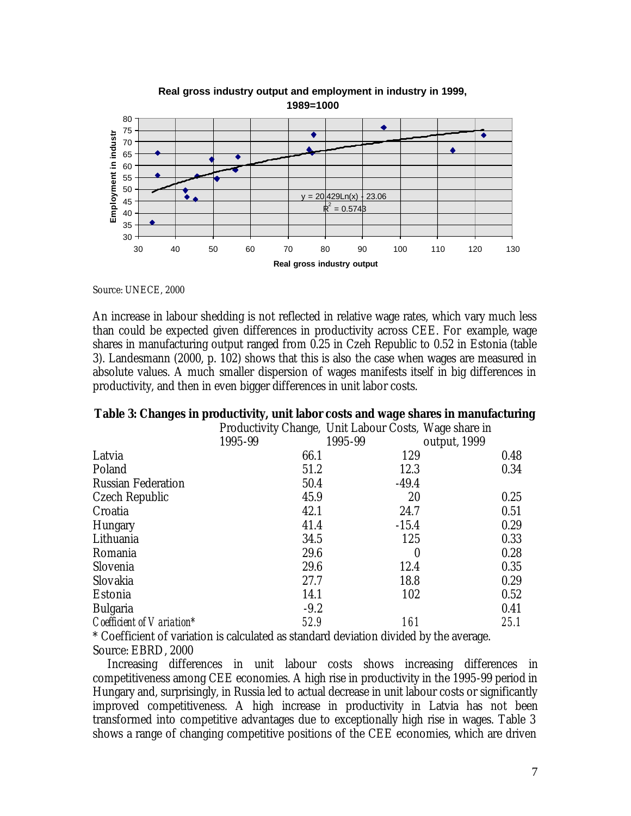

Source: UNECE, 2000

An increase in labour shedding is not reflected in relative wage rates, which vary much less than could be expected given differences in productivity across CEE. For example, wage shares in manufacturing output ranged from 0.25 in Czeh Republic to 0.52 in Estonia (table 3). Landesmann (2000, p. 102) shows that this is also the case when wages are measured in absolute values. A much smaller dispersion of wages manifests itself in big differences in productivity, and then in even bigger differences in unit labor costs.

| Table 3: Changes in productivity, unit labor costs and wage shares in manufacturing |  |  |
|-------------------------------------------------------------------------------------|--|--|
|                                                                                     |  |  |

|                           | Productivity Change, Unit Labour Costs, Wage share in |                  |              |
|---------------------------|-------------------------------------------------------|------------------|--------------|
|                           | 1995-99                                               | 1995-99          | output, 1999 |
| Latvia                    | 66.1                                                  | 129              | 0.48         |
| Poland                    | 51.2                                                  | 12.3             | 0.34         |
| <b>Russian Federation</b> | 50.4                                                  | $-49.4$          |              |
| Czech Republic            | 45.9                                                  | 20               | 0.25         |
| Croatia                   | 42.1                                                  | 24.7             | 0.51         |
| <b>Hungary</b>            | 41.4                                                  | $-15.4$          | 0.29         |
| Lithuania                 | 34.5                                                  | 125              | 0.33         |
| Romania                   | 29.6                                                  | $\boldsymbol{0}$ | 0.28         |
| Slovenia                  | 29.6                                                  | 12.4             | 0.35         |
| Slovakia                  | 27.7                                                  | 18.8             | 0.29         |
| Estonia                   | 14.1                                                  | 102              | 0.52         |
| <b>Bulgaria</b>           | $-9.2$                                                |                  | 0.41         |
| Coefficient of Variation* | 52.9                                                  | 161              | 25.1         |

\* Coefficient of variation is calculated as standard deviation divided by the average. Source: EBRD, 2000

Increasing differences in unit labour costs shows increasing differences in competitiveness among CEE economies. A high rise in productivity in the 1995-99 period in Hungary and, surprisingly, in Russia led to actual decrease in unit labour costs or significantly improved competitiveness. A high increase in productivity in Latvia has not been transformed into competitive advantages due to exceptionally high rise in wages. Table 3 shows a range of changing competitive positions of the CEE economies, which are driven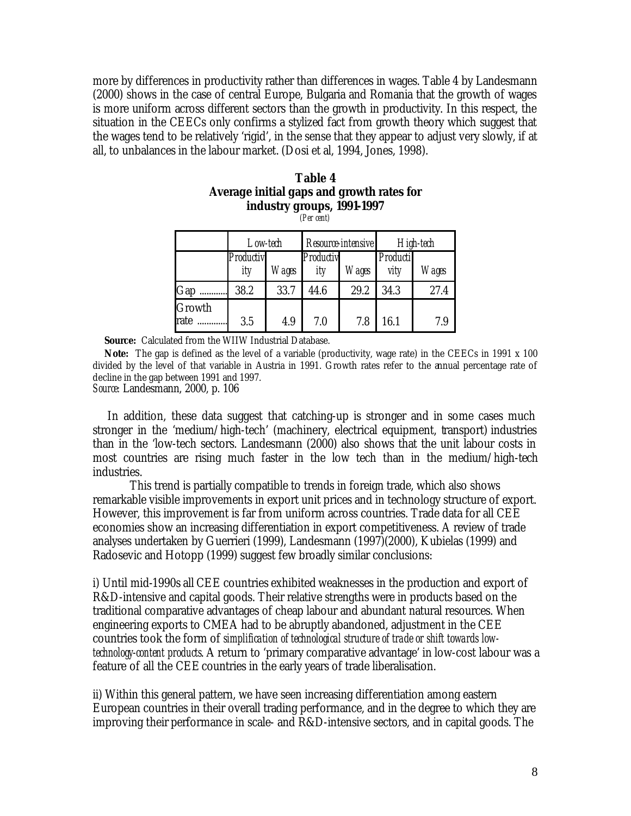more by differences in productivity rather than differences in wages. Table 4 by Landesmann (2000) shows in the case of central Europe, Bulgaria and Romania that the growth of wages is more uniform across different sectors than the growth in productivity. In this respect, the situation in the CEECs only confirms a stylized fact from growth theory which suggest that the wages tend to be relatively 'rigid', in the sense that they appear to adjust very slowly, if at all, to unbalances in the labour market. (Dosi et al, 1994, Jones, 1998).

|                |                  |              | $1 - 0 - 00$     |                    |                  |       |  |
|----------------|------------------|--------------|------------------|--------------------|------------------|-------|--|
|                | Low-tech         |              |                  | Resource-intensive | High-tech        |       |  |
|                | Productiv<br>ity | <b>Wages</b> | Productiv<br>ity | <b>Wages</b>       | Producti<br>vity | Wages |  |
| Gap            | 38.2             | 33.7         | 44.6             | 29.2               | 34.3             | 27.4  |  |
| Growth<br>rate | 3.5              | 4.9          | 7.0              | 7.8                | 16.1             | 7.9   |  |

## **Table 4 Average initial gaps and growth rates for industry groups, 1991-1997**

*(Per cent)*

*Source:* Calculated from the WIIW Industrial Database.

*Note:* The gap is defined as the level of a variable (productivity, wage rate) in the CEECs in 1991 x 100 divided by the level of that variable in Austria in 1991. Growth rates refer to the annual percentage rate of decline in the gap between 1991 and 1997.

*Source:* Landesmann, 2000, p. 106

In addition, these data suggest that catching-up is stronger and in some cases much stronger in the 'medium/high-tech' (machinery, electrical equipment, transport) industries than in the 'low-tech sectors. Landesmann (2000) also shows that the unit labour costs in most countries are rising much faster in the low tech than in the medium/high-tech industries.

This trend is partially compatible to trends in foreign trade, which also shows remarkable visible improvements in export unit prices and in technology structure of export. However, this improvement is far from uniform across countries. Trade data for all CEE economies show an increasing differentiation in export competitiveness. A review of trade analyses undertaken by Guerrieri (1999), Landesmann (1997)(2000), Kubielas (1999) and Radosevic and Hotopp (1999) suggest few broadly similar conclusions:

i) Until mid-1990s all CEE countries exhibited weaknesses in the production and export of R&D-intensive and capital goods. Their relative strengths were in products based on the traditional comparative advantages of cheap labour and abundant natural resources. When engineering exports to CMEA had to be abruptly abandoned, adjustment in the CEE countries took the form of *simplification of technological structure of trade or shift towards lowtechnology-content products*. A return to 'primary comparative advantage' in low-cost labour was a feature of all the CEE countries in the early years of trade liberalisation.

ii) Within this general pattern, we have seen increasing differentiation among eastern European countries in their overall trading performance, and in the degree to which they are improving their performance in scale- and R&D-intensive sectors, and in capital goods. The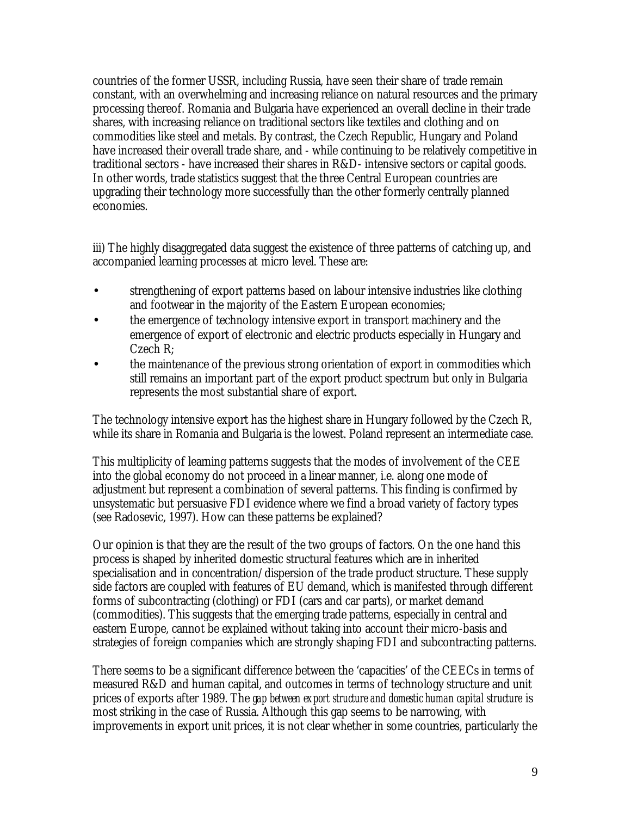countries of the former USSR, including Russia, have seen their share of trade remain constant, with an overwhelming and increasing reliance on natural resources and the primary processing thereof. Romania and Bulgaria have experienced an overall decline in their trade shares, with increasing reliance on traditional sectors like textiles and clothing and on commodities like steel and metals. By contrast, the Czech Republic, Hungary and Poland have increased their overall trade share, and - while continuing to be relatively competitive in traditional sectors - have increased their shares in R&D- intensive sectors or capital goods. In other words, trade statistics suggest that the three Central European countries are upgrading their technology more successfully than the other formerly centrally planned economies.

iii) The highly disaggregated data suggest the existence of three patterns of catching up, and accompanied learning processes at micro level. These are:

- strengthening of export patterns based on labour intensive industries like clothing and footwear in the majority of the Eastern European economies;
- the emergence of technology intensive export in transport machinery and the emergence of export of electronic and electric products especially in Hungary and Czech R;
- the maintenance of the previous strong orientation of export in commodities which still remains an important part of the export product spectrum but only in Bulgaria represents the most substantial share of export.

The technology intensive export has the highest share in Hungary followed by the Czech R, while its share in Romania and Bulgaria is the lowest. Poland represent an intermediate case.

This multiplicity of learning patterns suggests that the modes of involvement of the CEE into the global economy do not proceed in a linear manner, i.e. along one mode of adjustment but represent a combination of several patterns. This finding is confirmed by unsystematic but persuasive FDI evidence where we find a broad variety of factory types (see Radosevic, 1997). How can these patterns be explained?

Our opinion is that they are the result of the two groups of factors. On the one hand this process is shaped by inherited domestic structural features which are in inherited specialisation and in concentration/dispersion of the trade product structure. These supply side factors are coupled with features of EU demand, which is manifested through different forms of subcontracting (clothing) or FDI (cars and car parts), or market demand (commodities). This suggests that the emerging trade patterns, especially in central and eastern Europe, cannot be explained without taking into account their micro-basis and strategies of foreign companies which are strongly shaping FDI and subcontracting patterns.

There seems to be a significant difference between the 'capacities' of the CEECs in terms of measured R&D and human capital, and outcomes in terms of technology structure and unit prices of exports after 1989. The *gap between export structure and domestic human capital structure* is most striking in the case of Russia. Although this gap seems to be narrowing, with improvements in export unit prices, it is not clear whether in some countries, particularly the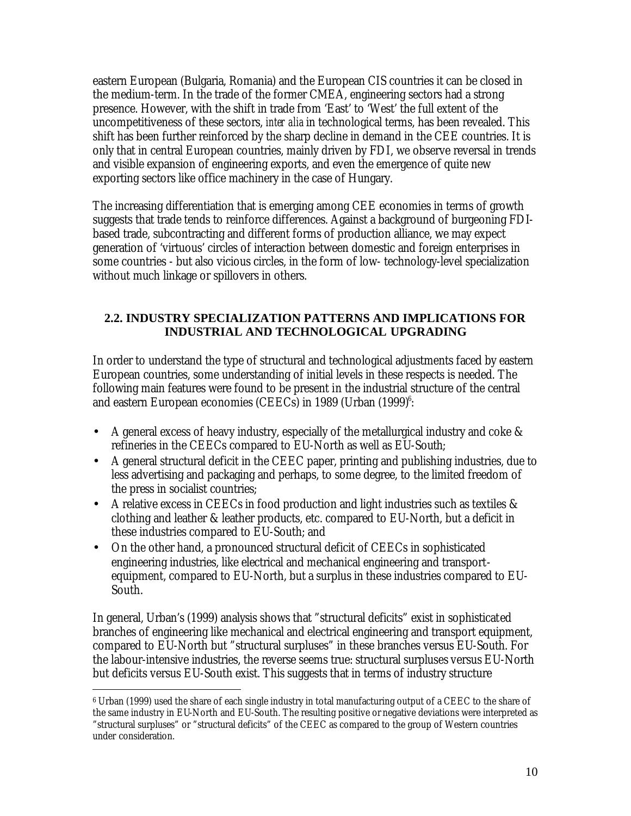eastern European (Bulgaria, Romania) and the European CIS countries it can be closed in the medium-term. In the trade of the former CMEA, engineering sectors had a strong presence. However, with the shift in trade from 'East' to 'West' the full extent of the uncompetitiveness of these sectors, *inter alia* in technological terms, has been revealed. This shift has been further reinforced by the sharp decline in demand in the CEE countries. It is only that in central European countries, mainly driven by FDI, we observe reversal in trends and visible expansion of engineering exports, and even the emergence of quite new exporting sectors like office machinery in the case of Hungary.

The increasing differentiation that is emerging among CEE economies in terms of growth suggests that trade tends to reinforce differences. Against a background of burgeoning FDIbased trade, subcontracting and different forms of production alliance, we may expect generation of 'virtuous' circles of interaction between domestic and foreign enterprises in some countries - but also vicious circles, in the form of low- technology-level specialization without much linkage or spillovers in others.

# **2.2. INDUSTRY SPECIALIZATION PATTERNS AND IMPLICATIONS FOR INDUSTRIAL AND TECHNOLOGICAL UPGRADING**

In order to understand the type of structural and technological adjustments faced by eastern European countries, some understanding of initial levels in these respects is needed. The following main features were found to be present in the industrial structure of the central and eastern European economies (CEECs) in 1989 (Urban (1999)<sup>6</sup>:

- A general excess of heavy industry, especially of the metallurgical industry and coke & refineries in the CEECs compared to EU-North as well as EU-South;
- A general structural deficit in the CEEC paper, printing and publishing industries, due to less advertising and packaging and perhaps, to some degree, to the limited freedom of the press in socialist countries;
- A relative excess in CEECs in food production and light industries such as textiles & clothing and leather & leather products, etc. compared to EU-North, but a deficit in these industries compared to EU-South; and
- On the other hand, a pronounced structural deficit of CEECs in sophisticated engineering industries, like electrical and mechanical engineering and transportequipment, compared to EU-North, but a surplus in these industries compared to EU-South.

In general, Urban's (1999) analysis shows that "structural deficits" exist in sophisticated branches of engineering like mechanical and electrical engineering and transport equipment, compared to EU-North but "structural surpluses" in these branches versus EU-South. For the labour-intensive industries, the reverse seems true: structural surpluses versus EU-North but deficits versus EU-South exist. This suggests that in terms of industry structure

<sup>6</sup> Urban (1999) used the share of each single industry in total manufacturing output of a CEEC to the share of the same industry in EU-North and EU-South. The resulting positive or negative deviations were interpreted as "structural surpluses" or "structural deficits" of the CEEC as compared to the group of Western countries under consideration.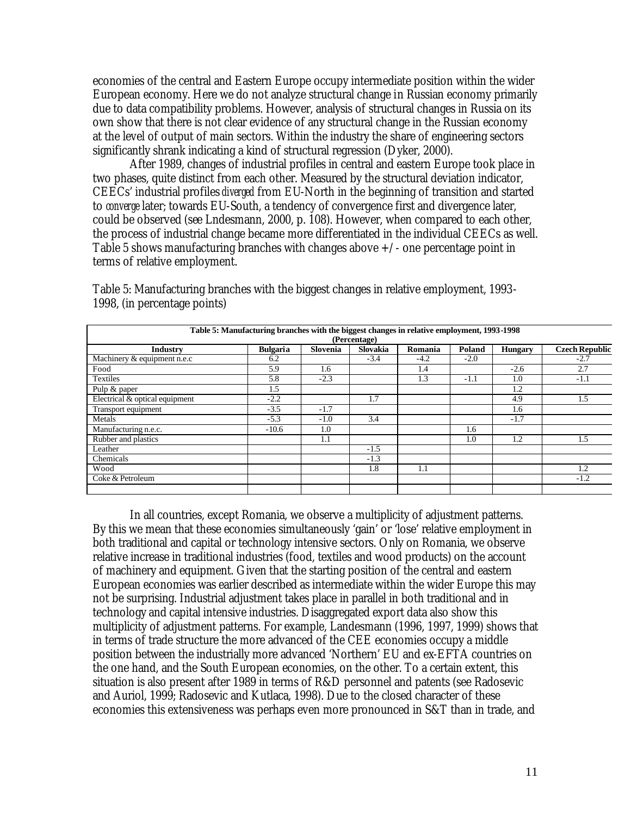economies of the central and Eastern Europe occupy intermediate position within the wider European economy. Here we do not analyze structural change in Russian economy primarily due to data compatibility problems. However, analysis of structural changes in Russia on its own show that there is not clear evidence of any structural change in the Russian economy at the level of output of main sectors. Within the industry the share of engineering sectors significantly shrank indicating a kind of structural regression (Dyker, 2000).

After 1989, changes of industrial profiles in central and eastern Europe took place in two phases, quite distinct from each other. Measured by the structural deviation indicator, CEECs' industrial profiles *diverged* from EU-North in the beginning of transition and started to *converge* later; towards EU-South, a tendency of convergence first and divergence later, could be observed (see Lndesmann, 2000, p. 108). However, when compared to each other, the process of industrial change became more differentiated in the individual CEECs as well. Table 5 shows manufacturing branches with changes above  $+/-$  one percentage point in terms of relative employment.

| Table 5: Manufacturing branches with the biggest changes in relative employment, 1993-1998<br>(Percentage) |                 |          |          |         |        |                |                       |
|------------------------------------------------------------------------------------------------------------|-----------------|----------|----------|---------|--------|----------------|-----------------------|
| Industry                                                                                                   | <b>Bulgaria</b> | Slovenia | Slovakia | Romania | Poland | <b>Hungary</b> | <b>Czech Republic</b> |
| Machinery & equipment n.e.c                                                                                | 6.2             |          | $-3.4$   | $-4.2$  | $-2.0$ |                | $-2.7$                |
| Food                                                                                                       | 5.9             | 1.6      |          | 1.4     |        | $-2.6$         | 2.7                   |
| Textiles                                                                                                   | 5.8             | $-2.3$   |          | 1.3     | $-1.1$ | 1.0            | $-1.1$                |
| Pulp $\&$ paper                                                                                            | 1.5             |          |          |         |        | 1.2            |                       |
| Electrical & optical equipment                                                                             | $-2.2$          |          | 1.7      |         |        | 4.9            | 1.5                   |
| Transport equipment                                                                                        | $-3.5$          | $-1.7$   |          |         |        | 1.6            |                       |
| Metals                                                                                                     | $-5.3$          | $-1.0$   | 3.4      |         |        | $-1.7$         |                       |
| Manufacturing n.e.c.                                                                                       | $-10.6$         | 1.0      |          |         | 1.6    |                |                       |
| Rubber and plastics                                                                                        |                 | 1.1      |          |         | 1.0    | 1.2            | 1.5                   |
| Leather                                                                                                    |                 |          | $-1.5$   |         |        |                |                       |
| Chemicals                                                                                                  |                 |          | $-1.3$   |         |        |                |                       |
| Wood                                                                                                       |                 |          | 1.8      | 1.1     |        |                | 1.2                   |
| Coke & Petroleum                                                                                           |                 |          |          |         |        |                | $-1.2$                |
|                                                                                                            |                 |          |          |         |        |                |                       |

Table 5: Manufacturing branches with the biggest changes in relative employment, 1993- 1998, (in percentage points)

In all countries, except Romania, we observe a multiplicity of adjustment patterns. By this we mean that these economies simultaneously 'gain' or 'lose' relative employment in both traditional and capital or technology intensive sectors. Only on Romania, we observe relative increase in traditional industries (food, textiles and wood products) on the account of machinery and equipment. Given that the starting position of the central and eastern European economies was earlier described as intermediate within the wider Europe this may not be surprising. Industrial adjustment takes place in parallel in both traditional and in technology and capital intensive industries. Disaggregated export data also show this multiplicity of adjustment patterns. For example, Landesmann (1996, 1997, 1999) shows that in terms of trade structure the more advanced of the CEE economies occupy a middle position between the industrially more advanced 'Northern' EU and ex-EFTA countries on the one hand, and the South European economies, on the other. To a certain extent, this situation is also present after 1989 in terms of R&D personnel and patents (see Radosevic and Auriol, 1999; Radosevic and Kutlaca, 1998). Due to the closed character of these economies this extensiveness was perhaps even more pronounced in S&T than in trade, and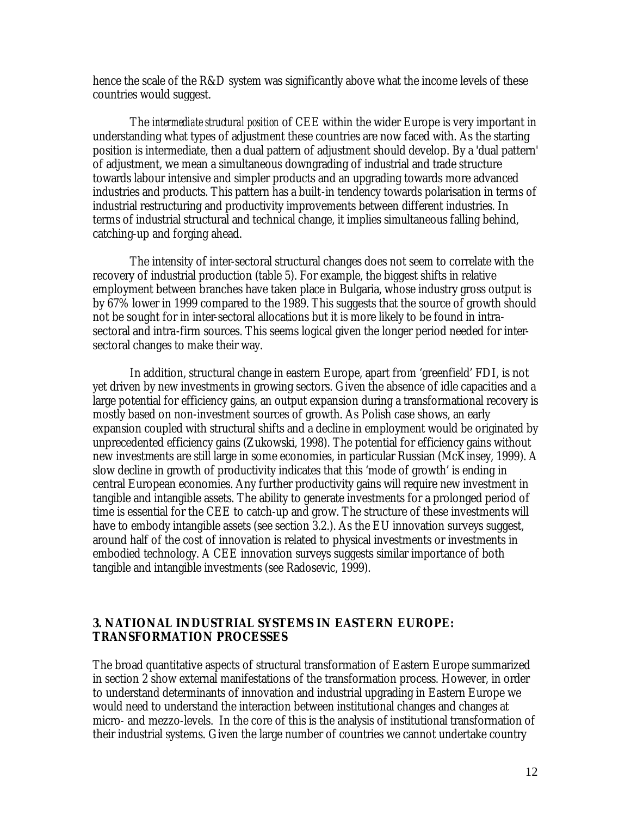hence the scale of the R&D system was significantly above what the income levels of these countries would suggest.

The *intermediate structural position* of CEE within the wider Europe is very important in understanding what types of adjustment these countries are now faced with. As the starting position is intermediate, then a dual pattern of adjustment should develop. By a 'dual pattern' of adjustment, we mean a simultaneous downgrading of industrial and trade structure towards labour intensive and simpler products and an upgrading towards more advanced industries and products. This pattern has a built-in tendency towards polarisation in terms of industrial restructuring and productivity improvements between different industries. In terms of industrial structural and technical change, it implies simultaneous falling behind, catching-up and forging ahead.

The intensity of inter-sectoral structural changes does not seem to correlate with the recovery of industrial production (table 5). For example, the biggest shifts in relative employment between branches have taken place in Bulgaria, whose industry gross output is by 67% lower in 1999 compared to the 1989. This suggests that the source of growth should not be sought for in inter-sectoral allocations but it is more likely to be found in intrasectoral and intra-firm sources. This seems logical given the longer period needed for intersectoral changes to make their way.

In addition, structural change in eastern Europe, apart from 'greenfield' FDI, is not yet driven by new investments in growing sectors. Given the absence of idle capacities and a large potential for efficiency gains, an output expansion during a transformational recovery is mostly based on non-investment sources of growth. As Polish case shows, an early expansion coupled with structural shifts and a decline in employment would be originated by unprecedented efficiency gains (Zukowski, 1998). The potential for efficiency gains without new investments are still large in some economies, in particular Russian (McKinsey, 1999). A slow decline in growth of productivity indicates that this 'mode of growth' is ending in central European economies. Any further productivity gains will require new investment in tangible and intangible assets. The ability to generate investments for a prolonged period of time is essential for the CEE to catch-up and grow. The structure of these investments will have to embody intangible assets (see section 3.2.). As the EU innovation surveys suggest, around half of the cost of innovation is related to physical investments or investments in embodied technology. A CEE innovation surveys suggests similar importance of both tangible and intangible investments (see Radosevic, 1999).

# **3. NATIONAL INDUSTRIAL SYSTEMS IN EASTERN EUROPE: TRANSFORMATION PROCESSES**

The broad quantitative aspects of structural transformation of Eastern Europe summarized in section 2 show external manifestations of the transformation process. However, in order to understand determinants of innovation and industrial upgrading in Eastern Europe we would need to understand the interaction between institutional changes and changes at micro- and mezzo-levels. In the core of this is the analysis of institutional transformation of their industrial systems. Given the large number of countries we cannot undertake country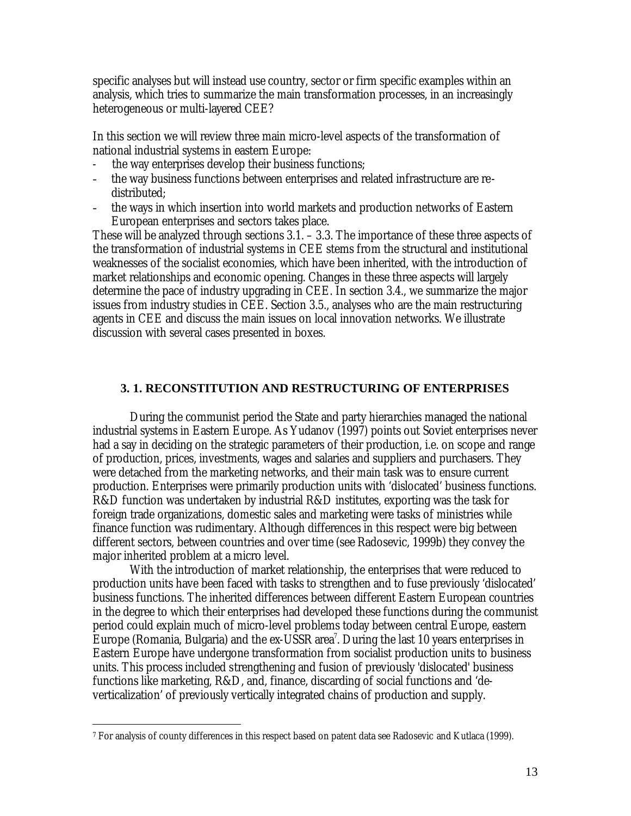specific analyses but will instead use country, sector or firm specific examples within an analysis, which tries to summarize the main transformation processes, in an increasingly heterogeneous or multi-layered CEE?

In this section we will review three main micro-level aspects of the transformation of national industrial systems in eastern Europe:

- the way enterprises develop their business functions;
- the way business functions between enterprises and related infrastructure are redistributed;
- the ways in which insertion into world markets and production networks of Eastern European enterprises and sectors takes place.

These will be analyzed through sections 3.1. – 3.3. The importance of these three aspects of the transformation of industrial systems in CEE stems from the structural and institutional weaknesses of the socialist economies, which have been inherited, with the introduction of market relationships and economic opening. Changes in these three aspects will largely determine the pace of industry upgrading in CEE. In section 3.4., we summarize the major issues from industry studies in CEE. Section 3.5., analyses who are the main restructuring agents in CEE and discuss the main issues on local innovation networks. We illustrate discussion with several cases presented in boxes.

## **3. 1. RECONSTITUTION AND RESTRUCTURING OF ENTERPRISES**

During the communist period the State and party hierarchies managed the national industrial systems in Eastern Europe. As Yudanov (1997) points out Soviet enterprises never had a say in deciding on the strategic parameters of their production, i.e. on scope and range of production, prices, investments, wages and salaries and suppliers and purchasers. They were detached from the marketing networks, and their main task was to ensure current production. Enterprises were primarily production units with 'dislocated' business functions. R&D function was undertaken by industrial R&D institutes, exporting was the task for foreign trade organizations, domestic sales and marketing were tasks of ministries while finance function was rudimentary. Although differences in this respect were big between different sectors, between countries and over time (see Radosevic, 1999b) they convey the major inherited problem at a micro level.

With the introduction of market relationship, the enterprises that were reduced to production units have been faced with tasks to strengthen and to fuse previously 'dislocated' business functions. The inherited differences between different Eastern European countries in the degree to which their enterprises had developed these functions during the communist period could explain much of micro-level problems today between central Europe, eastern Europe (Romania, Bulgaria) and the ex-USSR area<sup>7</sup>. During the last 10 years enterprises in Eastern Europe have undergone transformation from socialist production units to business units. This process included strengthening and fusion of previously 'dislocated' business functions like marketing, R&D, and, finance, discarding of social functions and 'deverticalization' of previously vertically integrated chains of production and supply.

<sup>7</sup> For analysis of county differences in this respect based on patent data see Radosevic and Kutlaca (1999).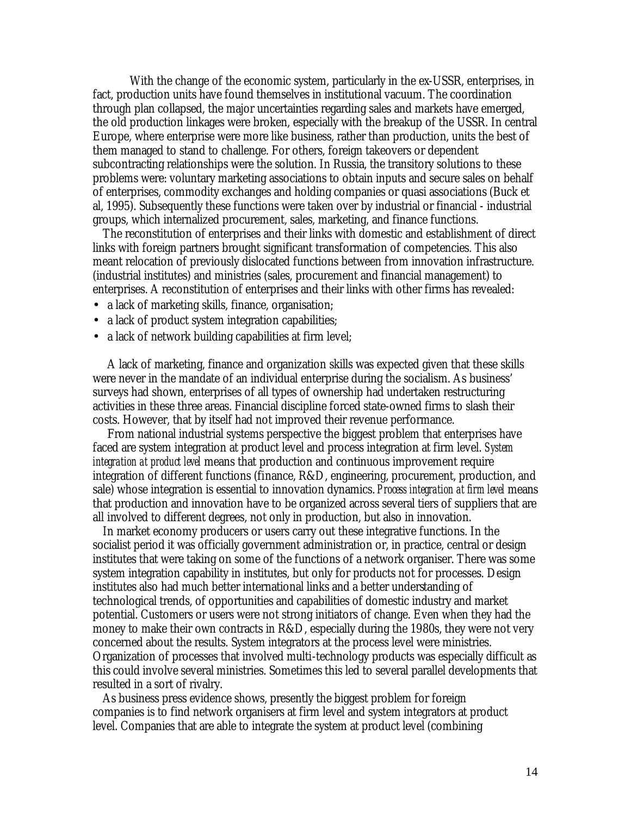With the change of the economic system, particularly in the ex-USSR, enterprises, in fact, production units have found themselves in institutional vacuum. The coordination through plan collapsed, the major uncertainties regarding sales and markets have emerged, the old production linkages were broken, especially with the breakup of the USSR. In central Europe, where enterprise were more like business, rather than production, units the best of them managed to stand to challenge. For others, foreign takeovers or dependent subcontracting relationships were the solution. In Russia, the transitory solutions to these problems were: voluntary marketing associations to obtain inputs and secure sales on behalf of enterprises, commodity exchanges and holding companies or quasi associations (Buck et al, 1995). Subsequently these functions were taken over by industrial or financial - industrial groups, which internalized procurement, sales, marketing, and finance functions.

The reconstitution of enterprises and their links with domestic and establishment of direct links with foreign partners brought significant transformation of competencies. This also meant relocation of previously dislocated functions between from innovation infrastructure. (industrial institutes) and ministries (sales, procurement and financial management) to enterprises. A reconstitution of enterprises and their links with other firms has revealed:

- a lack of marketing skills, finance, organisation;
- a lack of product system integration capabilities;
- a lack of network building capabilities at firm level;

A lack of marketing, finance and organization skills was expected given that these skills were never in the mandate of an individual enterprise during the socialism. As business' surveys had shown, enterprises of all types of ownership had undertaken restructuring activities in these three areas. Financial discipline forced state-owned firms to slash their costs. However, that by itself had not improved their revenue performance.

From national industrial systems perspective the biggest problem that enterprises have faced are system integration at product level and process integration at firm level. *System integration at product level* means that production and continuous improvement require integration of different functions (finance, R&D, engineering, procurement, production, and sale) whose integration is essential to innovation dynamics. *Process integration at firm level* means that production and innovation have to be organized across several tiers of suppliers that are all involved to different degrees, not only in production, but also in innovation.

In market economy producers or users carry out these integrative functions. In the socialist period it was officially government administration or, in practice, central or design institutes that were taking on some of the functions of a network organiser. There was some system integration capability in institutes, but only for products not for processes. Design institutes also had much better international links and a better understanding of technological trends, of opportunities and capabilities of domestic industry and market potential. Customers or users were not strong initiators of change. Even when they had the money to make their own contracts in R&D, especially during the 1980s, they were not very concerned about the results. System integrators at the process level were ministries. Organization of processes that involved multi-technology products was especially difficult as this could involve several ministries. Sometimes this led to several parallel developments that resulted in a sort of rivalry.

As business press evidence shows, presently the biggest problem for foreign companies is to find network organisers at firm level and system integrators at product level. Companies that are able to integrate the system at product level (combining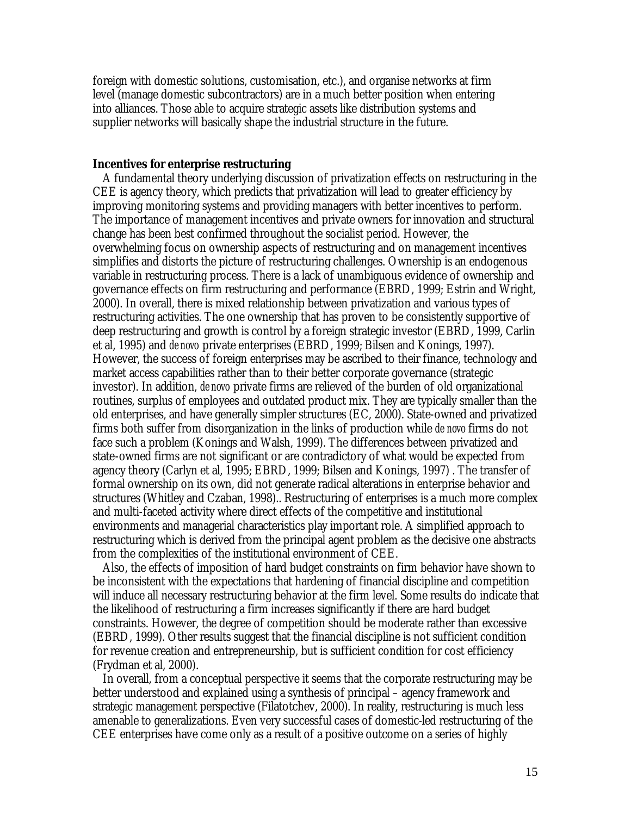foreign with domestic solutions, customisation, etc.), and organise networks at firm level (manage domestic subcontractors) are in a much better position when entering into alliances. Those able to acquire strategic assets like distribution systems and supplier networks will basically shape the industrial structure in the future.

### *Incentives for enterprise restructuring*

A fundamental theory underlying discussion of privatization effects on restructuring in the CEE is agency theory, which predicts that privatization will lead to greater efficiency by improving monitoring systems and providing managers with better incentives to perform. The importance of management incentives and private owners for innovation and structural change has been best confirmed throughout the socialist period. However, the overwhelming focus on ownership aspects of restructuring and on management incentives simplifies and distorts the picture of restructuring challenges. Ownership is an endogenous variable in restructuring process. There is a lack of unambiguous evidence of ownership and governance effects on firm restructuring and performance (EBRD, 1999; Estrin and Wright, 2000). In overall, there is mixed relationship between privatization and various types of restructuring activities. The one ownership that has proven to be consistently supportive of deep restructuring and growth is control by a foreign strategic investor (EBRD, 1999, Carlin et al, 1995) and *de novo* private enterprises (EBRD, 1999; Bilsen and Konings, 1997). However, the success of foreign enterprises may be ascribed to their finance, technology and market access capabilities rather than to their better corporate governance (strategic investor). In addition, *de novo* private firms are relieved of the burden of old organizational routines, surplus of employees and outdated product mix. They are typically smaller than the old enterprises, and have generally simpler structures (EC, 2000). State-owned and privatized firms both suffer from disorganization in the links of production while *de novo* firms do not face such a problem (Konings and Walsh, 1999). The differences between privatized and state-owned firms are not significant or are contradictory of what would be expected from agency theory (Carlyn et al, 1995; EBRD, 1999; Bilsen and Konings, 1997) . The transfer of formal ownership on its own, did not generate radical alterations in enterprise behavior and structures (Whitley and Czaban, 1998).. Restructuring of enterprises is a much more complex and multi-faceted activity where direct effects of the competitive and institutional environments and managerial characteristics play important role. A simplified approach to restructuring which is derived from the principal agent problem as the decisive one abstracts from the complexities of the institutional environment of CEE.

Also, the effects of imposition of hard budget constraints on firm behavior have shown to be inconsistent with the expectations that hardening of financial discipline and competition will induce all necessary restructuring behavior at the firm level. Some results do indicate that the likelihood of restructuring a firm increases significantly if there are hard budget constraints. However, the degree of competition should be moderate rather than excessive (EBRD, 1999). Other results suggest that the financial discipline is not sufficient condition for revenue creation and entrepreneurship, but is sufficient condition for cost efficiency (Frydman et al, 2000).

In overall, from a conceptual perspective it seems that the corporate restructuring may be better understood and explained using a synthesis of principal – agency framework and strategic management perspective (Filatotchev, 2000). In reality, restructuring is much less amenable to generalizations. Even very successful cases of domestic-led restructuring of the CEE enterprises have come only as a result of a positive outcome on a series of highly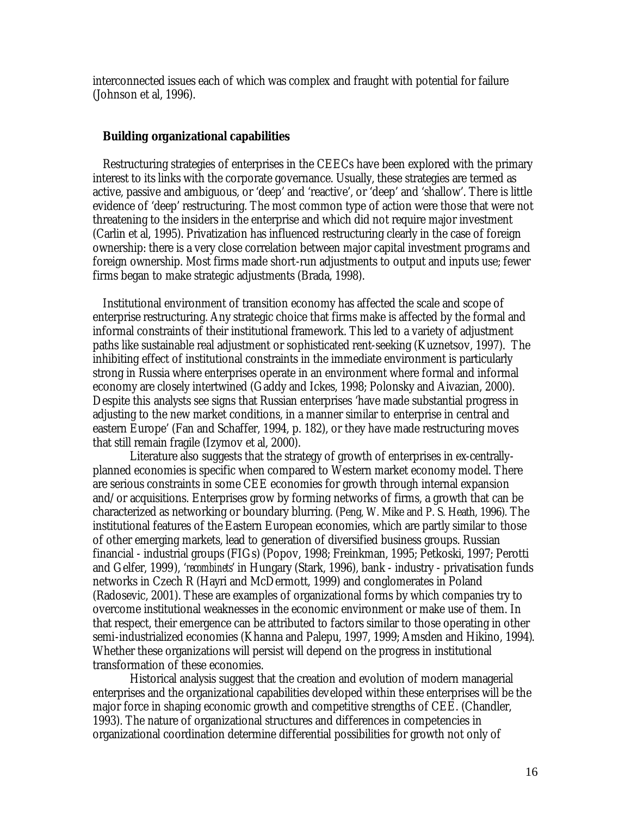interconnected issues each of which was complex and fraught with potential for failure (Johnson et al, 1996).

### *Building organizational capabilities*

Restructuring strategies of enterprises in the CEECs have been explored with the primary interest to its links with the corporate governance. Usually, these strategies are termed as active, passive and ambiguous, or 'deep' and 'reactive', or 'deep' and 'shallow'. There is little evidence of 'deep' restructuring. The most common type of action were those that were not threatening to the insiders in the enterprise and which did not require major investment (Carlin et al, 1995). Privatization has influenced restructuring clearly in the case of foreign ownership: there is a very close correlation between major capital investment programs and foreign ownership. Most firms made short-run adjustments to output and inputs use; fewer firms began to make strategic adjustments (Brada, 1998).

Institutional environment of transition economy has affected the scale and scope of enterprise restructuring. Any strategic choice that firms make is affected by the formal and informal constraints of their institutional framework. This led to a variety of adjustment paths like sustainable real adjustment or sophisticated rent-seeking (Kuznetsov, 1997). The inhibiting effect of institutional constraints in the immediate environment is particularly strong in Russia where enterprises operate in an environment where formal and informal economy are closely intertwined (Gaddy and Ickes, 1998; Polonsky and Aivazian, 2000). Despite this analysts see signs that Russian enterprises 'have made substantial progress in adjusting to the new market conditions, in a manner similar to enterprise in central and eastern Europe' (Fan and Schaffer, 1994, p. 182), or they have made restructuring moves that still remain fragile (Izymov et al, 2000).

Literature also suggests that the strategy of growth of enterprises in ex-centrallyplanned economies is specific when compared to Western market economy model. There are serious constraints in some CEE economies for growth through internal expansion and/or acquisitions. Enterprises grow by forming networks of firms, a growth that can be characterized as networking or boundary blurring. (Peng, W. Mike and P. S. Heath, 1996). The institutional features of the Eastern European economies, which are partly similar to those of other emerging markets, lead to generation of diversified business groups. Russian financial - industrial groups (FIGs) (Popov, 1998; Freinkman, 1995; Petkoski, 1997; Perotti and Gelfer, 1999), '*recombinets*' in Hungary (Stark, 1996), bank - industry - privatisation funds networks in Czech R (Hayri and McDermott, 1999) and conglomerates in Poland (Radosevic, 2001). These are examples of organizational forms by which companies try to overcome institutional weaknesses in the economic environment or make use of them. In that respect, their emergence can be attributed to factors similar to those operating in other semi-industrialized economies (Khanna and Palepu, 1997, 1999; Amsden and Hikino, 1994). Whether these organizations will persist will depend on the progress in institutional transformation of these economies.

Historical analysis suggest that the creation and evolution of modern managerial enterprises and the organizational capabilities developed within these enterprises will be the major force in shaping economic growth and competitive strengths of CEE. (Chandler, 1993). The nature of organizational structures and differences in competencies in organizational coordination determine differential possibilities for growth not only of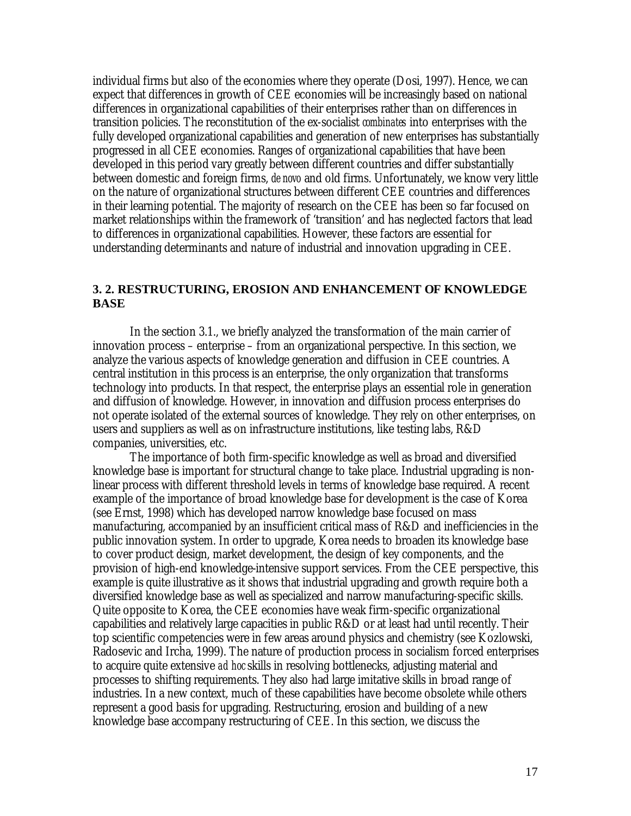individual firms but also of the economies where they operate (Dosi, 1997). Hence, we can expect that differences in growth of CEE economies will be increasingly based on national differences in organizational capabilities of their enterprises rather than on differences in transition policies. The reconstitution of the ex-socialist *combinates* into enterprises with the fully developed organizational capabilities and generation of new enterprises has substantially progressed in all CEE economies. Ranges of organizational capabilities that have been developed in this period vary greatly between different countries and differ substantially between domestic and foreign firms, *de novo* and old firms. Unfortunately, we know very little on the nature of organizational structures between different CEE countries and differences in their learning potential. The majority of research on the CEE has been so far focused on market relationships within the framework of 'transition' and has neglected factors that lead to differences in organizational capabilities. However, these factors are essential for understanding determinants and nature of industrial and innovation upgrading in CEE.

## **3. 2. RESTRUCTURING, EROSION AND ENHANCEMENT OF KNOWLEDGE BASE**

In the section 3.1., we briefly analyzed the transformation of the main carrier of innovation process – enterprise – from an organizational perspective. In this section, we analyze the various aspects of knowledge generation and diffusion in CEE countries. A central institution in this process is an enterprise, the only organization that transforms technology into products. In that respect, the enterprise plays an essential role in generation and diffusion of knowledge. However, in innovation and diffusion process enterprises do not operate isolated of the external sources of knowledge. They rely on other enterprises, on users and suppliers as well as on infrastructure institutions, like testing labs, R&D companies, universities, etc.

The importance of both firm-specific knowledge as well as broad and diversified knowledge base is important for structural change to take place. Industrial upgrading is nonlinear process with different threshold levels in terms of knowledge base required. A recent example of the importance of broad knowledge base for development is the case of Korea (see Ernst, 1998) which has developed narrow knowledge base focused on mass manufacturing, accompanied by an insufficient critical mass of R&D and inefficiencies in the public innovation system. In order to upgrade, Korea needs to broaden its knowledge base to cover product design, market development, the design of key components, and the provision of high-end knowledge-intensive support services. From the CEE perspective, this example is quite illustrative as it shows that industrial upgrading and growth require both a diversified knowledge base as well as specialized and narrow manufacturing-specific skills. Quite opposite to Korea, the CEE economies have weak firm-specific organizational capabilities and relatively large capacities in public R&D or at least had until recently. Their top scientific competencies were in few areas around physics and chemistry (see Kozlowski, Radosevic and Ircha, 1999). The nature of production process in socialism forced enterprises to acquire quite extensive *ad hoc* skills in resolving bottlenecks, adjusting material and processes to shifting requirements. They also had large imitative skills in broad range of industries. In a new context, much of these capabilities have become obsolete while others represent a good basis for upgrading. Restructuring, erosion and building of a new knowledge base accompany restructuring of CEE. In this section, we discuss the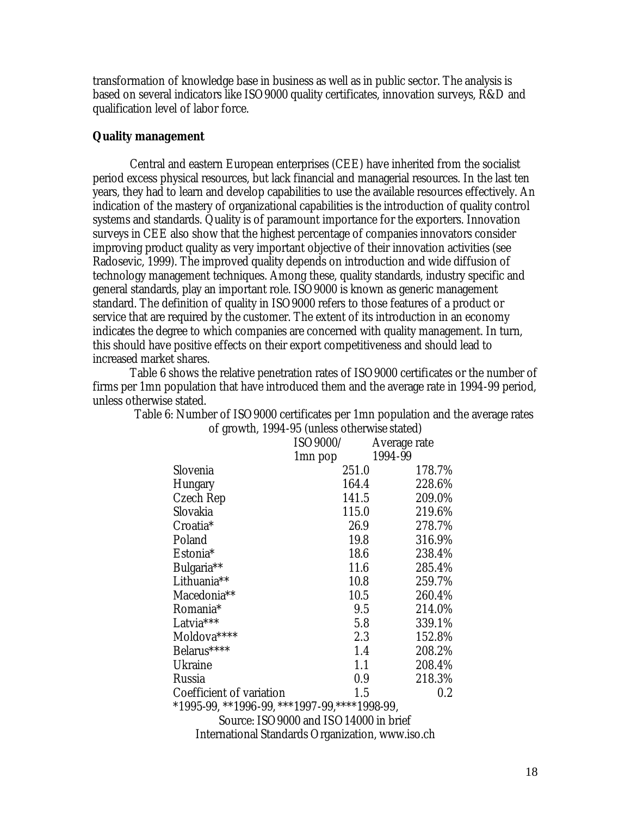transformation of knowledge base in business as well as in public sector. The analysis is based on several indicators like ISO9000 quality certificates, innovation surveys, R&D and qualification level of labor force.

## *Quality management*

Central and eastern European enterprises (CEE) have inherited from the socialist period excess physical resources, but lack financial and managerial resources. In the last ten years, they had to learn and develop capabilities to use the available resources effectively. An indication of the mastery of organizational capabilities is the introduction of quality control systems and standards. Quality is of paramount importance for the exporters. Innovation surveys in CEE also show that the highest percentage of companies innovators consider improving product quality as very important objective of their innovation activities (see Radosevic, 1999). The improved quality depends on introduction and wide diffusion of technology management techniques. Among these, quality standards, industry specific and general standards, play an important role. ISO9000 is known as generic management standard. The definition of quality in ISO9000 refers to those features of a product or service that are required by the customer. The extent of its introduction in an economy indicates the degree to which companies are concerned with quality management. In turn, this should have positive effects on their export competitiveness and should lead to increased market shares.

Table 6 shows the relative penetration rates of ISO9000 certificates or the number of firms per 1mn population that have introduced them and the average rate in 1994-99 period, unless otherwise stated.

|                                                          | $\mu$ growing root bo (annoss otherwise stated)<br>ISO9000/ | Average rate |  |  |  |  |  |
|----------------------------------------------------------|-------------------------------------------------------------|--------------|--|--|--|--|--|
|                                                          | 1 <sub>mn</sub> pop                                         | 1994-99      |  |  |  |  |  |
| Slovenia                                                 | 251.0                                                       | 178.7%       |  |  |  |  |  |
| Hungary                                                  | 164.4                                                       | 228.6%       |  |  |  |  |  |
| <b>Czech Rep</b>                                         | 141.5                                                       | 209.0%       |  |  |  |  |  |
| Slovakia                                                 | 115.0                                                       | 219.6%       |  |  |  |  |  |
| Croatia*                                                 | 26.9                                                        | 278.7%       |  |  |  |  |  |
| Poland                                                   | 19.8                                                        | 316.9%       |  |  |  |  |  |
| Estonia*                                                 | 18.6                                                        | 238.4%       |  |  |  |  |  |
| Bulgaria**                                               | 11.6                                                        | 285.4%       |  |  |  |  |  |
| Lithuania**                                              | 10.8                                                        | 259.7%       |  |  |  |  |  |
| Macedonia**                                              | 10.5                                                        | 260.4%       |  |  |  |  |  |
| Romania <sup>*</sup>                                     | 9.5                                                         | 214.0%       |  |  |  |  |  |
| Latvia***                                                | 5.8                                                         | 339.1%       |  |  |  |  |  |
| Moldova****                                              | 2.3                                                         | 152.8%       |  |  |  |  |  |
| Belarus****                                              | 1.4                                                         | 208.2%       |  |  |  |  |  |
| <b>Ukraine</b>                                           | 1.1                                                         | 208.4%       |  |  |  |  |  |
| Russia                                                   | 0.9                                                         | 218.3%       |  |  |  |  |  |
| Coefficient of variation                                 | 1.5                                                         | 0.2          |  |  |  |  |  |
| $*1995-99$ , $**1996-99$ , $***1997-99$ , $***1998-99$ , |                                                             |              |  |  |  |  |  |
|                                                          | Source: ISO9000 and ISO14000 in brief                       |              |  |  |  |  |  |
| International Standards Organization, www.iso.ch         |                                                             |              |  |  |  |  |  |

Table 6: Number of ISO9000 certificates per 1mn population and the average rates of growth, 1994-95 (unless otherwise stated)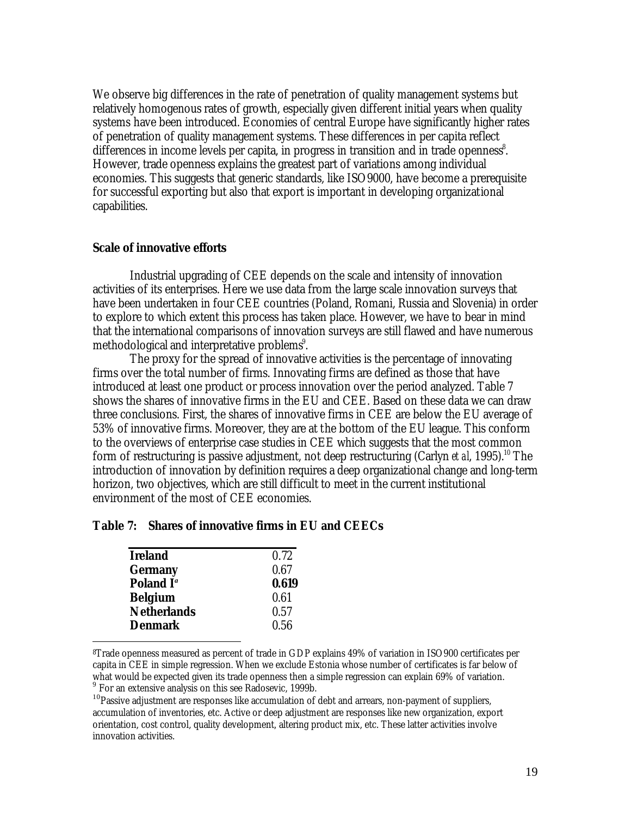We observe big differences in the rate of penetration of quality management systems but relatively homogenous rates of growth, especially given different initial years when quality systems have been introduced. Economies of central Europe have significantly higher rates of penetration of quality management systems. These differences in per capita reflect differences in income levels per capita, in progress in transition and in trade openness<sup>8</sup>. However, trade openness explains the greatest part of variations among individual economies. This suggests that generic standards, like ISO9000, have become a prerequisite for successful exporting but also that export is important in developing organizational capabilities.

#### *Scale of innovative efforts*

Industrial upgrading of CEE depends on the scale and intensity of innovation activities of its enterprises. Here we use data from the large scale innovation surveys that have been undertaken in four CEE countries (Poland, Romani, Russia and Slovenia) in order to explore to which extent this process has taken place. However, we have to bear in mind that the international comparisons of innovation surveys are still flawed and have numerous methodological and interpretative problems<sup>9</sup>.

The proxy for the spread of innovative activities is the percentage of innovating firms over the total number of firms. Innovating firms are defined as those that have introduced at least one product or process innovation over the period analyzed. Table 7 shows the shares of innovative firms in the EU and CEE. Based on these data we can draw three conclusions. First, the shares of innovative firms in CEE are below the EU average of 53% of innovative firms. Moreover, they are at the bottom of the EU league. This conform to the overviews of enterprise case studies in CEE which suggests that the most common form of restructuring is passive adjustment, not deep restructuring (Carlyn *et al*, 1995).<sup>10</sup> The introduction of innovation by definition requires a deep organizational change and long-term horizon, two objectives, which are still difficult to meet in the current institutional environment of the most of CEE economies.

| <b>Ireland</b>      | 0.72  |
|---------------------|-------|
| <b>Germany</b>      | 0.67  |
| <b>Poland</b> $I^a$ | 0.619 |
| <b>Belgium</b>      | 0.61  |
| <b>Netherlands</b>  | 0.57  |
| <b>Denmark</b>      | 0.56  |
|                     |       |

 $\overline{a}$ 

#### **Table 7: Shares of innovative firms in EU and CEECs**

<sup>8</sup>Trade openness measured as percent of trade in GDP explains 49% of variation in ISO900 certificates per capita in CEE in simple regression. When we exclude Estonia whose number of certificates is far below of what would be expected given its trade openness then a simple regression can explain 69% of variation. 9 For an extensive analysis on this see Radosevic, 1999b.

<sup>10</sup>Passive adjustment are responses like accumulation of debt and arrears, non-payment of suppliers, accumulation of inventories, etc. Active or deep adjustment are responses like new organization, export orientation, cost control, quality development, altering product mix, etc. These latter activities involve innovation activities.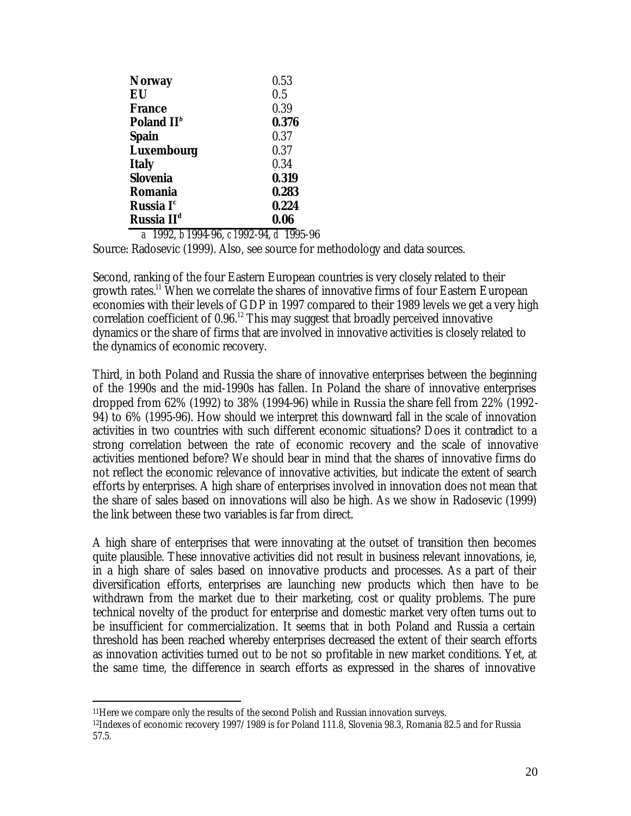| <b>Norway</b>                  | 0.53  |
|--------------------------------|-------|
| EU                             | 0.5   |
| <b>France</b>                  | 0.39  |
| <b>Poland <math>H^b</math></b> | 0.376 |
| <b>Spain</b>                   | 0.37  |
| <b>Luxembourg</b>              | 0.37  |
| <b>Italy</b>                   | 0.34  |
| <b>Slovenia</b>                | 0.319 |
| Romania                        | 0.283 |
| Russia I <sup>c</sup>          | 0.224 |
| Russia II <sup>d</sup>         | 0.06  |

*a* 1992, *b* 1994-96, *c 1*992-94, *d* 1995-96

Source: Radosevic (1999). Also, see source for methodology and data sources.

Second, ranking of the four Eastern European countries is very closely related to their growth rates.<sup>11</sup> When we correlate the shares of innovative firms of four Eastern European economies with their levels of GDP in 1997 compared to their 1989 levels we get a very high correlation coefficient of  $0.96$ .<sup>12</sup> This may suggest that broadly perceived innovative dynamics or the share of firms that are involved in innovative activities is closely related to the dynamics of economic recovery.

Third, in both Poland and Russia the share of innovative enterprises between the beginning of the 1990s and the mid-1990s has fallen. In Poland the share of innovative enterprises dropped from 62% (1992) to 38% (1994-96) while in Russia the share fell from 22% (1992- 94) to 6% (1995-96). How should we interpret this downward fall in the scale of innovation activities in two countries with such different economic situations? Does it contradict to a strong correlation between the rate of economic recovery and the scale of innovative activities mentioned before? We should bear in mind that the shares of innovative firms do not reflect the economic relevance of innovative activities, but indicate the extent of search efforts by enterprises. A high share of enterprises involved in innovation does not mean that the share of sales based on innovations will also be high. As we show in Radosevic (1999) the link between these two variables is far from direct.

A high share of enterprises that were innovating at the outset of transition then becomes quite plausible. These innovative activities did not result in business relevant innovations, ie, in a high share of sales based on innovative products and processes. As a part of their diversification efforts, enterprises are launching new products which then have to be withdrawn from the market due to their marketing, cost or quality problems. The pure technical novelty of the product for enterprise and domestic market very often turns out to be insufficient for commercialization. It seems that in both Poland and Russia a certain threshold has been reached whereby enterprises decreased the extent of their search efforts as innovation activities turned out to be not so profitable in new market conditions. Yet, at the same time, the difference in search efforts as expressed in the shares of innovative

<sup>11</sup>Here we compare only the results of the second Polish and Russian innovation surveys.

<sup>12</sup>Indexes of economic recovery 1997/1989 is for Poland 111.8, Slovenia 98.3, Romania 82.5 and for Russia 57.5.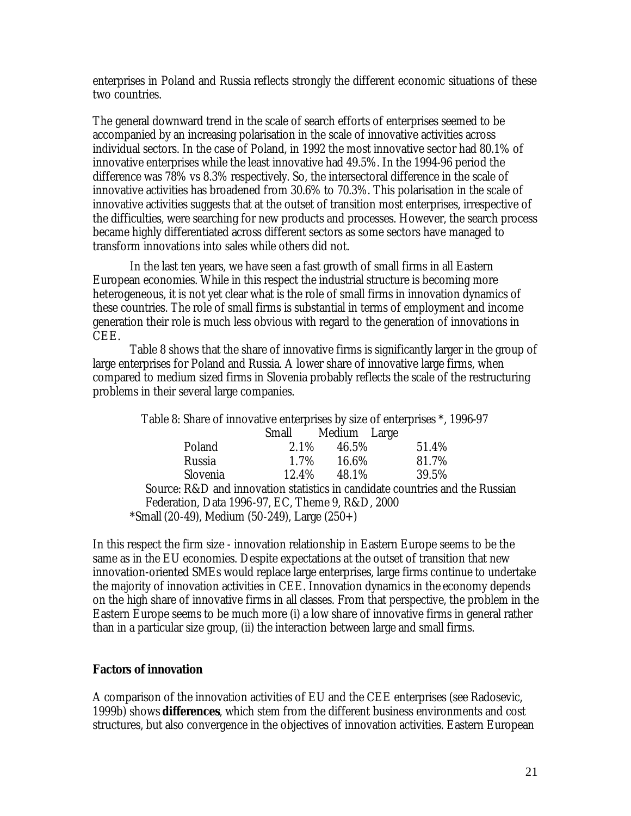enterprises in Poland and Russia reflects strongly the different economic situations of these two countries.

The general downward trend in the scale of search efforts of enterprises seemed to be accompanied by an increasing polarisation in the scale of innovative activities across individual sectors. In the case of Poland, in 1992 the most innovative sector had 80.1% of innovative enterprises while the least innovative had 49.5%. In the 1994-96 period the difference was 78% vs 8.3% respectively. So, the intersectoral difference in the scale of innovative activities has broadened from 30.6% to 70.3%. This polarisation in the scale of innovative activities suggests that at the outset of transition most enterprises, irrespective of the difficulties, were searching for new products and processes. However, the search process became highly differentiated across different sectors as some sectors have managed to transform innovations into sales while others did not.

In the last ten years, we have seen a fast growth of small firms in all Eastern European economies. While in this respect the industrial structure is becoming more heterogeneous, it is not yet clear what is the role of small firms in innovation dynamics of these countries. The role of small firms is substantial in terms of employment and income generation their role is much less obvious with regard to the generation of innovations in CEE.

Table 8 shows that the share of innovative firms is significantly larger in the group of large enterprises for Poland and Russia. A lower share of innovative large firms, when compared to medium sized firms in Slovenia probably reflects the scale of the restructuring problems in their several large companies.

| Table 8: Share of innovative enterprises by size of enterprises *, 1996-97 |               |              |                                                                              |  |  |  |  |  |
|----------------------------------------------------------------------------|---------------|--------------|------------------------------------------------------------------------------|--|--|--|--|--|
|                                                                            | Small         | Medium Large |                                                                              |  |  |  |  |  |
| Poland                                                                     | $2.1\%$ 46.5% |              | 51.4%                                                                        |  |  |  |  |  |
| Russia                                                                     | $1.7\%$ 16.6% |              | 81.7%                                                                        |  |  |  |  |  |
| Slovenia                                                                   | 12.4%         | 48.1%        | 39.5%                                                                        |  |  |  |  |  |
|                                                                            |               |              | Source: R&D and innovation statistics in candidate countries and the Russian |  |  |  |  |  |
| Federation, Data 1996-97, EC, Theme 9, R&D, 2000                           |               |              |                                                                              |  |  |  |  |  |
| *Small (20-49), Medium (50-249), Large (250+)                              |               |              |                                                                              |  |  |  |  |  |
|                                                                            |               |              |                                                                              |  |  |  |  |  |

In this respect the firm size - innovation relationship in Eastern Europe seems to be the same as in the EU economies. Despite expectations at the outset of transition that new innovation-oriented SMEs would replace large enterprises, large firms continue to undertake the majority of innovation activities in CEE. Innovation dynamics in the economy depends on the high share of innovative firms in all classes. From that perspective, the problem in the Eastern Europe seems to be much more (i) a low share of innovative firms in general rather than in a particular size group, (ii) the interaction between large and small firms.

# *Factors of innovation*

A comparison of the innovation activities of EU and the CEE enterprises (see Radosevic, 1999b) shows **differences**, which stem from the different business environments and cost structures, but also convergence in the objectives of innovation activities. Eastern European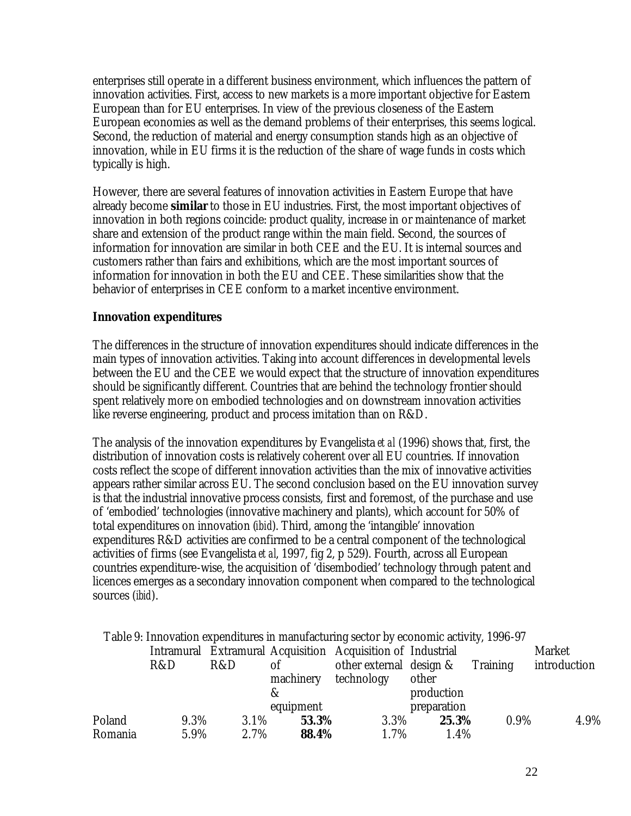enterprises still operate in a different business environment, which influences the pattern of innovation activities. First, access to new markets is a more important objective for Eastern European than for EU enterprises. In view of the previous closeness of the Eastern European economies as well as the demand problems of their enterprises, this seems logical. Second, the reduction of material and energy consumption stands high as an objective of innovation, while in EU firms it is the reduction of the share of wage funds in costs which typically is high.

However, there are several features of innovation activities in Eastern Europe that have already become **similar** to those in EU industries. First, the most important objectives of innovation in both regions coincide: product quality, increase in or maintenance of market share and extension of the product range within the main field. Second, the sources of information for innovation are similar in both CEE and the EU. It is internal sources and customers rather than fairs and exhibitions, which are the most important sources of information for innovation in both the EU and CEE. These similarities show that the behavior of enterprises in CEE conform to a market incentive environment.

# *Innovation expenditures*

The differences in the structure of innovation expenditures should indicate differences in the main types of innovation activities. Taking into account differences in developmental levels between the EU and the CEE we would expect that the structure of innovation expenditures should be significantly different. Countries that are behind the technology frontier should spent relatively more on embodied technologies and on downstream innovation activities like reverse engineering, product and process imitation than on R&D.

The analysis of the innovation expenditures by Evangelista *et al* (1996) shows that, first, the distribution of innovation costs is relatively coherent over all EU countries. If innovation costs reflect the scope of different innovation activities than the mix of innovative activities appears rather similar across EU. The second conclusion based on the EU innovation survey is that the industrial innovative process consists, first and foremost, of the purchase and use of 'embodied' technologies (innovative machinery and plants), which account for 50% of total expenditures on innovation (*ibid*). Third, among the 'intangible' innovation expenditures R&D activities are confirmed to be a central component of the technological activities of firms (see Evangelista *et al*, 1997, fig 2, p 529). Fourth, across all European countries expenditure-wise, the acquisition of 'disembodied' technology through patent and licences emerges as a secondary innovation component when compared to the technological sources (*ibid*).

|         |      |      |                      | Table 9: Innovation expenditures in manufacturing sector by economic activity, 1996-97 |             |      |              |
|---------|------|------|----------------------|----------------------------------------------------------------------------------------|-------------|------|--------------|
|         |      |      |                      | Intramural Extramural Acquisition Acquisition of Industrial                            |             |      | Market       |
|         | R&D  | R&D  | of                   | other external design $&$ Training                                                     |             |      | introduction |
|         |      |      | machinery technology |                                                                                        | other       |      |              |
|         |      |      | &                    |                                                                                        | production  |      |              |
|         |      |      | equipment            |                                                                                        | preparation |      |              |
| Poland  | 9.3% | 3.1% | 53.3%                | 3.3%                                                                                   | 25.3%       | 0.9% | 4.9%         |
| Romania | 5.9% | 2.7% | 88.4%                | 1.7%                                                                                   | 1.4%        |      |              |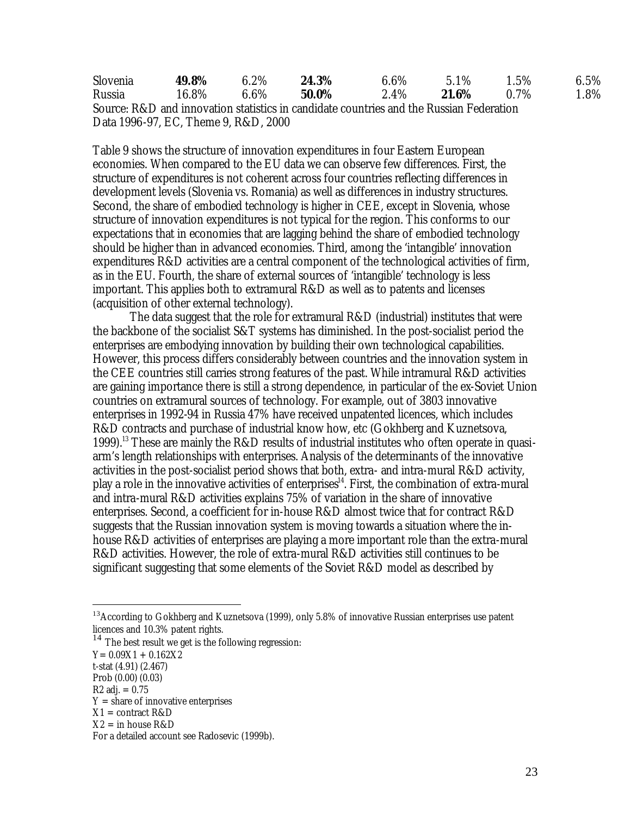| Slovenia | 49.8%                                | 6.2% | <b>24.3%</b>                                                                              | 6.6% | 5.1%  | $1.5\%$ | 6.5% |
|----------|--------------------------------------|------|-------------------------------------------------------------------------------------------|------|-------|---------|------|
| Russia   | 16.8%                                | 6.6% | 50.0%                                                                                     | 2.4% | 21.6% | $0.7\%$ | 1.8% |
|          |                                      |      | Source: $R&D$ and innovation statistics in candidate countries and the Russian Federation |      |       |         |      |
|          | Data 1996-97, EC, Theme 9, R&D, 2000 |      |                                                                                           |      |       |         |      |

Table 9 shows the structure of innovation expenditures in four Eastern European economies. When compared to the EU data we can observe few differences. First, the structure of expenditures is not coherent across four countries reflecting differences in development levels (Slovenia vs. Romania) as well as differences in industry structures. Second, the share of embodied technology is higher in CEE, except in Slovenia, whose structure of innovation expenditures is not typical for the region. This conforms to our expectations that in economies that are lagging behind the share of embodied technology should be higher than in advanced economies. Third, among the 'intangible' innovation expenditures R&D activities are a central component of the technological activities of firm, as in the EU. Fourth, the share of external sources of 'intangible' technology is less important. This applies both to extramural R&D as well as to patents and licenses (acquisition of other external technology).

The data suggest that the role for extramural R&D (industrial) institutes that were the backbone of the socialist S&T systems has diminished. In the post-socialist period the enterprises are embodying innovation by building their own technological capabilities. However, this process differs considerably between countries and the innovation system in the CEE countries still carries strong features of the past. While intramural R&D activities are gaining importance there is still a strong dependence, in particular of the ex-Soviet Union countries on extramural sources of technology. For example, out of 3803 innovative enterprises in 1992-94 in Russia 47% have received unpatented licences, which includes R&D contracts and purchase of industrial know how, etc (Gokhberg and Kuznetsova, 1999).<sup>13</sup> These are mainly the R&D results of industrial institutes who often operate in quasiarm's length relationships with enterprises. Analysis of the determinants of the innovative activities in the post-socialist period shows that both, extra- and intra-mural R&D activity, play a role in the innovative activities of enterprises<sup>14</sup>. First, the combination of extra-mural and intra-mural R&D activities explains 75% of variation in the share of innovative enterprises. Second, a coefficient for in-house R&D almost twice that for contract R&D suggests that the Russian innovation system is moving towards a situation where the inhouse R&D activities of enterprises are playing a more important role than the extra-mural R&D activities. However, the role of extra-mural R&D activities still continues to be significant suggesting that some elements of the Soviet R&D model as described by

<sup>&</sup>lt;sup>13</sup> According to Gokhberg and Kuznetsova (1999), only 5.8% of innovative Russian enterprises use patent licences and 10.3% patent rights.

<sup>&</sup>lt;sup>14</sup> The best result we get is the following regression:

 $Y= 0.09X1 + 0.162X2$ 

t-stat (4.91) (2.467)

Prob (0.00) (0.03)

 $R2$  adj. = 0.75

 $Y = share of innovative enterprises$ 

 $X1 =$  contract  $R&D$ 

 $X2 =$  in house  $R&D$ 

For a detailed account see Radosevic (1999b).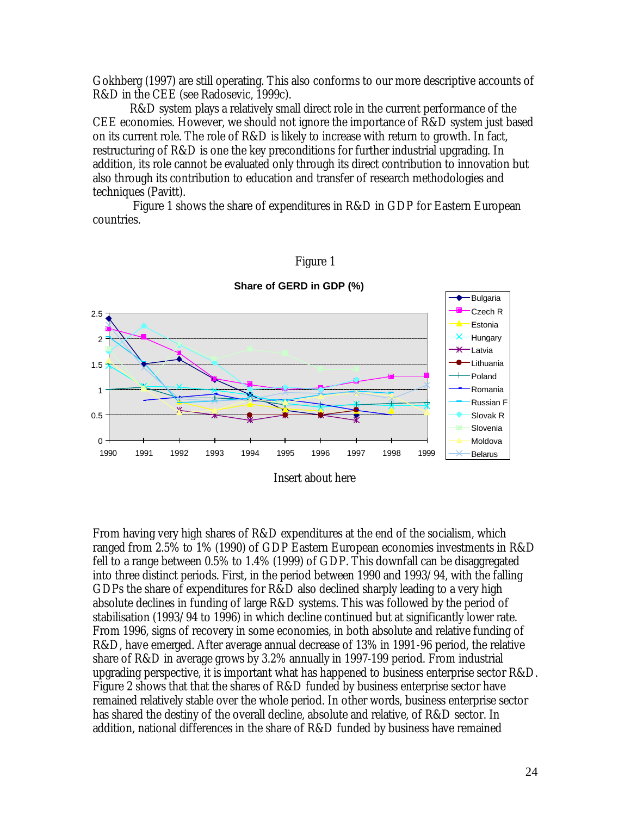Gokhberg (1997) are still operating. This also conforms to our more descriptive accounts of R&D in the CEE (see Radosevic, 1999c).

R&D system plays a relatively small direct role in the current performance of the CEE economies. However, we should not ignore the importance of R&D system just based on its current role. The role of R&D is likely to increase with return to growth. In fact, restructuring of R&D is one the key preconditions for further industrial upgrading. In addition, its role cannot be evaluated only through its direct contribution to innovation but also through its contribution to education and transfer of research methodologies and techniques (Pavitt).

 Figure 1 shows the share of expenditures in R&D in GDP for Eastern European countries.



Figure 1

From having very high shares of R&D expenditures at the end of the socialism, which ranged from 2.5% to 1% (1990) of GDP Eastern European economies investments in R&D fell to a range between 0.5% to 1.4% (1999) of GDP. This downfall can be disaggregated into three distinct periods. First, in the period between 1990 and 1993/94, with the falling GDPs the share of expenditures for R&D also declined sharply leading to a very high absolute declines in funding of large R&D systems. This was followed by the period of stabilisation (1993/94 to 1996) in which decline continued but at significantly lower rate. From 1996, signs of recovery in some economies, in both absolute and relative funding of R&D, have emerged. After average annual decrease of 13% in 1991-96 period, the relative share of R&D in average grows by 3.2% annually in 1997-199 period. From industrial upgrading perspective, it is important what has happened to business enterprise sector R&D. Figure 2 shows that that the shares of R&D funded by business enterprise sector have remained relatively stable over the whole period. In other words, business enterprise sector has shared the destiny of the overall decline, absolute and relative, of R&D sector. In addition, national differences in the share of R&D funded by business have remained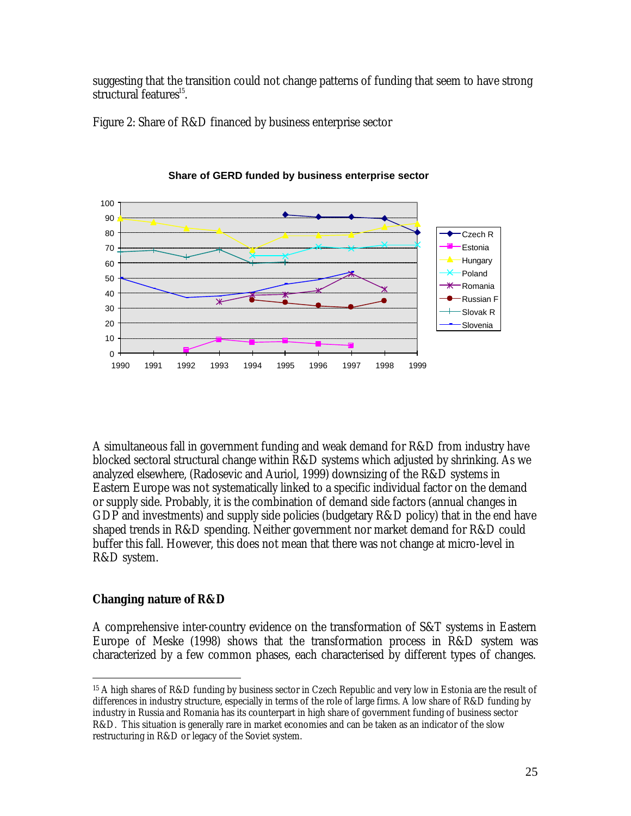suggesting that the transition could not change patterns of funding that seem to have strong structural features<sup>15</sup>.

Figure 2: Share of R&D financed by business enterprise sector



**Share of GERD funded by business enterprise sector**

A simultaneous fall in government funding and weak demand for R&D from industry have blocked sectoral structural change within R&D systems which adjusted by shrinking. As we analyzed elsewhere, (Radosevic and Auriol, 1999) downsizing of the R&D systems in Eastern Europe was not systematically linked to a specific individual factor on the demand or supply side. Probably, it is the combination of demand side factors (annual changes in GDP and investments) and supply side policies (budgetary R&D policy) that in the end have shaped trends in R&D spending. Neither government nor market demand for R&D could buffer this fall. However, this does not mean that there was not change at micro-level in R&D system.

# *Changing nature of R&D*

 $\overline{a}$ 

A comprehensive inter-country evidence on the transformation of S&T systems in Eastern Europe of Meske (1998) shows that the transformation process in R&D system was characterized by a few common phases, each characterised by different types of changes.

<sup>15</sup> A high shares of R&D funding by business sector in Czech Republic and very low in Estonia are the result of differences in industry structure, especially in terms of the role of large firms. A low share of R&D funding by industry in Russia and Romania has its counterpart in high share of government funding of business sector R&D. This situation is generally rare in market economies and can be taken as an indicator of the slow restructuring in R&D or legacy of the Soviet system.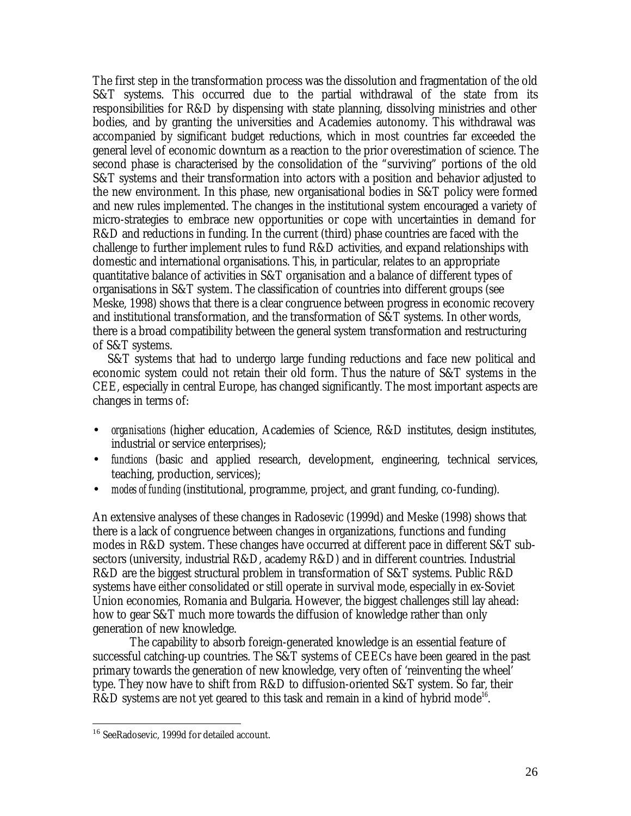The first step in the transformation process was the dissolution and fragmentation of the old S&T systems. This occurred due to the partial withdrawal of the state from its responsibilities for R&D by dispensing with state planning, dissolving ministries and other bodies, and by granting the universities and Academies autonomy. This withdrawal was accompanied by significant budget reductions, which in most countries far exceeded the general level of economic downturn as a reaction to the prior overestimation of science. The second phase is characterised by the consolidation of the "surviving" portions of the old S&T systems and their transformation into actors with a position and behavior adjusted to the new environment. In this phase, new organisational bodies in S&T policy were formed and new rules implemented. The changes in the institutional system encouraged a variety of micro-strategies to embrace new opportunities or cope with uncertainties in demand for R&D and reductions in funding. In the current (third) phase countries are faced with the challenge to further implement rules to fund R&D activities, and expand relationships with domestic and international organisations. This, in particular, relates to an appropriate quantitative balance of activities in S&T organisation and a balance of different types of organisations in S&T system. The classification of countries into different groups (see Meske, 1998) shows that there is a clear congruence between progress in economic recovery and institutional transformation, and the transformation of S&T systems. In other words, there is a broad compatibility between the general system transformation and restructuring of S&T systems.

S&T systems that had to undergo large funding reductions and face new political and economic system could not retain their old form. Thus the nature of S&T systems in the CEE, especially in central Europe, has changed significantly. The most important aspects are changes in terms of:

- *organisations* (higher education, Academies of Science, R&D institutes, design institutes, industrial or service enterprises);
- *functions* (basic and applied research, development, engineering, technical services, teaching, production, services);
- *modes of funding* (institutional, programme, project, and grant funding, co-funding).

An extensive analyses of these changes in Radosevic (1999d) and Meske (1998) shows that there is a lack of congruence between changes in organizations, functions and funding modes in R&D system. These changes have occurred at different pace in different S&T subsectors (university, industrial R&D, academy R&D) and in different countries. Industrial R&D are the biggest structural problem in transformation of S&T systems. Public R&D systems have either consolidated or still operate in survival mode, especially in ex-Soviet Union economies, Romania and Bulgaria. However, the biggest challenges still lay ahead: how to gear S&T much more towards the diffusion of knowledge rather than only generation of new knowledge.

The capability to absorb foreign-generated knowledge is an essential feature of successful catching-up countries. The S&T systems of CEECs have been geared in the past primary towards the generation of new knowledge, very often of 'reinventing the wheel' type. They now have to shift from R&D to diffusion-oriented S&T system. So far, their  $\rm R\&D$  systems are not yet geared to this task and remain in a kind of hybrid mode $^{16}$ .

<sup>16</sup> SeeRadosevic, 1999d for detailed account.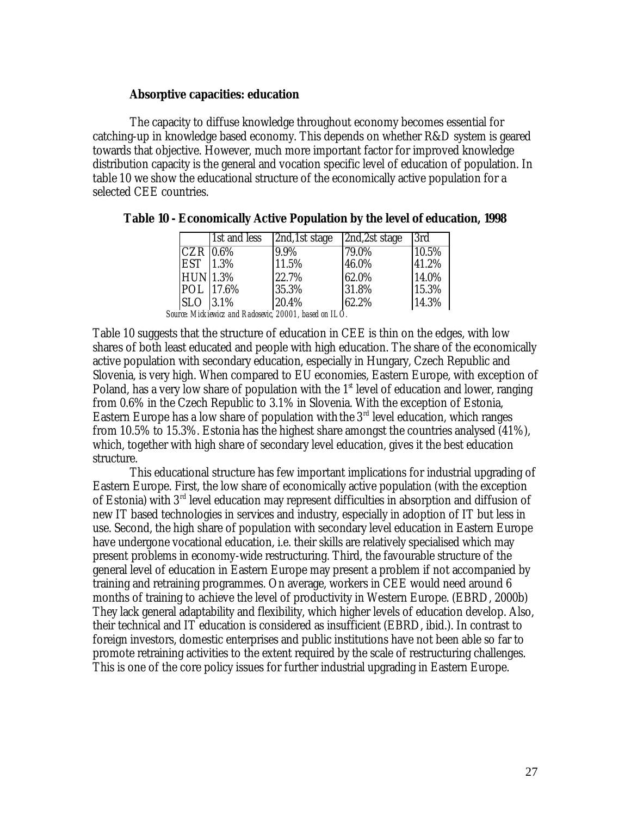#### *Absorptive capacities: education*

The capacity to diffuse knowledge throughout economy becomes essential for catching-up in knowledge based economy. This depends on whether R&D system is geared towards that objective. However, much more important factor for improved knowledge distribution capacity is the general and vocation specific level of education of population. In table 10 we show the educational structure of the economically active population for a selected CEE countries.

|                 | 1st and less | 2nd, 1st stage | 2nd,2st stage | 3rd   |
|-----------------|--------------|----------------|---------------|-------|
| $CZR$ 0.6%      |              | 9.9%           | 79.0%         | 10.5% |
| <b>EST</b> 1.3% |              | 11.5%          | 46.0%         | 41.2% |
| $HUN$ 1.3%      |              | 22.7%          | 62.0%         | 14.0% |
|                 | POL 17.6%    | 35.3%          | 31.8%         | 15.3% |
| $SLO$ 3.1%      |              | 20.4%          | 62.2%         | 14.3% |

*Source: Mickiewicz and Radosevic, 20001, based on ILO.*

Table 10 suggests that the structure of education in CEE is thin on the edges, with low shares of both least educated and people with high education. The share of the economically active population with secondary education, especially in Hungary, Czech Republic and Slovenia, is very high. When compared to EU economies, Eastern Europe, with exception of Poland, has a very low share of population with the  $1<sup>{st}</sup>$  level of education and lower, ranging from 0.6% in the Czech Republic to 3.1% in Slovenia. With the exception of Estonia, Eastern Europe has a low share of population with the  $3<sup>rd</sup>$  level education, which ranges from 10.5% to 15.3%. Estonia has the highest share amongst the countries analysed (41%), which, together with high share of secondary level education, gives it the best education structure.

This educational structure has few important implications for industrial upgrading of Eastern Europe. First, the low share of economically active population (with the exception of Estonia) with 3<sup>rd</sup> level education may represent difficulties in absorption and diffusion of new IT based technologies in services and industry, especially in adoption of IT but less in use. Second, the high share of population with secondary level education in Eastern Europe have undergone vocational education, i.e. their skills are relatively specialised which may present problems in economy-wide restructuring. Third, the favourable structure of the general level of education in Eastern Europe may present a problem if not accompanied by training and retraining programmes. On average, workers in CEE would need around 6 months of training to achieve the level of productivity in Western Europe. (EBRD, 2000b) They lack general adaptability and flexibility, which higher levels of education develop. Also, their technical and IT education is considered as insufficient (EBRD, ibid.). In contrast to foreign investors, domestic enterprises and public institutions have not been able so far to promote retraining activities to the extent required by the scale of restructuring challenges. This is one of the core policy issues for further industrial upgrading in Eastern Europe.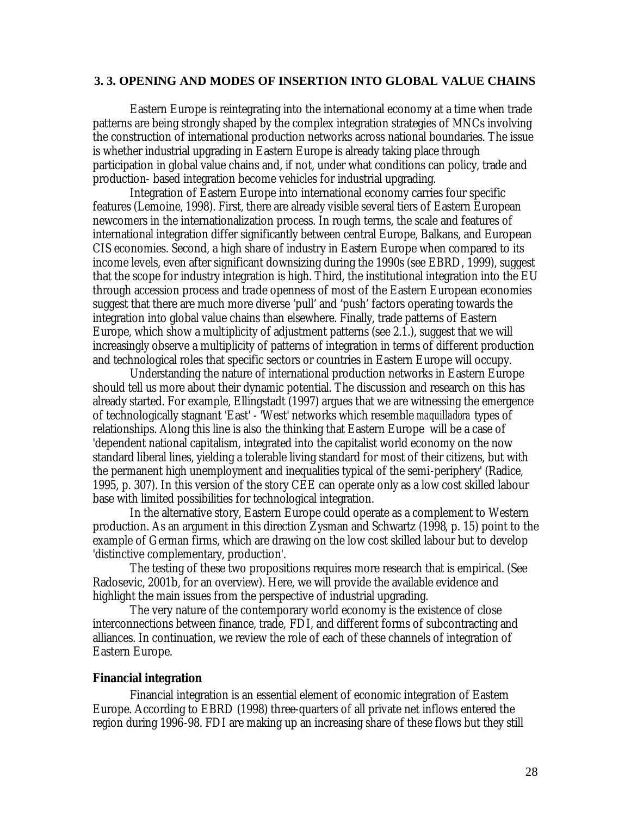## **3. 3. OPENING AND MODES OF INSERTION INTO GLOBAL VALUE CHAINS**

Eastern Europe is reintegrating into the international economy at a time when trade patterns are being strongly shaped by the complex integration strategies of MNCs involving the construction of international production networks across national boundaries. The issue is whether industrial upgrading in Eastern Europe is already taking place through participation in global value chains and, if not, under what conditions can policy, trade and production- based integration become vehicles for industrial upgrading.

Integration of Eastern Europe into international economy carries four specific features (Lemoine, 1998). First, there are already visible several tiers of Eastern European newcomers in the internationalization process. In rough terms, the scale and features of international integration differ significantly between central Europe, Balkans, and European CIS economies. Second, a high share of industry in Eastern Europe when compared to its income levels, even after significant downsizing during the 1990s (see EBRD, 1999), suggest that the scope for industry integration is high. Third, the institutional integration into the EU through accession process and trade openness of most of the Eastern European economies suggest that there are much more diverse 'pull' and 'push' factors operating towards the integration into global value chains than elsewhere. Finally, trade patterns of Eastern Europe, which show a multiplicity of adjustment patterns (see 2.1.), suggest that we will increasingly observe a multiplicity of patterns of integration in terms of different production and technological roles that specific sectors or countries in Eastern Europe will occupy.

Understanding the nature of international production networks in Eastern Europe should tell us more about their dynamic potential. The discussion and research on this has already started. For example, Ellingstadt (1997) argues that we are witnessing the emergence of technologically stagnant 'East' - 'West' networks which resemble *maquilladora* types of relationships. Along this line is also the thinking that Eastern Europe will be a case of 'dependent national capitalism, integrated into the capitalist world economy on the now standard liberal lines, yielding a tolerable living standard for most of their citizens, but with the permanent high unemployment and inequalities typical of the semi-periphery' (Radice, 1995, p. 307). In this version of the story CEE can operate only as a low cost skilled labour base with limited possibilities for technological integration.

In the alternative story, Eastern Europe could operate as a complement to Western production. As an argument in this direction Zysman and Schwartz (1998, p. 15) point to the example of German firms, which are drawing on the low cost skilled labour but to develop 'distinctive complementary, production'.

The testing of these two propositions requires more research that is empirical. (See Radosevic, 2001b, for an overview). Here, we will provide the available evidence and highlight the main issues from the perspective of industrial upgrading.

The very nature of the contemporary world economy is the existence of close interconnections between finance, trade, FDI, and different forms of subcontracting and alliances. In continuation, we review the role of each of these channels of integration of Eastern Europe.

#### *Financial integration*

Financial integration is an essential element of economic integration of Eastern Europe. According to EBRD (1998) three-quarters of all private net inflows entered the region during 1996-98. FDI are making up an increasing share of these flows but they still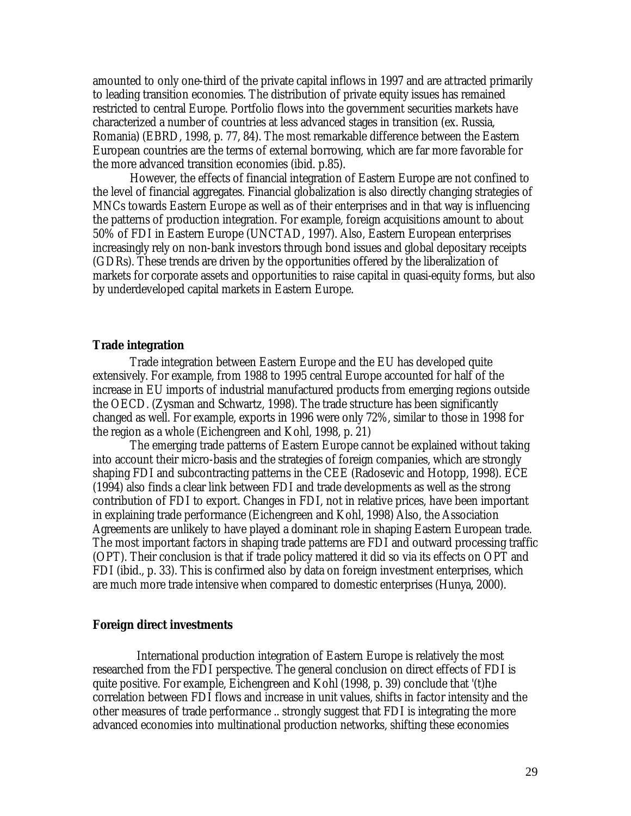amounted to only one-third of the private capital inflows in 1997 and are attracted primarily to leading transition economies. The distribution of private equity issues has remained restricted to central Europe. Portfolio flows into the government securities markets have characterized a number of countries at less advanced stages in transition (ex. Russia, Romania) (EBRD, 1998, p. 77, 84). The most remarkable difference between the Eastern European countries are the terms of external borrowing, which are far more favorable for the more advanced transition economies (ibid. p.85).

However, the effects of financial integration of Eastern Europe are not confined to the level of financial aggregates. Financial globalization is also directly changing strategies of MNCs towards Eastern Europe as well as of their enterprises and in that way is influencing the patterns of production integration. For example, foreign acquisitions amount to about 50% of FDI in Eastern Europe (UNCTAD, 1997). Also, Eastern European enterprises increasingly rely on non-bank investors through bond issues and global depositary receipts (GDRs). These trends are driven by the opportunities offered by the liberalization of markets for corporate assets and opportunities to raise capital in quasi-equity forms, but also by underdeveloped capital markets in Eastern Europe.

### *Trade integration*

Trade integration between Eastern Europe and the EU has developed quite extensively. For example, from 1988 to 1995 central Europe accounted for half of the increase in EU imports of industrial manufactured products from emerging regions outside the OECD. (Zysman and Schwartz, 1998). The trade structure has been significantly changed as well. For example, exports in 1996 were only 72%, similar to those in 1998 for the region as a whole (Eichengreen and Kohl, 1998, p. 21)

The emerging trade patterns of Eastern Europe cannot be explained without taking into account their micro-basis and the strategies of foreign companies, which are strongly shaping FDI and subcontracting patterns in the CEE (Radosevic and Hotopp, 1998). ECE (1994) also finds a clear link between FDI and trade developments as well as the strong contribution of FDI to export. Changes in FDI, not in relative prices, have been important in explaining trade performance (Eichengreen and Kohl, 1998) Also, the Association Agreements are unlikely to have played a dominant role in shaping Eastern European trade. The most important factors in shaping trade patterns are FDI and outward processing traffic (OPT). Their conclusion is that if trade policy mattered it did so via its effects on OPT and FDI (ibid., p. 33). This is confirmed also by data on foreign investment enterprises, which are much more trade intensive when compared to domestic enterprises (Hunya, 2000).

### *Foreign direct investments*

International production integration of Eastern Europe is relatively the most researched from the FDI perspective. The general conclusion on direct effects of FDI is quite positive. For example, Eichengreen and Kohl (1998, p. 39) conclude that '(t)he correlation between FDI flows and increase in unit values, shifts in factor intensity and the other measures of trade performance .. strongly suggest that FDI is integrating the more advanced economies into multinational production networks, shifting these economies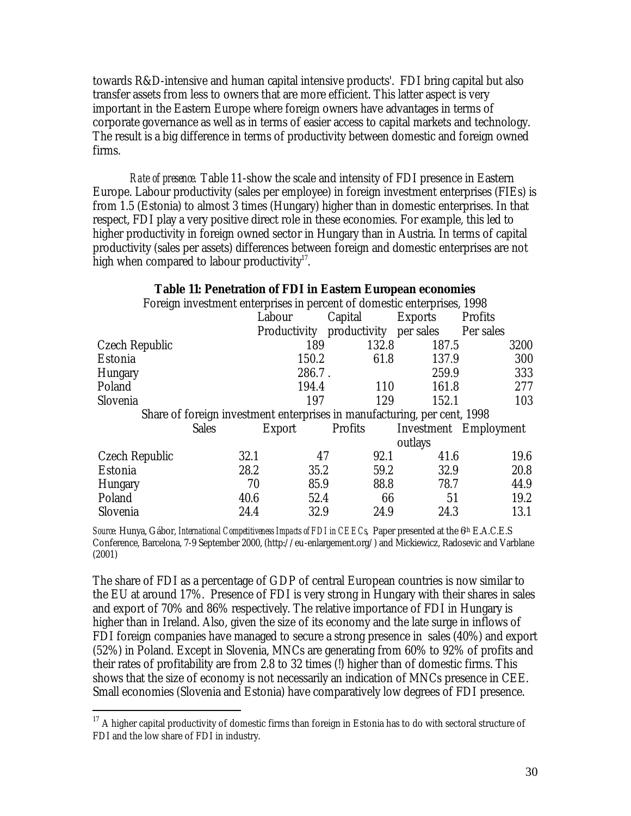towards R&D-intensive and human capital intensive products'. FDI bring capital but also transfer assets from less to owners that are more efficient. This latter aspect is very important in the Eastern Europe where foreign owners have advantages in terms of corporate governance as well as in terms of easier access to capital markets and technology. The result is a big difference in terms of productivity between domestic and foreign owned firms.

*Rate of presence.* Table 11-show the scale and intensity of FDI presence in Eastern Europe. Labour productivity (sales per employee) in foreign investment enterprises (FIEs) is from 1.5 (Estonia) to almost 3 times (Hungary) higher than in domestic enterprises. In that respect, FDI play a very positive direct role in these economies. For example, this led to higher productivity in foreign owned sector in Hungary than in Austria. In terms of capital productivity (sales per assets) differences between foreign and domestic enterprises are not high when compared to labour productivity $17$ .

# **Table 11: Penetration of FDI in Eastern European economies**

|                                                                          | Foreign investment enterprises in percent of domestic enterprises, 1998 |        |                                     |                |                       |  |  |
|--------------------------------------------------------------------------|-------------------------------------------------------------------------|--------|-------------------------------------|----------------|-----------------------|--|--|
|                                                                          |                                                                         | Labour | Capital                             | <b>Exports</b> | Profits               |  |  |
|                                                                          |                                                                         |        | Productivity productivity per sales |                | Per sales             |  |  |
| Czech Republic                                                           |                                                                         | 189    | 132.8                               | 187.5          | 3200                  |  |  |
| Estonia                                                                  |                                                                         | 150.2  | 61.8                                | 137.9          | 300                   |  |  |
| <b>Hungary</b>                                                           |                                                                         | 286.7. |                                     | 259.9          | 333                   |  |  |
| Poland                                                                   |                                                                         | 194.4  | 110                                 | 161.8          | 277                   |  |  |
| Slovenia                                                                 |                                                                         | 197    | 129                                 | 152.1          | 103                   |  |  |
| Share of foreign investment enterprises in manufacturing, per cent, 1998 |                                                                         |        |                                     |                |                       |  |  |
|                                                                          | <b>Sales</b>                                                            | Export | Profits                             |                | Investment Employment |  |  |
|                                                                          |                                                                         |        |                                     | outlays        |                       |  |  |
| <b>Czech Republic</b>                                                    | 32.1                                                                    | 47     | 92.1                                | 41.6           | 19.6                  |  |  |
| Estonia                                                                  | 28.2                                                                    | 35.2   | 59.2                                | 32.9           | 20.8                  |  |  |
| Hungary                                                                  | 70                                                                      | 85.9   | 88.8                                | 78.7           | 44.9                  |  |  |
| Poland                                                                   | 40.6                                                                    | 52.4   | 66                                  | 51             | 19.2                  |  |  |
| Slovenia                                                                 | 24.4                                                                    | 32.9   | 24.9                                | 24.3           | 13.1                  |  |  |

*Source:* Hunya, Gábor, *International Competitiveness Impacts of FDI in CEECs*, Paper presented at the 6th E.A.C.E.S Conference, Barcelona, 7-9 September 2000, (http://eu-enlargement.org/) and Mickiewicz, Radosevic and Varblane (2001)

The share of FDI as a percentage of GDP of central European countries is now similar to the EU at around 17%. Presence of FDI is very strong in Hungary with their shares in sales and export of 70% and 86% respectively. The relative importance of FDI in Hungary is higher than in Ireland. Also, given the size of its economy and the late surge in inflows of FDI foreign companies have managed to secure a strong presence in sales (40%) and export (52%) in Poland. Except in Slovenia, MNCs are generating from 60% to 92% of profits and their rates of profitability are from 2.8 to 32 times (!) higher than of domestic firms. This shows that the size of economy is not necessarily an indication of MNCs presence in CEE. Small economies (Slovenia and Estonia) have comparatively low degrees of FDI presence.

 $^{17}$  A higher capital productivity of domestic firms than foreign in Estonia has to do with sectoral structure of FDI and the low share of FDI in industry.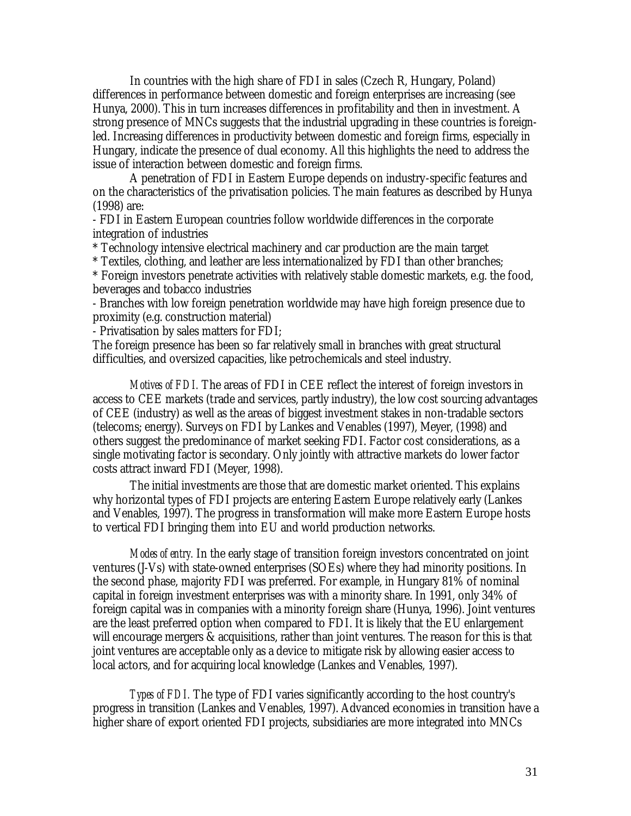In countries with the high share of FDI in sales (Czech R, Hungary, Poland) differences in performance between domestic and foreign enterprises are increasing (see Hunya, 2000). This in turn increases differences in profitability and then in investment. A strong presence of MNCs suggests that the industrial upgrading in these countries is foreignled. Increasing differences in productivity between domestic and foreign firms, especially in Hungary, indicate the presence of dual economy. All this highlights the need to address the issue of interaction between domestic and foreign firms.

A penetration of FDI in Eastern Europe depends on industry-specific features and on the characteristics of the privatisation policies. The main features as described by Hunya (1998) are:

- FDI in Eastern European countries follow worldwide differences in the corporate integration of industries

\* Technology intensive electrical machinery and car production are the main target

\* Textiles, clothing, and leather are less internationalized by FDI than other branches;

\* Foreign investors penetrate activities with relatively stable domestic markets, e.g. the food, beverages and tobacco industries

- Branches with low foreign penetration worldwide may have high foreign presence due to proximity (e.g. construction material)

- Privatisation by sales matters for FDI;

The foreign presence has been so far relatively small in branches with great structural difficulties, and oversized capacities, like petrochemicals and steel industry.

*Motives of FDI.* The areas of FDI in CEE reflect the interest of foreign investors in access to CEE markets (trade and services, partly industry), the low cost sourcing advantages of CEE (industry) as well as the areas of biggest investment stakes in non-tradable sectors (telecoms; energy). Surveys on FDI by Lankes and Venables (1997), Meyer, (1998) and others suggest the predominance of market seeking FDI. Factor cost considerations, as a single motivating factor is secondary. Only jointly with attractive markets do lower factor costs attract inward FDI (Meyer, 1998).

The initial investments are those that are domestic market oriented. This explains why horizontal types of FDI projects are entering Eastern Europe relatively early (Lankes and Venables, 1997). The progress in transformation will make more Eastern Europe hosts to vertical FDI bringing them into EU and world production networks.

*Modes of entry.* In the early stage of transition foreign investors concentrated on joint ventures (J-Vs) with state-owned enterprises (SOEs) where they had minority positions. In the second phase, majority FDI was preferred. For example, in Hungary 81% of nominal capital in foreign investment enterprises was with a minority share. In 1991, only 34% of foreign capital was in companies with a minority foreign share (Hunya, 1996). Joint ventures are the least preferred option when compared to FDI. It is likely that the EU enlargement will encourage mergers & acquisitions, rather than joint ventures. The reason for this is that joint ventures are acceptable only as a device to mitigate risk by allowing easier access to local actors, and for acquiring local knowledge (Lankes and Venables, 1997).

*Types of FDI.* The type of FDI varies significantly according to the host country's progress in transition (Lankes and Venables, 1997). Advanced economies in transition have a higher share of export oriented FDI projects, subsidiaries are more integrated into MNCs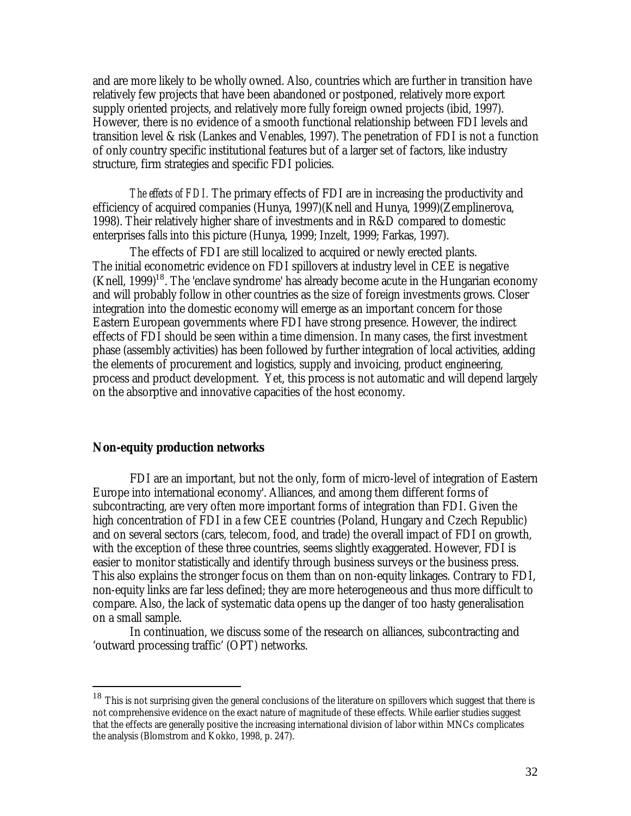and are more likely to be wholly owned. Also, countries which are further in transition have relatively few projects that have been abandoned or postponed, relatively more export supply oriented projects, and relatively more fully foreign owned projects (ibid, 1997). However, there is no evidence of a smooth functional relationship between FDI levels and transition level & risk (Lankes and Venables, 1997). The penetration of FDI is not a function of only country specific institutional features but of a larger set of factors, like industry structure, firm strategies and specific FDI policies.

*The effects of FDI.* The primary effects of FDI are in increasing the productivity and efficiency of acquired companies (Hunya, 1997)(Knell and Hunya, 1999)(Zemplinerova, 1998). Their relatively higher share of investments and in R&D compared to domestic enterprises falls into this picture (Hunya, 1999; Inzelt, 1999; Farkas, 1997).

The effects of FDI are still localized to acquired or newly erected plants. The initial econometric evidence on FDI spillovers at industry level in CEE is negative  $(Knel, 1999)^{18}$ . The 'enclave syndrome' has already become acute in the Hungarian economy and will probably follow in other countries as the size of foreign investments grows. Closer integration into the domestic economy will emerge as an important concern for those Eastern European governments where FDI have strong presence. However, the indirect effects of FDI should be seen within a time dimension. In many cases, the first investment phase (assembly activities) has been followed by further integration of local activities, adding the elements of procurement and logistics, supply and invoicing, product engineering, process and product development. Yet, this process is not automatic and will depend largely on the absorptive and innovative capacities of the host economy.

### **Non-equity production networks**

 $\overline{a}$ 

FDI are an important, but not the only, form of micro-level of integration of Eastern Europe into international economy'. Alliances, and among them different forms of subcontracting, are very often more important forms of integration than FDI. Given the high concentration of FDI in a few CEE countries (Poland, Hungary and Czech Republic) and on several sectors (cars, telecom, food, and trade) the overall impact of FDI on growth, with the exception of these three countries, seems slightly exaggerated. However, FDI is easier to monitor statistically and identify through business surveys or the business press. This also explains the stronger focus on them than on non-equity linkages. Contrary to FDI, non-equity links are far less defined; they are more heterogeneous and thus more difficult to compare. Also, the lack of systematic data opens up the danger of too hasty generalisation on a small sample.

In continuation, we discuss some of the research on alliances, subcontracting and 'outward processing traffic' (OPT) networks.

 $^{18}$  This is not surprising given the general conclusions of the literature on spillovers which suggest that there is not comprehensive evidence on the exact nature of magnitude of these effects. While earlier studies suggest that the effects are generally positive the increasing international division of labor within MNCs complicates the analysis (Blomstrom and Kokko, 1998, p. 247).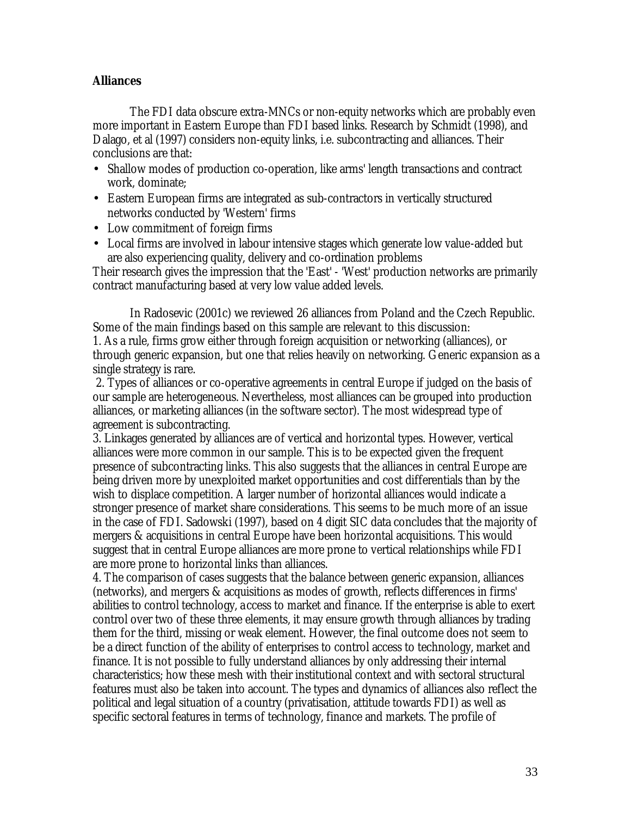# *Alliances*

The FDI data obscure extra-MNCs or non-equity networks which are probably even more important in Eastern Europe than FDI based links. Research by Schmidt (1998), and Dalago, et al (1997) considers non-equity links, i.e. subcontracting and alliances. Their conclusions are that:

- Shallow modes of production co-operation, like arms' length transactions and contract work, dominate;
- Eastern European firms are integrated as sub-contractors in vertically structured networks conducted by 'Western' firms
- Low commitment of foreign firms
- Local firms are involved in labour intensive stages which generate low value-added but are also experiencing quality, delivery and co-ordination problems

Their research gives the impression that the 'East' - 'West' production networks are primarily contract manufacturing based at very low value added levels.

In Radosevic (2001c) we reviewed 26 alliances from Poland and the Czech Republic. Some of the main findings based on this sample are relevant to this discussion: 1. As a rule, firms grow either through foreign acquisition or networking (alliances), or through generic expansion, but one that relies heavily on networking. Generic expansion as a single strategy is rare.

 2. Types of alliances or co-operative agreements in central Europe if judged on the basis of our sample are heterogeneous. Nevertheless, most alliances can be grouped into production alliances, or marketing alliances (in the software sector). The most widespread type of agreement is subcontracting.

3. Linkages generated by alliances are of vertical and horizontal types. However, vertical alliances were more common in our sample. This is to be expected given the frequent presence of subcontracting links. This also suggests that the alliances in central Europe are being driven more by unexploited market opportunities and cost differentials than by the wish to displace competition. A larger number of horizontal alliances would indicate a stronger presence of market share considerations. This seems to be much more of an issue in the case of FDI. Sadowski (1997), based on 4 digit SIC data concludes that the majority of mergers & acquisitions in central Europe have been horizontal acquisitions. This would suggest that in central Europe alliances are more prone to vertical relationships while FDI are more prone to horizontal links than alliances.

4. The comparison of cases suggests that the balance between generic expansion, alliances (networks), and mergers & acquisitions as modes of growth, reflects differences in firms' abilities to control technology, a ccess to market and finance. If the enterprise is able to exert control over two of these three elements, it may ensure growth through alliances by trading them for the third, missing or weak element. However, the final outcome does not seem to be a direct function of the ability of enterprises to control access to technology, market and finance. It is not possible to fully understand alliances by only addressing their internal characteristics; how these mesh with their institutional context and with sectoral structural features must also be taken into account. The types and dynamics of alliances also reflect the political and legal situation of a country (privatisation, attitude towards FDI) as well as specific sectoral features in terms of technology, finance and markets. The profile of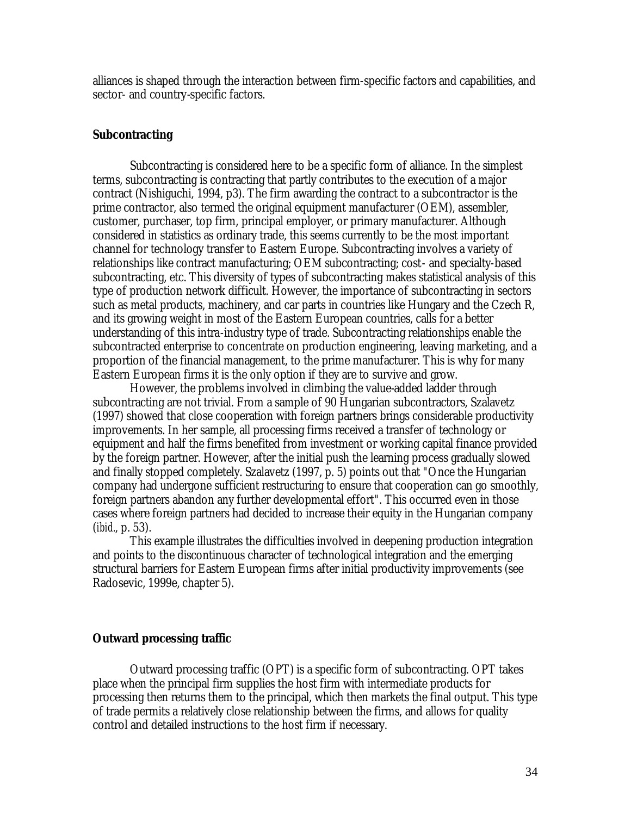alliances is shaped through the interaction between firm-specific factors and capabilities, and sector- and country-specific factors.

## *Subcontracting*

Subcontracting is considered here to be a specific form of alliance. In the simplest terms, subcontracting is contracting that partly contributes to the execution of a major contract (Nishiguchi, 1994, p3). The firm awarding the contract to a subcontractor is the prime contractor, also termed the original equipment manufacturer (OEM), assembler, customer, purchaser, top firm, principal employer, or primary manufacturer. Although considered in statistics as ordinary trade, this seems currently to be the most important channel for technology transfer to Eastern Europe. Subcontracting involves a variety of relationships like contract manufacturing; OEM subcontracting; cost- and specialty-based subcontracting, etc. This diversity of types of subcontracting makes statistical analysis of this type of production network difficult. However, the importance of subcontracting in sectors such as metal products, machinery, and car parts in countries like Hungary and the Czech R, and its growing weight in most of the Eastern European countries, calls for a better understanding of this intra-industry type of trade. Subcontracting relationships enable the subcontracted enterprise to concentrate on production engineering, leaving marketing, and a proportion of the financial management, to the prime manufacturer. This is why for many Eastern European firms it is the only option if they are to survive and grow.

However, the problems involved in climbing the value-added ladder through subcontracting are not trivial. From a sample of 90 Hungarian subcontractors, Szalavetz (1997) showed that close cooperation with foreign partners brings considerable productivity improvements. In her sample, all processing firms received a transfer of technology or equipment and half the firms benefited from investment or working capital finance provided by the foreign partner. However, after the initial push the learning process gradually slowed and finally stopped completely. Szalavetz (1997, p. 5) points out that "Once the Hungarian company had undergone sufficient restructuring to ensure that cooperation can go smoothly, foreign partners abandon any further developmental effort". This occurred even in those cases where foreign partners had decided to increase their equity in the Hungarian company (*ibid.*, p. 53).

This example illustrates the difficulties involved in deepening production integration and points to the discontinuous character of technological integration and the emerging structural barriers for Eastern European firms after initial productivity improvements (see Radosevic, 1999e, chapter 5).

## *Outward processing traffic*

Outward processing traffic (OPT) is a specific form of subcontracting. OPT takes place when the principal firm supplies the host firm with intermediate products for processing then returns them to the principal, which then markets the final output. This type of trade permits a relatively close relationship between the firms, and allows for quality control and detailed instructions to the host firm if necessary.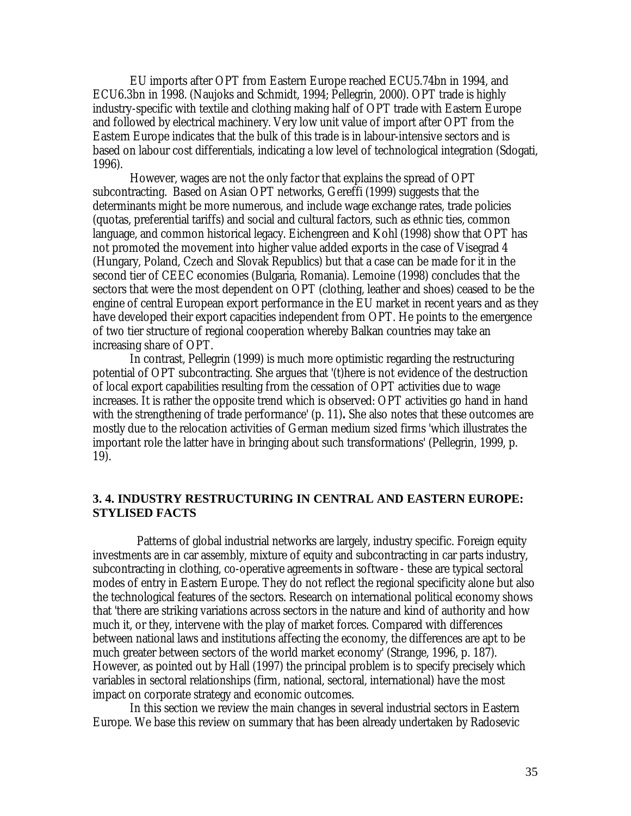EU imports after OPT from Eastern Europe reached ECU5.74bn in 1994, and ECU6.3bn in 1998. (Naujoks and Schmidt, 1994; Pellegrin, 2000). OPT trade is highly industry-specific with textile and clothing making half of OPT trade with Eastern Europe and followed by electrical machinery. Very low unit value of import after OPT from the Eastern Europe indicates that the bulk of this trade is in labour-intensive sectors and is based on labour cost differentials, indicating a low level of technological integration (Sdogati, 1996).

However, wages are not the only factor that explains the spread of OPT subcontracting. Based on Asian OPT networks, Gereffi (1999) suggests that the determinants might be more numerous, and include wage exchange rates, trade policies (quotas, preferential tariffs) and social and cultural factors, such as ethnic ties, common language, and common historical legacy. Eichengreen and Kohl (1998) show that OPT has not promoted the movement into higher value added exports in the case of Visegrad 4 (Hungary, Poland, Czech and Slovak Republics) but that a case can be made for it in the second tier of CEEC economies (Bulgaria, Romania). Lemoine (1998) concludes that the sectors that were the most dependent on OPT (clothing, leather and shoes) ceased to be the engine of central European export performance in the EU market in recent years and as they have developed their export capacities independent from OPT. He points to the emergence of two tier structure of regional cooperation whereby Balkan countries may take an increasing share of OPT.

In contrast, Pellegrin (1999) is much more optimistic regarding the restructuring potential of OPT subcontracting. She argues that '(t)here is not evidence of the destruction of local export capabilities resulting from the cessation of OPT activities due to wage increases. It is rather the opposite trend which is observed: OPT activities go hand in hand with the strengthening of trade performance' (p. 11)**.** She also notes that these outcomes are mostly due to the relocation activities of German medium sized firms 'which illustrates the important role the latter have in bringing about such transformations' (Pellegrin, 1999, p. 19).

## **3. 4. INDUSTRY RESTRUCTURING IN CENTRAL AND EASTERN EUROPE: STYLISED FACTS**

Patterns of global industrial networks are largely, industry specific. Foreign equity investments are in car assembly, mixture of equity and subcontracting in car parts industry, subcontracting in clothing, co-operative agreements in software - these are typical sectoral modes of entry in Eastern Europe. They do not reflect the regional specificity alone but also the technological features of the sectors. Research on international political economy shows that 'there are striking variations across sectors in the nature and kind of authority and how much it, or they, intervene with the play of market forces. Compared with differences between national laws and institutions affecting the economy, the differences are apt to be much greater between sectors of the world market economy' (Strange, 1996, p. 187). However, as pointed out by Hall (1997) the principal problem is to specify precisely which variables in sectoral relationships (firm, national, sectoral, international) have the most impact on corporate strategy and economic outcomes.

In this section we review the main changes in several industrial sectors in Eastern Europe. We base this review on summary that has been already undertaken by Radosevic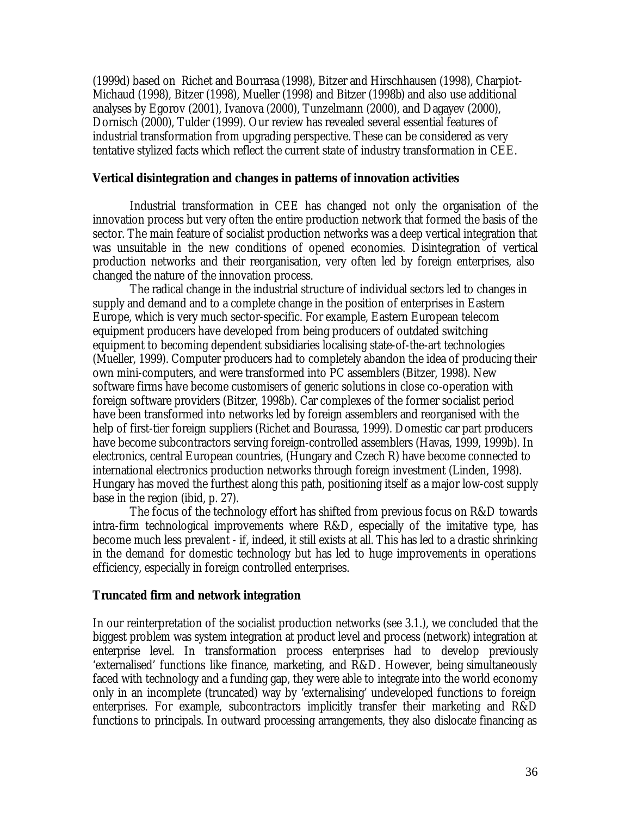(1999d) based on Richet and Bourrasa (1998), Bitzer and Hirschhausen (1998), Charpiot-Michaud (1998), Bitzer (1998), Mueller (1998) and Bitzer (1998b) and also use additional analyses by Egorov (2001), Ivanova (2000), Tunzelmann (2000), and Dagayev (2000), Dornisch (2000), Tulder (1999). Our review has revealed several essential features of industrial transformation from upgrading perspective. These can be considered as very tentative stylized facts which reflect the current state of industry transformation in CEE.

## **Vertical disintegration and changes in patterns of innovation activities**

Industrial transformation in CEE has changed not only the organisation of the innovation process but very often the entire production network that formed the basis of the sector. The main feature of socialist production networks was a deep vertical integration that was unsuitable in the new conditions of opened economies. Disintegration of vertical production networks and their reorganisation, very often led by foreign enterprises, also changed the nature of the innovation process.

The radical change in the industrial structure of individual sectors led to changes in supply and demand and to a complete change in the position of enterprises in Eastern Europe, which is very much sector-specific. For example, Eastern European telecom equipment producers have developed from being producers of outdated switching equipment to becoming dependent subsidiaries localising state-of-the-art technologies (Mueller, 1999). Computer producers had to completely abandon the idea of producing their own mini-computers, and were transformed into PC assemblers (Bitzer, 1998). New software firms have become customisers of generic solutions in close co-operation with foreign software providers (Bitzer, 1998b). Car complexes of the former socialist period have been transformed into networks led by foreign assemblers and reorganised with the help of first-tier foreign suppliers (Richet and Bourassa, 1999). Domestic car part producers have become subcontractors serving foreign-controlled assemblers (Havas, 1999, 1999b). In electronics, central European countries, (Hungary and Czech R) have become connected to international electronics production networks through foreign investment (Linden, 1998). Hungary has moved the furthest along this path, positioning itself as a major low-cost supply base in the region (ibid, p. 27).

The focus of the technology effort has shifted from previous focus on R&D towards intra-firm technological improvements where R&D, especially of the imitative type, has become much less prevalent - if, indeed, it still exists at all. This has led to a drastic shrinking in the demand for domestic technology but has led to huge improvements in operations efficiency, especially in foreign controlled enterprises.

## **Truncated firm and network integration**

In our reinterpretation of the socialist production networks (see 3.1.), we concluded that the biggest problem was system integration at product level and process (network) integration at enterprise level. In transformation process enterprises had to develop previously 'externalised' functions like finance, marketing, and R&D. However, being simultaneously faced with technology and a funding gap, they were able to integrate into the world economy only in an incomplete (truncated) way by 'externalising' undeveloped functions to foreign enterprises. For example, subcontractors implicitly transfer their marketing and R&D functions to principals. In outward processing arrangements, they also dislocate financing as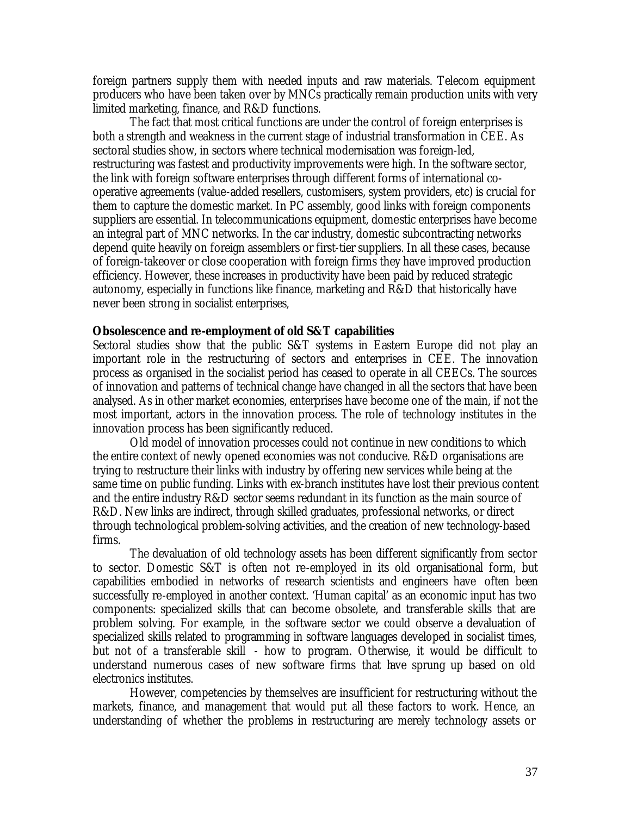foreign partners supply them with needed inputs and raw materials. Telecom equipment producers who have been taken over by MNCs practically remain production units with very limited marketing, finance, and R&D functions.

The fact that most critical functions are under the control of foreign enterprises is both a strength and weakness in the current stage of industrial transformation in CEE. As sectoral studies show, in sectors where technical modernisation was foreign-led, restructuring was fastest and productivity improvements were high. In the software sector, the link with foreign software enterprises through different forms of international cooperative agreements (value-added resellers, customisers, system providers, etc) is crucial for them to capture the domestic market. In PC assembly, good links with foreign components suppliers are essential. In telecommunications equipment, domestic enterprises have become an integral part of MNC networks. In the car industry, domestic subcontracting networks depend quite heavily on foreign assemblers or first-tier suppliers. In all these cases, because of foreign-takeover or close cooperation with foreign firms they have improved production efficiency. However, these increases in productivity have been paid by reduced strategic autonomy, especially in functions like finance, marketing and R&D that historically have never been strong in socialist enterprises,

#### **Obsolescence and re-employment of old S&T capabilities**

Sectoral studies show that the public S&T systems in Eastern Europe did not play an important role in the restructuring of sectors and enterprises in CEE. The innovation process as organised in the socialist period has ceased to operate in all CEECs. The sources of innovation and patterns of technical change have changed in all the sectors that have been analysed. As in other market economies, enterprises have become one of the main, if not the most important, actors in the innovation process. The role of technology institutes in the innovation process has been significantly reduced.

Old model of innovation processes could not continue in new conditions to which the entire context of newly opened economies was not conducive. R&D organisations are trying to restructure their links with industry by offering new services while being at the same time on public funding. Links with ex-branch institutes have lost their previous content and the entire industry R&D sector seems redundant in its function as the main source of R&D. New links are indirect, through skilled graduates, professional networks, or direct through technological problem-solving activities, and the creation of new technology-based firms.

The devaluation of old technology assets has been different significantly from sector to sector. Domestic S&T is often not re-employed in its old organisational form, but capabilities embodied in networks of research scientists and engineers have often been successfully re-employed in another context. 'Human capital' as an economic input has two components: specialized skills that can become obsolete, and transferable skills that are problem solving. For example, in the software sector we could observe a devaluation of specialized skills related to programming in software languages developed in socialist times, but not of a transferable skill - how to program. Otherwise, it would be difficult to understand numerous cases of new software firms that have sprung up based on old electronics institutes.

However, competencies by themselves are insufficient for restructuring without the markets, finance, and management that would put all these factors to work. Hence, an understanding of whether the problems in restructuring are merely technology assets or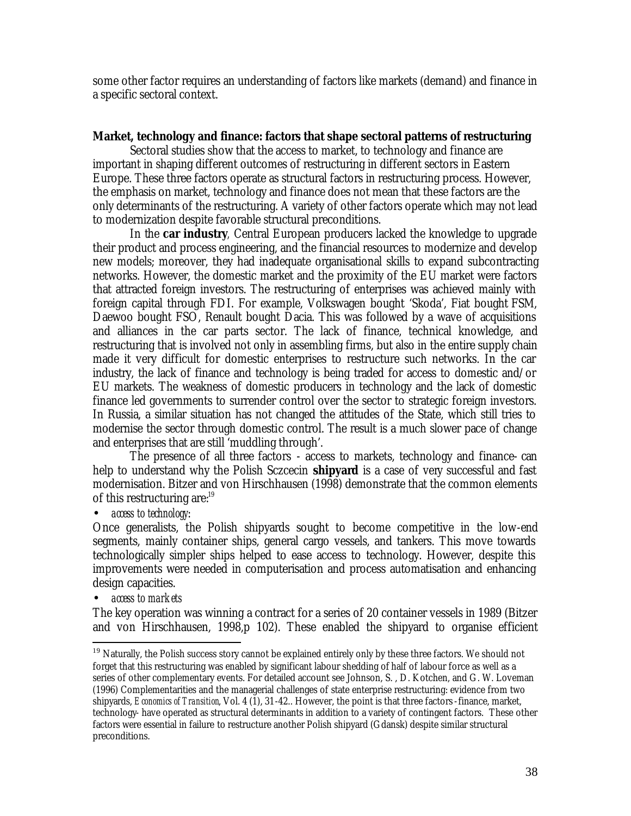some other factor requires an understanding of factors like markets (demand) and finance in a specific sectoral context.

## **Market, technology and finance: factors that shape sectoral patterns of restructuring**

Sectoral studies show that the access to market, to technology and finance are important in shaping different outcomes of restructuring in different sectors in Eastern Europe. These three factors operate as structural factors in restructuring process. However, the emphasis on market, technology and finance does not mean that these factors are the only determinants of the restructuring. A variety of other factors operate which may not lead to modernization despite favorable structural preconditions.

In the *car industry,* Central European producers lacked the knowledge to upgrade their product and process engineering, and the financial resources to modernize and develop new models; moreover, they had inadequate organisational skills to expand subcontracting networks. However, the domestic market and the proximity of the EU market were factors that attracted foreign investors. The restructuring of enterprises was achieved mainly with foreign capital through FDI. For example, Volkswagen bought 'Skoda', Fiat bought FSM, Daewoo bought FSO, Renault bought Dacia. This was followed by a wave of acquisitions and alliances in the car parts sector. The lack of finance, technical knowledge, and restructuring that is involved not only in assembling firms, but also in the entire supply chain made it very difficult for domestic enterprises to restructure such networks. In the car industry, the lack of finance and technology is being traded for access to domestic and/or EU markets. The weakness of domestic producers in technology and the lack of domestic finance led governments to surrender control over the sector to strategic foreign investors. In Russia, a similar situation has not changed the attitudes of the State, which still tries to modernise the sector through domestic control. The result is a much slower pace of change and enterprises that are still 'muddling through'.

The presence of all three factors - access to markets, technology and finance- can help to understand why the Polish Sczcecin **shipyard** is a case of very successful and fast modernisation. Bitzer and von Hirschhausen (1998) demonstrate that the common elements of this restructuring are:<sup>19</sup>

• *access to technology*:

Once generalists, the Polish shipyards sought to become competitive in the low-end segments, mainly container ships, general cargo vessels, and tankers. This move towards technologically simpler ships helped to ease access to technology. However, despite this improvements were needed in computerisation and process automatisation and enhancing design capacities.

• *access to markets*

 $\overline{a}$ 

The key operation was winning a contract for a series of 20 container vessels in 1989 (Bitzer and von Hirschhausen, 1998,p 102). These enabled the shipyard to organise efficient

<sup>&</sup>lt;sup>19</sup> Naturally, the Polish success story cannot be explained entirely only by these three factors. We should not forget that this restructuring was enabled by significant labour shedding of half of labour force as well as a series of other complementary events. For detailed account see Johnson, S. , D. Kotchen, and G. W. Loveman (1996) Complementarities and the managerial challenges of state enterprise restructuring: evidence from two shipyards, *Economics of Transition*, Vol. 4 (1), 31-42.. However, the point is that three factors -finance, market, technology- have operated as structural determinants in addition to a variety of contingent factors. These other factors were essential in failure to restructure another Polish shipyard (Gdansk) despite similar structural preconditions.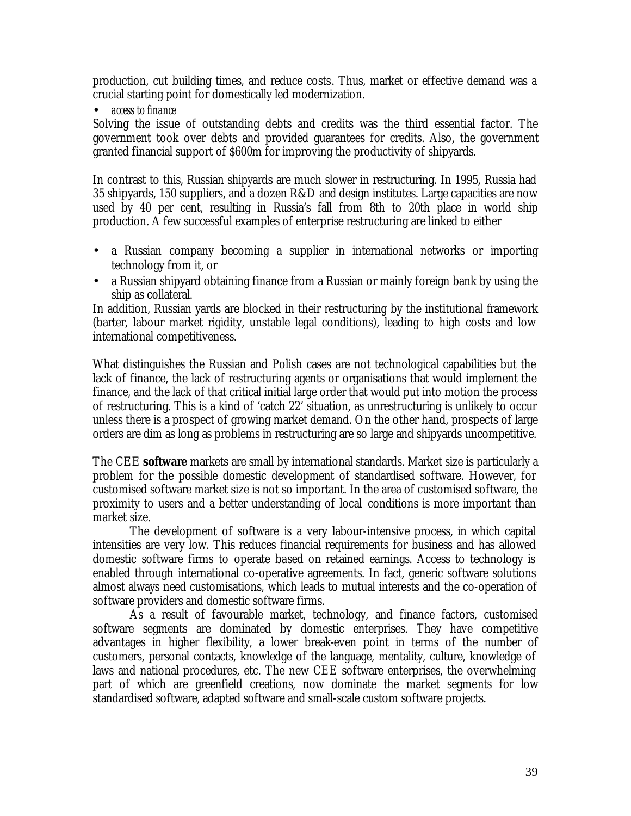production, cut building times, and reduce costs. Thus, market or effective demand was a crucial starting point for domestically led modernization.

• *access to finance*

Solving the issue of outstanding debts and credits was the third essential factor. The government took over debts and provided guarantees for credits. Also, the government granted financial support of \$600m for improving the productivity of shipyards.

In contrast to this, Russian shipyards are much slower in restructuring. In 1995, Russia had 35 shipyards, 150 suppliers, and a dozen R&D and design institutes. Large capacities are now used by 40 per cent, resulting in Russia's fall from 8th to 20th place in world ship production. A few successful examples of enterprise restructuring are linked to either

- a Russian company becoming a supplier in international networks or importing technology from it, or
- a Russian shipyard obtaining finance from a Russian or mainly foreign bank by using the ship as collateral.

In addition, Russian yards are blocked in their restructuring by the institutional framework (barter, labour market rigidity, unstable legal conditions), leading to high costs and low international competitiveness.

What distinguishes the Russian and Polish cases are not technological capabilities but the lack of finance, the lack of restructuring agents or organisations that would implement the finance, and the lack of that critical initial large order that would put into motion the process of restructuring. This is a kind of 'catch 22' situation, as unrestructuring is unlikely to occur unless there is a prospect of growing market demand. On the other hand, prospects of large orders are dim as long as problems in restructuring are so large and shipyards uncompetitive.

The CEE *software* markets are small by international standards. Market size is particularly a problem for the possible domestic development of standardised software. However, for customised software market size is not so important. In the area of customised software, the proximity to users and a better understanding of local conditions is more important than market size.

The development of software is a very labour-intensive process, in which capital intensities are very low. This reduces financial requirements for business and has allowed domestic software firms to operate based on retained earnings. Access to technology is enabled through international co-operative agreements. In fact, generic software solutions almost always need customisations, which leads to mutual interests and the co-operation of software providers and domestic software firms.

As a result of favourable market, technology, and finance factors, customised software segments are dominated by domestic enterprises. They have competitive advantages in higher flexibility, a lower break-even point in terms of the number of customers, personal contacts, knowledge of the language, mentality, culture, knowledge of laws and national procedures, etc. The new CEE software enterprises, the overwhelming part of which are greenfield creations, now dominate the market segments for low standardised software, adapted software and small-scale custom software projects.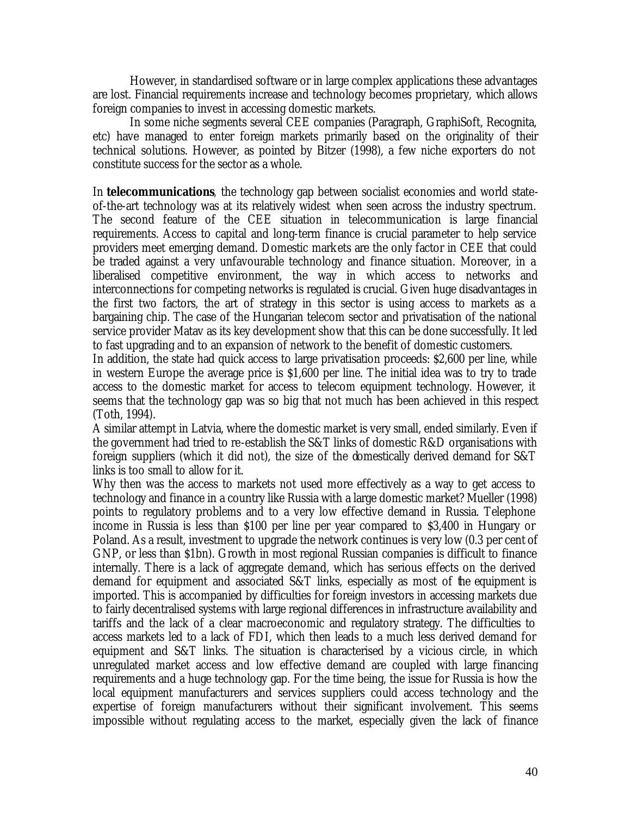However, in standardised software or in large complex applications these advantages are lost. Financial requirements increase and technology becomes proprietary, which allows foreign companies to invest in accessing domestic markets.

In some niche segments several CEE companies (Paragraph, GraphiSoft, Recognita, etc) have managed to enter foreign markets primarily based on the originality of their technical solutions. However, as pointed by Bitzer (1998), a few niche exporters do not constitute success for the sector as a whole.

In *telecommunications,* the technology gap between socialist economies and world stateof-the-art technology was at its relatively widest when seen across the industry spectrum. The second feature of the CEE situation in telecommunication is large financial requirements. Access to capital and long-term finance is crucial parameter to help service providers meet emerging demand. Domestic mark ets are the only factor in CEE that could be traded against a very unfavourable technology and finance situation. Moreover, in a liberalised competitive environment, the way in which access to networks and interconnections for competing networks is regulated is crucial. Given huge disadvantages in the first two factors, the art of strategy in this sector is using access to markets as a bargaining chip. The case of the Hungarian telecom sector and privatisation of the national service provider Matav as its key development show that this can be done successfully. It led to fast upgrading and to an expansion of network to the benefit of domestic customers.

In addition, the state had quick access to large privatisation proceeds: \$2,600 per line, while in western Europe the average price is \$1,600 per line. The initial idea was to try to trade access to the domestic market for access to telecom equipment technology. However, it seems that the technology gap was so big that not much has been achieved in this respect (Toth, 1994).

A similar attempt in Latvia, where the domestic market is very small, ended similarly. Even if the government had tried to re-establish the S&T links of domestic R&D organisations with foreign suppliers (which it did not), the size of the domestically derived demand for S&T links is too small to allow for it.

Why then was the access to markets not used more effectively as a way to get access to technology and finance in a country like Russia with a large domestic market? Mueller (1998) points to regulatory problems and to a very low effective demand in Russia. Telephone income in Russia is less than \$100 per line per year compared to \$3,400 in Hungary or Poland. As a result, investment to upgrade the network continues is very low (0.3 per cent of GNP, or less than \$1bn). Growth in most regional Russian companies is difficult to finance internally. There is a lack of aggregate demand, which has serious effects on the derived demand for equipment and associated S&T links, especially as most of the equipment is imported. This is accompanied by difficulties for foreign investors in accessing markets due to fairly decentralised systems with large regional differences in infrastructure availability and tariffs and the lack of a clear macroeconomic and regulatory strategy. The difficulties to access markets led to a lack of FDI, which then leads to a much less derived demand for equipment and S&T links. The situation is characterised by a vicious circle, in which unregulated market access and low effective demand are coupled with large financing requirements and a huge technology gap. For the time being, the issue for Russia is how the local equipment manufacturers and services suppliers could access technology and the expertise of foreign manufacturers without their significant involvement. This seems impossible without regulating access to the market, especially given the lack of finance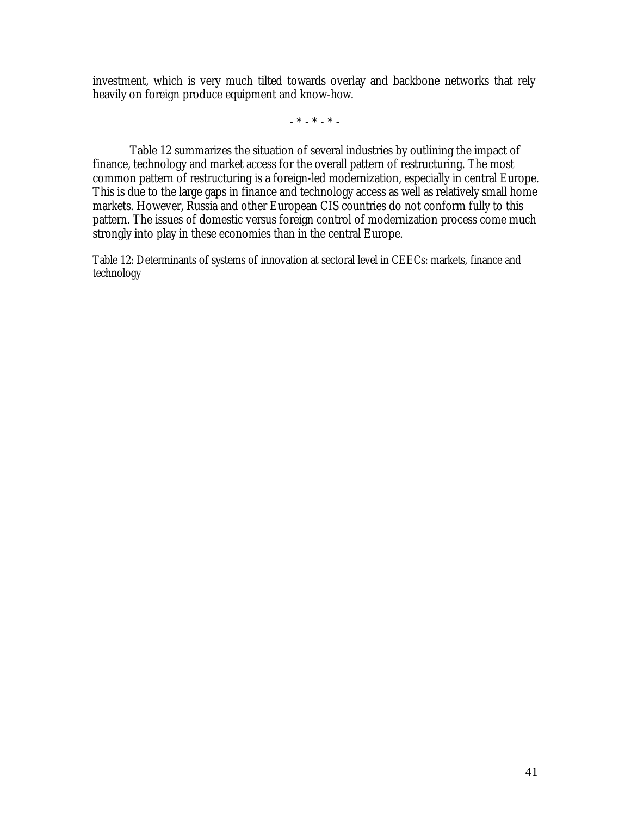investment, which is very much tilted towards overlay and backbone networks that rely heavily on foreign produce equipment and know-how.

 $- * - * - * -$ 

Table 12 summarizes the situation of several industries by outlining the impact of finance, technology and market access for the overall pattern of restructuring. The most common pattern of restructuring is a foreign-led modernization, especially in central Europe. This is due to the large gaps in finance and technology access as well as relatively small home markets. However, Russia and other European CIS countries do not conform fully to this pattern. The issues of domestic versus foreign control of modernization process come much strongly into play in these economies than in the central Europe.

Table 12: Determinants of systems of innovation at sectoral level in CEECs: markets, finance and technology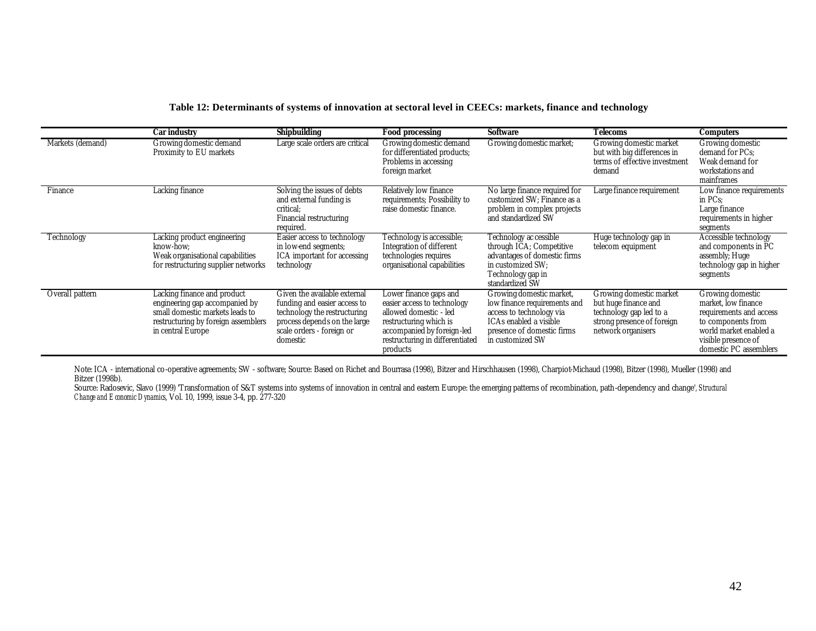#### **Table 12: Determinants of systems of innovation at sectoral level in CEECs: markets, finance and technology**

|                  | <b>Car industry</b>                                                                                                                                          | <b>Shipbuilding</b>                                                                                                                                                   | <b>Food processing</b>                                                                                                                                                                 | <b>Software</b>                                                                                                                                                  | <b>Telecoms</b>                                                                                                                | <b>Computers</b>                                                                                                                                                    |
|------------------|--------------------------------------------------------------------------------------------------------------------------------------------------------------|-----------------------------------------------------------------------------------------------------------------------------------------------------------------------|----------------------------------------------------------------------------------------------------------------------------------------------------------------------------------------|------------------------------------------------------------------------------------------------------------------------------------------------------------------|--------------------------------------------------------------------------------------------------------------------------------|---------------------------------------------------------------------------------------------------------------------------------------------------------------------|
| Markets (demand) | Growing domestic demand<br>Proximity to EU markets                                                                                                           | Large scale orders are critical                                                                                                                                       | Growing domestic demand<br>for differentiated products;<br>Problems in accessing<br>foreign market                                                                                     | Growing domestic market;                                                                                                                                         | Growing domestic market<br>but with big differences in<br>terms of effective investment<br>demand                              | Growing domestic<br>demand for PCs:<br>Weak demand for<br>workstations and<br>mainframes                                                                            |
| Finance          | Lacking finance                                                                                                                                              | Solving the issues of debts<br>and external funding is<br>critical:<br>Financial restructuring<br>required.                                                           | Relatively low finance<br>requirements; Possibility to<br>raise domestic finance.                                                                                                      | No large finance required for<br>customized SW; Finance as a<br>problem in complex projects<br>and standardized SW                                               | Large finance requirement                                                                                                      | Low finance requirements<br>in PCs:<br>Large finance<br>requirements in higher<br>segments                                                                          |
| Technology       | Lacking product engineering<br>know-how;<br>Weak organisational capabilities<br>for restructuring supplier networks                                          | Easier access to technology<br>in low-end segments;<br>ICA important for accessing<br>technology                                                                      | Technology is accessible;<br><b>Integration of different</b><br>technologies requires<br>organisational capabilities                                                                   | Technology ac cessible<br>through ICA; Competitive<br>advantages of domestic firms<br>in customized SW:<br>Technology gap in<br>standardized SW                  | Huge technology gap in<br>telecom equipment                                                                                    | Accessible technology<br>and components in PC<br>assembly; Huge<br>technology gap in higher<br>segments                                                             |
| Overall pattern  | Lacking finance and product<br>engineering gap accompanied by<br>small domestic markets leads to<br>restructuring by foreign assemblers<br>in central Europe | Given the available external<br>funding and easier access to<br>technology the restructuring<br>process depends on the large<br>scale orders - foreign or<br>domestic | Lower finance gaps and<br>easier access to technology<br>allowed domestic - led<br>restructuring which is<br>accompanied by foreign-led<br>restructuring in differentiated<br>products | Growing domestic market,<br>low finance requirements and<br>access to technology via<br>ICAs enabled a visible<br>presence of domestic firms<br>in customized SW | Growing domestic market<br>but huge finance and<br>technology gap led to a<br>strong presence of foreign<br>network organisers | Growing domestic<br>market. low finance<br>requirements and access<br>to components from<br>world market enabled a<br>visible presence of<br>domestic PC assemblers |

Note: ICA - international co-operative agreements; SW - software; Source: Based on Richet and Bourrasa (1998), Bitzer and Hirschhausen (1998), Charpiot-Michaud (1998), Bitzer (1998), Mueller (1998) and Bitzer (1998b).

Source: Radosevic, Slavo (1999) 'Transformation of S&T systems into systems of innovation in central and eastern Europe: the emerging patterns of recombination, path-dependency and change', *Structural Change and Economic Dynamics*, Vol. 10, 1999, issue 3-4, pp. 277-320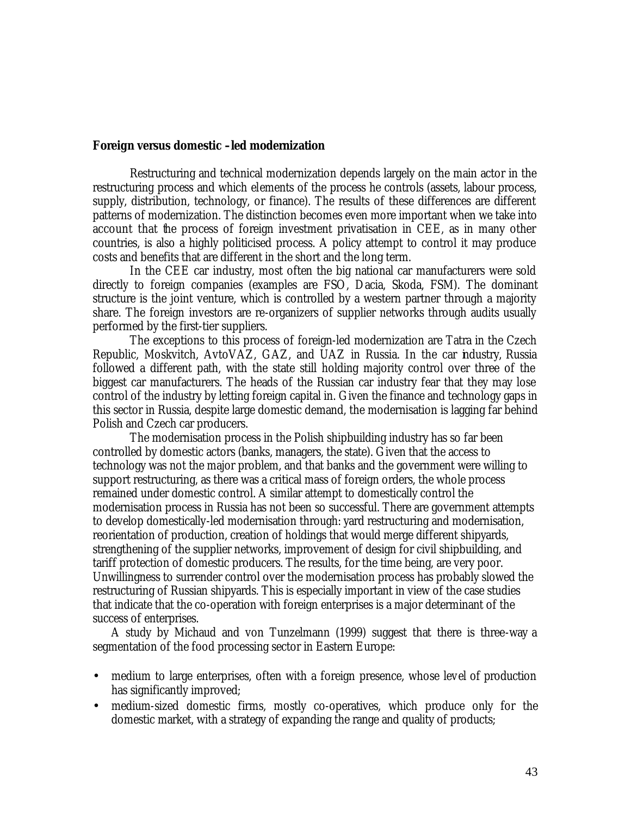#### **Foreign versus domestic –led modernization**

Restructuring and technical modernization depends largely on the main actor in the restructuring process and which elements of the process he controls (assets, labour process, supply, distribution, technology, or finance). The results of these differences are different patterns of modernization. The distinction becomes even more important when we take into account that the process of foreign investment privatisation in CEE, as in many other countries, is also a highly politicised process. A policy attempt to control it may produce costs and benefits that are different in the short and the long term.

In the CEE car industry, most often the big national car manufacturers were sold directly to foreign companies (examples are FSO, Dacia, Skoda, FSM). The dominant structure is the joint venture, which is controlled by a western partner through a majority share. The foreign investors are re-organizers of supplier networks through audits usually performed by the first-tier suppliers.

The exceptions to this process of foreign-led modernization are Tatra in the Czech Republic, Moskvitch, AvtoVAZ, GAZ, and UAZ in Russia. In the car industry, Russia followed a different path, with the state still holding majority control over three of the biggest car manufacturers. The heads of the Russian car industry fear that they may lose control of the industry by letting foreign capital in. Given the finance and technology gaps in this sector in Russia, despite large domestic demand, the modernisation is lagging far behind Polish and Czech car producers.

The modernisation process in the Polish shipbuilding industry has so far been controlled by domestic actors (banks, managers, the state). Given that the access to technology was not the major problem, and that banks and the government were willing to support restructuring, as there was a critical mass of foreign orders, the whole process remained under domestic control. A similar attempt to domestically control the modernisation process in Russia has not been so successful. There are government attempts to develop domestically-led modernisation through: yard restructuring and modernisation, reorientation of production, creation of holdings that would merge different shipyards, strengthening of the supplier networks, improvement of design for civil shipbuilding, and tariff protection of domestic producers. The results, for the time being, are very poor. Unwillingness to surrender control over the modernisation process has probably slowed the restructuring of Russian shipyards. This is especially important in view of the case studies that indicate that the co-operation with foreign enterprises is a major determinant of the success of enterprises.

A study by Michaud and von Tunzelmann (1999) suggest that there is three-way a segmentation of the food processing sector in Eastern Europe:

- medium to large enterprises, often with a foreign presence, whose level of production has significantly improved;
- medium-sized domestic firms, mostly co-operatives, which produce only for the domestic market, with a strategy of expanding the range and quality of products;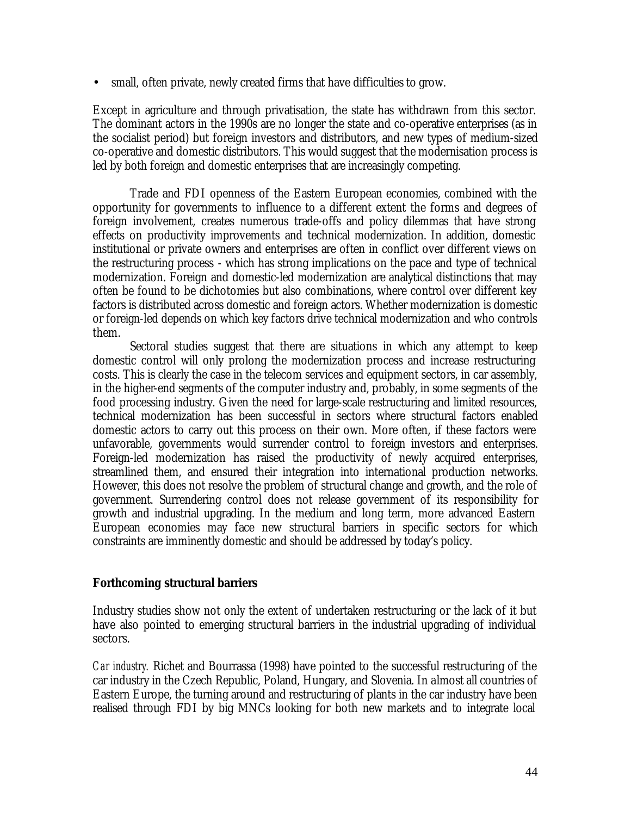• small, often private, newly created firms that have difficulties to grow.

Except in agriculture and through privatisation, the state has withdrawn from this sector. The dominant actors in the 1990s are no longer the state and co-operative enterprises (as in the socialist period) but foreign investors and distributors, and new types of medium-sized co-operative and domestic distributors. This would suggest that the modernisation process is led by both foreign and domestic enterprises that are increasingly competing.

Trade and FDI openness of the Eastern European economies, combined with the opportunity for governments to influence to a different extent the forms and degrees of foreign involvement, creates numerous trade-offs and policy dilemmas that have strong effects on productivity improvements and technical modernization. In addition, domestic institutional or private owners and enterprises are often in conflict over different views on the restructuring process - which has strong implications on the pace and type of technical modernization. Foreign and domestic-led modernization are analytical distinctions that may often be found to be dichotomies but also combinations, where control over different key factors is distributed across domestic and foreign actors. Whether modernization is domestic or foreign-led depends on which key factors drive technical modernization and who controls them.

Sectoral studies suggest that there are situations in which any attempt to keep domestic control will only prolong the modernization process and increase restructuring costs. This is clearly the case in the telecom services and equipment sectors, in car assembly, in the higher-end segments of the computer industry and, probably, in some segments of the food processing industry. Given the need for large-scale restructuring and limited resources, technical modernization has been successful in sectors where structural factors enabled domestic actors to carry out this process on their own. More often, if these factors were unfavorable, governments would surrender control to foreign investors and enterprises. Foreign-led modernization has raised the productivity of newly acquired enterprises, streamlined them, and ensured their integration into international production networks. However, this does not resolve the problem of structural change and growth, and the role of government. Surrendering control does not release government of its responsibility for growth and industrial upgrading. In the medium and long term, more advanced Eastern European economies may face new structural barriers in specific sectors for which constraints are imminently domestic and should be addressed by today's policy.

# **Forthcoming structural barriers**

Industry studies show not only the extent of undertaken restructuring or the lack of it but have also pointed to emerging structural barriers in the industrial upgrading of individual sectors.

*Car industry.* Richet and Bourrassa (1998) have pointed to the successful restructuring of the car industry in the Czech Republic, Poland, Hungary, and Slovenia. In almost all countries of Eastern Europe, the turning around and restructuring of plants in the car industry have been realised through FDI by big MNCs looking for both new markets and to integrate local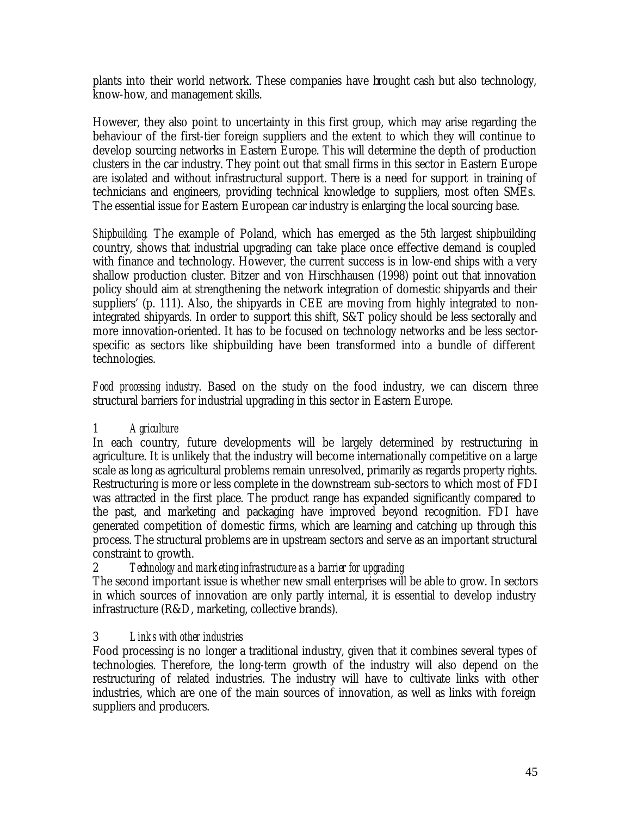plants into their world network. These companies have brought cash but also technology, know-how, and management skills.

However, they also point to uncertainty in this first group, which may arise regarding the behaviour of the first-tier foreign suppliers and the extent to which they will continue to develop sourcing networks in Eastern Europe. This will determine the depth of production clusters in the car industry. They point out that small firms in this sector in Eastern Europe are isolated and without infrastructural support. There is a need for support in training of technicians and engineers, providing technical knowledge to suppliers, most often SMEs. The essential issue for Eastern European car industry is enlarging the local sourcing base.

*Shipbuilding.* The example of Poland, which has emerged as the 5th largest shipbuilding country, shows that industrial upgrading can take place once effective demand is coupled with finance and technology. However, the current success is in low-end ships with a very shallow production cluster. Bitzer and von Hirschhausen (1998) point out that innovation policy should aim at strengthening the network integration of domestic shipyards and their suppliers' (p. 111). Also, the shipyards in CEE are moving from highly integrated to nonintegrated shipyards. In order to support this shift, S&T policy should be less sectorally and more innovation-oriented. It has to be focused on technology networks and be less sectorspecific as sectors like shipbuilding have been transformed into a bundle of different technologies.

*Food processing industry*. Based on the study on the food industry, we can discern three structural barriers for industrial upgrading in this sector in Eastern Europe.

# 1 *Agriculture*

In each country, future developments will be largely determined by restructuring in agriculture. It is unlikely that the industry will become internationally competitive on a large scale as long as agricultural problems remain unresolved, primarily as regards property rights. Restructuring is more or less complete in the downstream sub-sectors to which most of FDI was attracted in the first place. The product range has expanded significantly compared to the past, and marketing and packaging have improved beyond recognition. FDI have generated competition of domestic firms, which are learning and catching up through this process. The structural problems are in upstream sectors and serve as an important structural constraint to growth.

# 2 *Technology and marketing infrastructure as a barrier for upgrading*

The second important issue is whether new small enterprises will be able to grow. In sectors in which sources of innovation are only partly internal, it is essential to develop industry infrastructure (R&D, marketing, collective brands).

# 3 *Links with other industries*

Food processing is no longer a traditional industry, given that it combines several types of technologies. Therefore, the long-term growth of the industry will also depend on the restructuring of related industries. The industry will have to cultivate links with other industries, which are one of the main sources of innovation, as well as links with foreign suppliers and producers.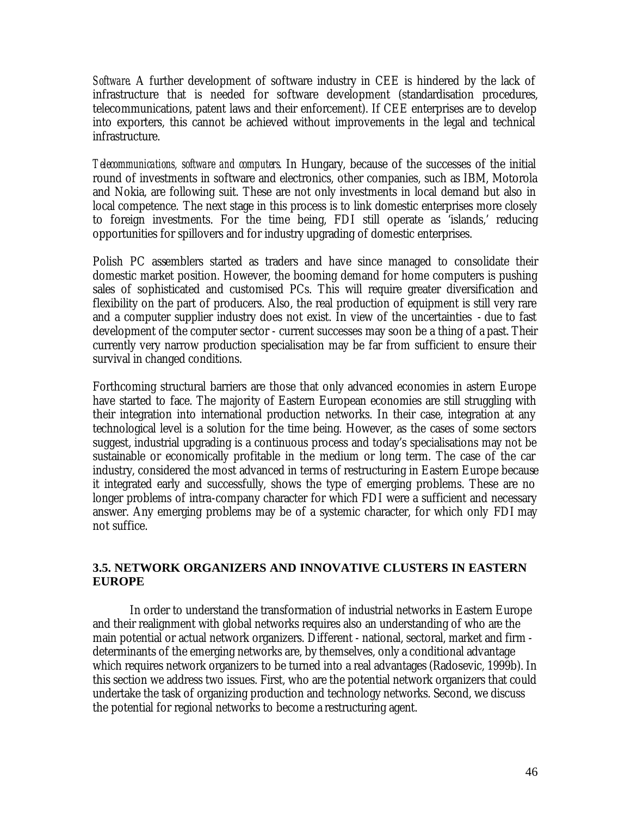*Software*. A further development of software industry in CEE is hindered by the lack of infrastructure that is needed for software development (standardisation procedures, telecommunications, patent laws and their enforcement). If CEE enterprises are to develop into exporters, this cannot be achieved without improvements in the legal and technical infrastructure.

*Telecommunications, software and computers*. In Hungary, because of the successes of the initial round of investments in software and electronics, other companies, such as IBM, Motorola and Nokia, are following suit. These are not only investments in local demand but also in local competence. The next stage in this process is to link domestic enterprises more closely to foreign investments. For the time being, FDI still operate as 'islands,' reducing opportunities for spillovers and for industry upgrading of domestic enterprises.

Polish PC assemblers started as traders and have since managed to consolidate their domestic market position. However, the booming demand for home computers is pushing sales of sophisticated and customised PCs. This will require greater diversification and flexibility on the part of producers. Also, the real production of equipment is still very rare and a computer supplier industry does not exist. In view of the uncertainties - due to fast development of the computer sector - current successes may soon be a thing of a past. Their currently very narrow production specialisation may be far from sufficient to ensure their survival in changed conditions.

Forthcoming structural barriers are those that only advanced economies in astern Europe have started to face. The majority of Eastern European economies are still struggling with their integration into international production networks. In their case, integration at any technological level is a solution for the time being. However, as the cases of some sectors suggest, industrial upgrading is a continuous process and today's specialisations may not be sustainable or economically profitable in the medium or long term. The case of the car industry, considered the most advanced in terms of restructuring in Eastern Europe because it integrated early and successfully, shows the type of emerging problems. These are no longer problems of intra-company character for which FDI were a sufficient and necessary answer. Any emerging problems may be of a systemic character, for which only FDI may not suffice.

## **3.5. NETWORK ORGANIZERS AND INNOVATIVE CLUSTERS IN EASTERN EUROPE**

In order to understand the transformation of industrial networks in Eastern Europe and their realignment with global networks requires also an understanding of who are the main potential or actual network organizers. Different - national, sectoral, market and firm determinants of the emerging networks are, by themselves, only a conditional advantage which requires network organizers to be turned into a real advantages (Radosevic, 1999b). In this section we address two issues. First, who are the potential network organizers that could undertake the task of organizing production and technology networks. Second, we discuss the potential for regional networks to become a restructuring agent.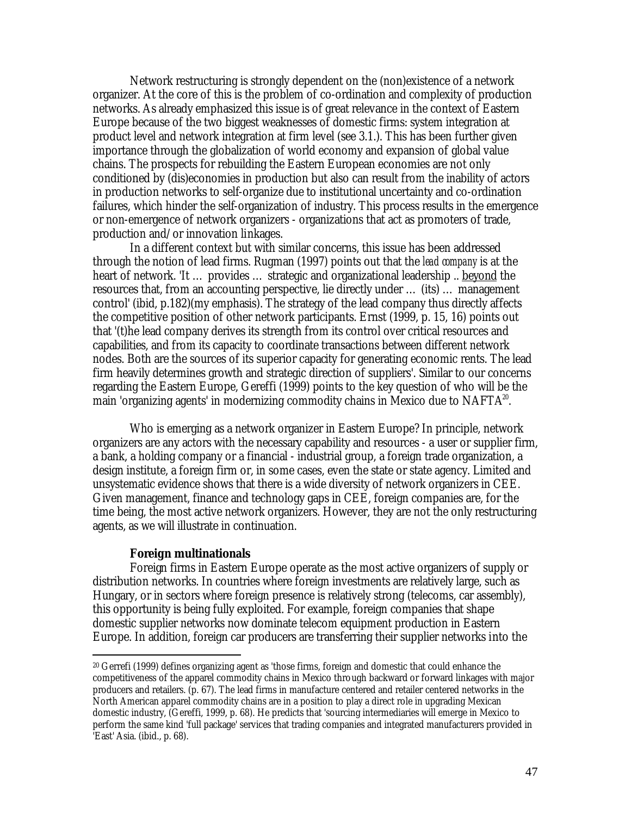Network restructuring is strongly dependent on the (non)existence of a network organizer. At the core of this is the problem of co-ordination and complexity of production networks. As already emphasized this issue is of great relevance in the context of Eastern Europe because of the two biggest weaknesses of domestic firms: system integration at product level and network integration at firm level (see 3.1.). This has been further given importance through the globalization of world economy and expansion of global value chains. The prospects for rebuilding the Eastern European economies are not only conditioned by (dis)economies in production but also can result from the inability of actors in production networks to self-organize due to institutional uncertainty and co-ordination failures, which hinder the self-organization of industry. This process results in the emergence or non-emergence of network organizers - organizations that act as promoters of trade, production and/or innovation linkages.

In a different context but with similar concerns, this issue has been addressed through the notion of lead firms. Rugman (1997) points out that the *lead company* is at the heart of network. 'It ... provides ... strategic and organizational leadership .. <u>beyond</u> the resources that, from an accounting perspective, lie directly under … (its) … management control' (ibid, p.182)(my emphasis). The strategy of the lead company thus directly affects the competitive position of other network participants. Ernst (1999, p. 15, 16) points out that '(t)he lead company derives its strength from its control over critical resources and capabilities, and from its capacity to coordinate transactions between different network nodes. Both are the sources of its superior capacity for generating economic rents. The lead firm heavily determines growth and strategic direction of suppliers'. Similar to our concerns regarding the Eastern Europe, Gereffi (1999) points to the key question of who will be the main 'organizing agents' in modernizing commodity chains in Mexico due to  $NAFTA^{20}$ .

Who is emerging as a network organizer in Eastern Europe? In principle, network organizers are any actors with the necessary capability and resources - a user or supplier firm, a bank, a holding company or a financial - industrial group, a foreign trade organization, a design institute, a foreign firm or, in some cases, even the state or state agency. Limited and unsystematic evidence shows that there is a wide diversity of network organizers in CEE. Given management, finance and technology gaps in CEE, foreign companies are, for the time being, the most active network organizers. However, they are not the only restructuring agents, as we will illustrate in continuation.

#### *Foreign multinationals*

 $\overline{a}$ 

Foreign firms in Eastern Europe operate as the most active organizers of supply or distribution networks. In countries where foreign investments are relatively large, such as Hungary, or in sectors where foreign presence is relatively strong (telecoms, car assembly), this opportunity is being fully exploited. For example, foreign companies that shape domestic supplier networks now dominate telecom equipment production in Eastern Europe. In addition, foreign car producers are transferring their supplier networks into the

<sup>20</sup> Gerrefi (1999) defines organizing agent as 'those firms, foreign and domestic that could enhance the competitiveness of the apparel commodity chains in Mexico through backward or forward linkages with major producers and retailers. (p. 67). The lead firms in manufacture centered and retailer centered networks in the North American apparel commodity chains are in a position to play a direct role in upgrading Mexican domestic industry, (Gereffi, 1999, p. 68). He predicts that 'sourcing intermediaries will emerge in Mexico to perform the same kind 'full package' services that trading companies and integrated manufacturers provided in 'East' Asia. (ibid., p. 68).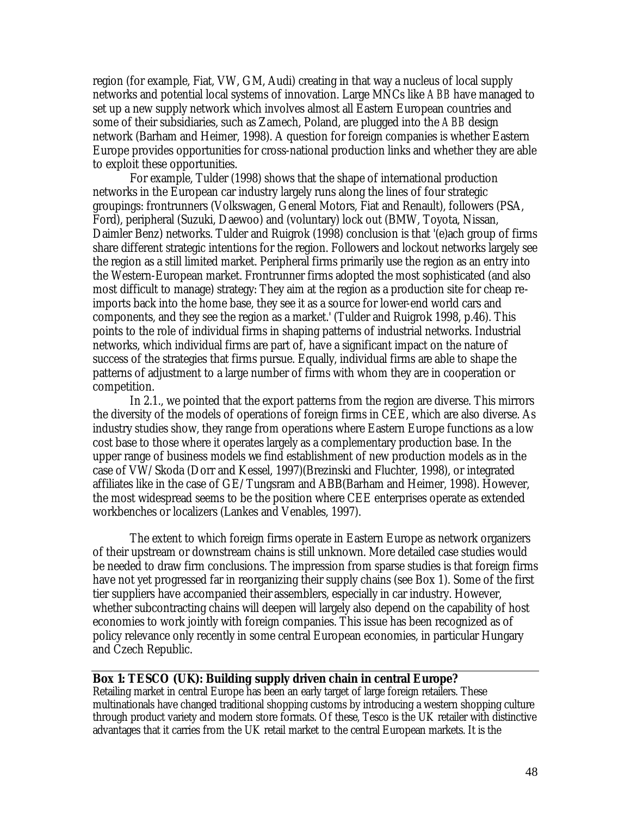region (for example, Fiat, VW, GM, Audi) creating in that way a nucleus of local supply networks and potential local systems of innovation. Large MNCs like *ABB* have managed to set up a new supply network which involves almost all Eastern European countries and some of their subsidiaries, such as Zamech, Poland, are plugged into the *ABB* design network (Barham and Heimer, 1998). A question for foreign companies is whether Eastern Europe provides opportunities for cross-national production links and whether they are able to exploit these opportunities.

For example, Tulder (1998) shows that the shape of international production networks in the European car industry largely runs along the lines of four strategic groupings: frontrunners (Volkswagen, General Motors, Fiat and Renault), followers (PSA, Ford), peripheral (Suzuki, Daewoo) and (voluntary) lock out (BMW, Toyota, Nissan, Daimler Benz) networks. Tulder and Ruigrok (1998) conclusion is that '(e)ach group of firms share different strategic intentions for the region. Followers and lockout networks largely see the region as a still limited market. Peripheral firms primarily use the region as an entry into the Western-European market. Frontrunner firms adopted the most sophisticated (and also most difficult to manage) strategy: They aim at the region as a production site for cheap reimports back into the home base, they see it as a source for lower-end world cars and components, and they see the region as a market.' (Tulder and Ruigrok 1998, p.46). This points to the role of individual firms in shaping patterns of industrial networks. Industrial networks, which individual firms are part of, have a significant impact on the nature of success of the strategies that firms pursue. Equally, individual firms are able to shape the patterns of adjustment to a large number of firms with whom they are in cooperation or competition.

In 2.1., we pointed that the export patterns from the region are diverse. This mirrors the diversity of the models of operations of foreign firms in CEE, which are also diverse. As industry studies show, they range from operations where Eastern Europe functions as a low cost base to those where it operates largely as a complementary production base. In the upper range of business models we find establishment of new production models as in the case of VW/Skoda (Dorr and Kessel, 1997)(Brezinski and Fluchter, 1998), or integrated affiliates like in the case of GE/Tungsram and ABB(Barham and Heimer, 1998). However, the most widespread seems to be the position where CEE enterprises operate as extended workbenches or localizers (Lankes and Venables, 1997).

The extent to which foreign firms operate in Eastern Europe as network organizers of their upstream or downstream chains is still unknown. More detailed case studies would be needed to draw firm conclusions. The impression from sparse studies is that foreign firms have not yet progressed far in reorganizing their supply chains (see Box 1). Some of the first tier suppliers have accompanied their assemblers, especially in car industry. However, whether subcontracting chains will deepen will largely also depend on the capability of host economies to work jointly with foreign companies. This issue has been recognized as of policy relevance only recently in some central European economies, in particular Hungary and Czech Republic.

#### **Box 1: TESCO (UK): Building supply driven chain in central Europe?**

Retailing market in central Europe has been an early target of large foreign retailers. These multinationals have changed traditional shopping customs by introducing a western shopping culture through product variety and modern store formats. Of these, Tesco is the UK retailer with distinctive advantages that it carries from the UK retail market to the central European markets. It is the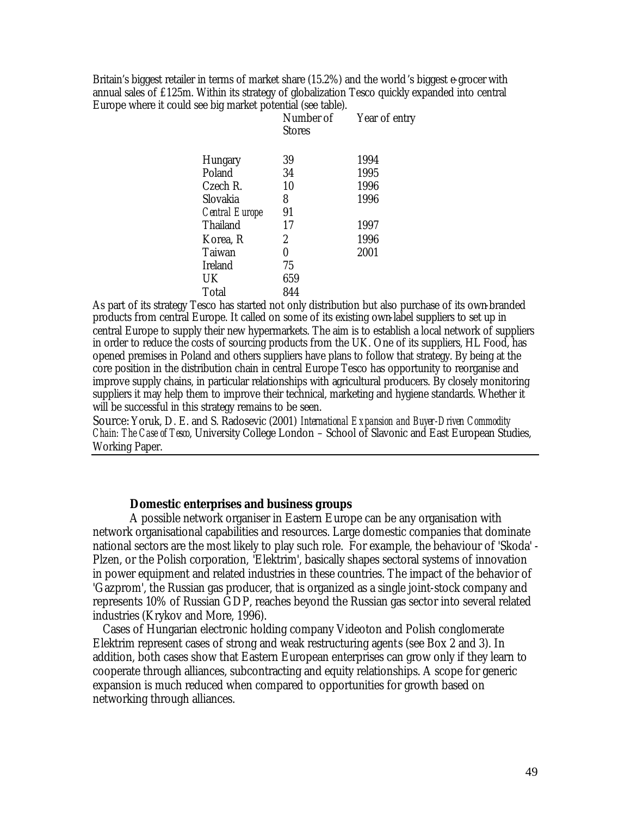Britain's biggest retailer in terms of market share (15.2%) and the world's biggest e-grocer with annual sales of £125m. Within its strategy of globalization Tesco quickly expanded into central Europe where it could see big market potential (see table).

|                       | Number of<br><b>Stores</b> | Year of entry |
|-----------------------|----------------------------|---------------|
| Hungary               | 39                         | 1994          |
| Poland                | 34                         | 1995          |
| Czech R.              | 10                         | 1996          |
| Slovakia              | 8                          | 1996          |
| <b>Central Europe</b> | 91                         |               |
| Thailand              | 17                         | 1997          |
| Korea, R              | 2                          | 1996          |
| Taiwan                | 0                          | 2001          |
| Ireland               | 75                         |               |
| UK                    | 659                        |               |
| Total                 | 844                        |               |
|                       |                            |               |

As part of its strategy Tesco has started not only distribution but also purchase of its own-branded products from central Europe. It called on some of its existing own-label suppliers to set up in central Europe to supply their new hypermarkets. The aim is to establish a local network of suppliers in order to reduce the costs of sourcing products from the UK. One of its suppliers, HL Food, has opened premises in Poland and others suppliers have plans to follow that strategy. By being at the core position in the distribution chain in central Europe Tesco has opportunity to reorganise and improve supply chains, in particular relationships with agricultural producers. By closely monitoring suppliers it may help them to improve their technical, marketing and hygiene standards. Whether it will be successful in this strategy remains to be seen.

Source: Yoruk, D. E. and S. Radosevic (2001) *International Expansion and Buyer-Driven Commodity Chain: The Case of Tesco*, University College London – School of Slavonic and East European Studies, Working Paper.

#### *Domestic enterprises and business groups*

A possible network organiser in Eastern Europe can be any organisation with network organisational capabilities and resources. Large domestic companies that dominate national sectors are the most likely to play such role. For example, the behaviour of 'Skoda' - Plzen, or the Polish corporation, 'Elektrim', basically shapes sectoral systems of innovation in power equipment and related industries in these countries. The impact of the behavior of 'Gazprom', the Russian gas producer, that is organized as a single joint-stock company and represents 10% of Russian GDP, reaches beyond the Russian gas sector into several related industries (Krykov and More, 1996).

Cases of Hungarian electronic holding company Videoton and Polish conglomerate Elektrim represent cases of strong and weak restructuring agents (see Box 2 and 3). In addition, both cases show that Eastern European enterprises can grow only if they learn to cooperate through alliances, subcontracting and equity relationships. A scope for generic expansion is much reduced when compared to opportunities for growth based on networking through alliances.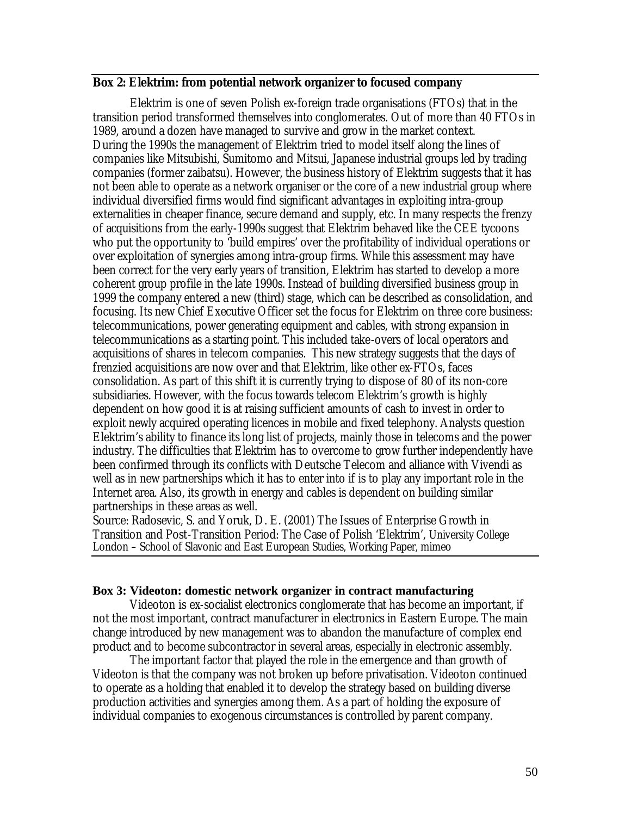## **Box 2: Elektrim: from potential network organizer to focused company**

Elektrim is one of seven Polish ex-foreign trade organisations (FTOs) that in the transition period transformed themselves into conglomerates. Out of more than 40 FTOs in 1989, around a dozen have managed to survive and grow in the market context. During the 1990s the management of Elektrim tried to model itself along the lines of companies like Mitsubishi, Sumitomo and Mitsui, Japanese industrial groups led by trading companies (former zaibatsu). However, the business history of Elektrim suggests that it has not been able to operate as a network organiser or the core of a new industrial group where individual diversified firms would find significant advantages in exploiting intra-group externalities in cheaper finance, secure demand and supply, etc. In many respects the frenzy of acquisitions from the early-1990s suggest that Elektrim behaved like the CEE tycoons who put the opportunity to 'build empires' over the profitability of individual operations or over exploitation of synergies among intra-group firms. While this assessment may have been correct for the very early years of transition, Elektrim has started to develop a more coherent group profile in the late 1990s. Instead of building diversified business group in 1999 the company entered a new (third) stage, which can be described as consolidation, and focusing. Its new Chief Executive Officer set the focus for Elektrim on three core business: telecommunications, power generating equipment and cables, with strong expansion in telecommunications as a starting point. This included take-overs of local operators and acquisitions of shares in telecom companies. This new strategy suggests that the days of frenzied acquisitions are now over and that Elektrim, like other ex-FTOs, faces consolidation. As part of this shift it is currently trying to dispose of 80 of its non-core subsidiaries. However, with the focus towards telecom Elektrim's growth is highly dependent on how good it is at raising sufficient amounts of cash to invest in order to exploit newly acquired operating licences in mobile and fixed telephony. Analysts question Elektrim's ability to finance its long list of projects, mainly those in telecoms and the power industry. The difficulties that Elektrim has to overcome to grow further independently have been confirmed through its conflicts with Deutsche Telecom and alliance with Vivendi as well as in new partnerships which it has to enter into if is to play any important role in the Internet area. Also, its growth in energy and cables is dependent on building similar partnerships in these areas as well.

Source: Radosevic, S. and Yoruk, D. E. (2001) The Issues of Enterprise Growth in Transition and Post-Transition Period: The Case of Polish 'Elektrim', University College London – School of Slavonic and East European Studies, Working Paper, mimeo

#### **Box 3: Videoton: domestic network organizer in contract manufacturing**

Videoton is ex-socialist electronics conglomerate that has become an important, if not the most important, contract manufacturer in electronics in Eastern Europe. The main change introduced by new management was to abandon the manufacture of complex end product and to become subcontractor in several areas, especially in electronic assembly.

The important factor that played the role in the emergence and than growth of Videoton is that the company was not broken up before privatisation. Videoton continued to operate as a holding that enabled it to develop the strategy based on building diverse production activities and synergies among them. As a part of holding the exposure of individual companies to exogenous circumstances is controlled by parent company.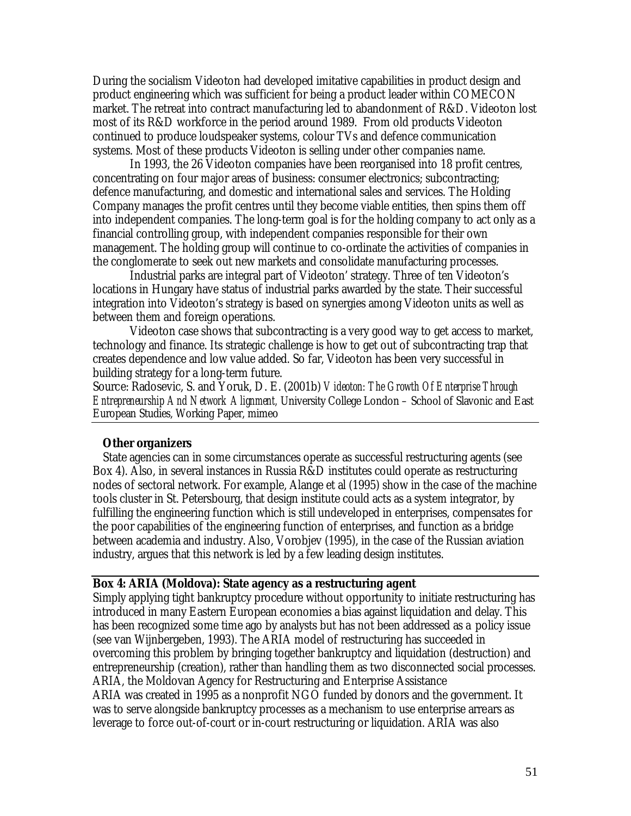During the socialism Videoton had developed imitative capabilities in product design and product engineering which was sufficient for being a product leader within COMECON market. The retreat into contract manufacturing led to abandonment of R&D. Videoton lost most of its R&D workforce in the period around 1989. From old products Videoton continued to produce loudspeaker systems, colour TVs and defence communication systems. Most of these products Videoton is selling under other companies name.

In 1993, the 26 Videoton companies have been reorganised into 18 profit centres, concentrating on four major areas of business: consumer electronics; subcontracting; defence manufacturing, and domestic and international sales and services. The Holding Company manages the profit centres until they become viable entities, then spins them off into independent companies. The long-term goal is for the holding company to act only as a financial controlling group, with independent companies responsible for their own management. The holding group will continue to co-ordinate the activities of companies in the conglomerate to seek out new markets and consolidate manufacturing processes.

Industrial parks are integral part of Videoton' strategy. Three of ten Videoton's locations in Hungary have status of industrial parks awarded by the state. Their successful integration into Videoton's strategy is based on synergies among Videoton units as well as between them and foreign operations.

Videoton case shows that subcontracting is a very good way to get access to market, technology and finance. Its strategic challenge is how to get out of subcontracting trap that creates dependence and low value added. So far, Videoton has been very successful in building strategy for a long-term future.

Source: Radosevic, S. and Yoruk, D. E. (2001b) *Videoton: The Growth Of Enterprise Through Entrepreneurship And Network Alignment,* University College London – School of Slavonic and East European Studies, Working Paper, mimeo

#### *Other organizers*

State agencies can in some circumstances operate as successful restructuring agents (see Box 4). Also, in several instances in Russia R&D institutes could operate as restructuring nodes of sectoral network. For example, Alange et al (1995) show in the case of the machine tools cluster in St. Petersbourg, that design institute could acts as a system integrator, by fulfilling the engineering function which is still undeveloped in enterprises, compensates for the poor capabilities of the engineering function of enterprises, and function as a bridge between academia and industry. Also, Vorobjev (1995), in the case of the Russian aviation industry, argues that this network is led by a few leading design institutes.

## **Box 4: ARIA (Moldova): State agency as a restructuring agent**

Simply applying tight bankruptcy procedure without opportunity to initiate restructuring has introduced in many Eastern European economies a bias against liquidation and delay. This has been recognized some time ago by analysts but has not been addressed as a policy issue (see van Wijnbergeben, 1993). The ARIA model of restructuring has succeeded in overcoming this problem by bringing together bankruptcy and liquidation (destruction) and entrepreneurship (creation), rather than handling them as two disconnected social processes. ARIA, the Moldovan Agency for Restructuring and Enterprise Assistance ARIA was created in 1995 as a nonprofit NGO funded by donors and the government. It was to serve alongside bankruptcy processes as a mechanism to use enterprise arrears as leverage to force out-of-court or in-court restructuring or liquidation. ARIA was also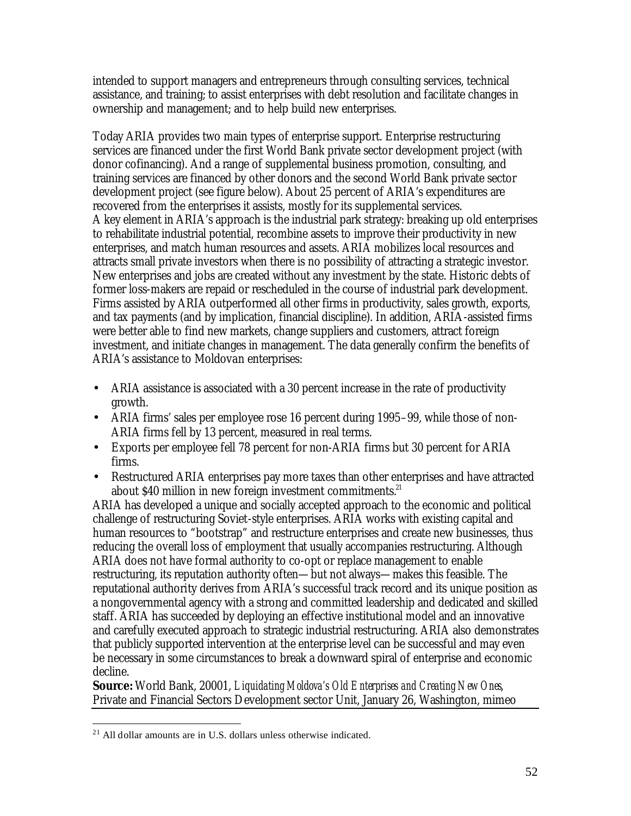intended to support managers and entrepreneurs through consulting services, technical assistance, and training; to assist enterprises with debt resolution and facilitate changes in ownership and management; and to help build new enterprises.

Today ARIA provides two main types of enterprise support. Enterprise restructuring services are financed under the first World Bank private sector development project (with donor cofinancing). And a range of supplemental business promotion, consulting, and training services are financed by other donors and the second World Bank private sector development project (see figure below). About 25 percent of ARIA's expenditures are recovered from the enterprises it assists, mostly for its supplemental services. A key element in ARIA's approach is the industrial park strategy: breaking up old enterprises to rehabilitate industrial potential, recombine assets to improve their productivity in new enterprises, and match human resources and assets. ARIA mobilizes local resources and attracts small private investors when there is no possibility of attracting a strategic investor. New enterprises and jobs are created without any investment by the state. Historic debts of former loss-makers are repaid or rescheduled in the course of industrial park development. Firms assisted by ARIA outperformed all other firms in productivity, sales growth, exports, and tax payments (and by implication, financial discipline). In addition, ARIA-assisted firms were better able to find new markets, change suppliers and customers, attract foreign investment, and initiate changes in management. The data generally confirm the benefits of ARIA's assistance to Moldovan enterprises:

- ARIA assistance is associated with a 30 percent increase in the rate of productivity growth.
- ARIA firms' sales per employee rose 16 percent during 1995–99, while those of non-ARIA firms fell by 13 percent, measured in real terms.
- Exports per employee fell 78 percent for non-ARIA firms but 30 percent for ARIA firms.
- Restructured ARIA enterprises pay more taxes than other enterprises and have attracted about \$40 million in new foreign investment commitments.<sup>21</sup>

ARIA has developed a unique and socially accepted approach to the economic and political challenge of restructuring Soviet-style enterprises. ARIA works with existing capital and human resources to "bootstrap" and restructure enterprises and create new businesses, thus reducing the overall loss of employment that usually accompanies restructuring. Although ARIA does not have formal authority to co-opt or replace management to enable restructuring, its reputation authority often—but not always—makes this feasible. The reputational authority derives from ARIA's successful track record and its unique position as a nongovernmental agency with a strong and committed leadership and dedicated and skilled staff. ARIA has succeeded by deploying an effective institutional model and an innovative and carefully executed approach to strategic industrial restructuring. ARIA also demonstrates that publicly supported intervention at the enterprise level can be successful and may even be necessary in some circumstances to break a downward spiral of enterprise and economic decline.

**Source:** World Bank, 20001, *Liquidating Moldova's Old Enterprises and Creating New Ones*, Private and Financial Sectors Development sector Unit, January 26, Washington, mimeo

 $\overline{a}$ 

 $21$  All dollar amounts are in U.S. dollars unless otherwise indicated.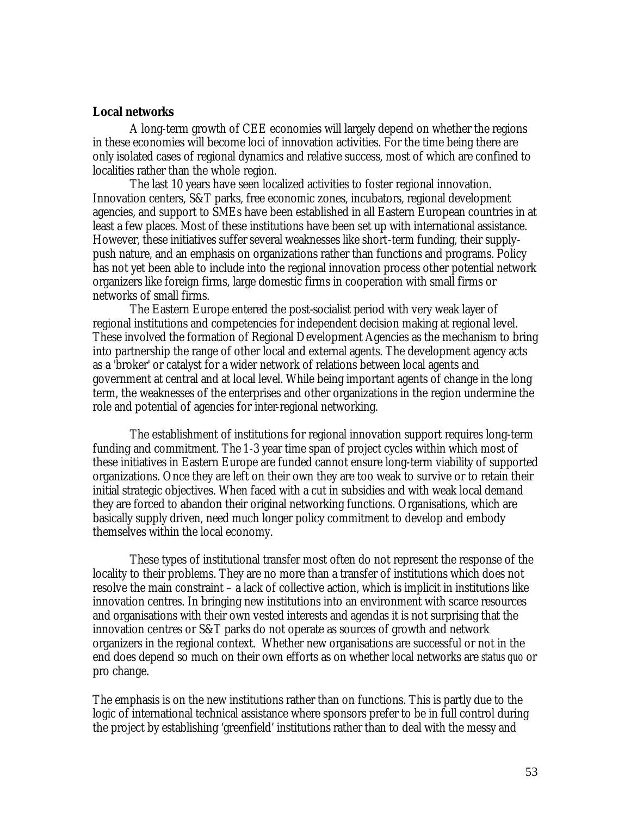#### *Local networks*

A long-term growth of CEE economies will largely depend on whether the regions in these economies will become loci of innovation activities. For the time being there are only isolated cases of regional dynamics and relative success, most of which are confined to localities rather than the whole region.

The last 10 years have seen localized activities to foster regional innovation. Innovation centers, S&T parks, free economic zones, incubators, regional development agencies, and support to SMEs have been established in all Eastern European countries in at least a few places. Most of these institutions have been set up with international assistance. However, these initiatives suffer several weaknesses like short-term funding, their supplypush nature, and an emphasis on organizations rather than functions and programs. Policy has not yet been able to include into the regional innovation process other potential network organizers like foreign firms, large domestic firms in cooperation with small firms or networks of small firms.

The Eastern Europe entered the post-socialist period with very weak layer of regional institutions and competencies for independent decision making at regional level. These involved the formation of Regional Development Agencies as the mechanism to bring into partnership the range of other local and external agents. The development agency acts as a 'broker' or catalyst for a wider network of relations between local agents and government at central and at local level. While being important agents of change in the long term, the weaknesses of the enterprises and other organizations in the region undermine the role and potential of agencies for inter-regional networking.

The establishment of institutions for regional innovation support requires long-term funding and commitment. The 1-3 year time span of project cycles within which most of these initiatives in Eastern Europe are funded cannot ensure long-term viability of supported organizations. Once they are left on their own they are too weak to survive or to retain their initial strategic objectives. When faced with a cut in subsidies and with weak local demand they are forced to abandon their original networking functions. Organisations, which are basically supply driven, need much longer policy commitment to develop and embody themselves within the local economy.

These types of institutional transfer most often do not represent the response of the locality to their problems. They are no more than a transfer of institutions which does not resolve the main constraint – a lack of collective action, which is implicit in institutions like innovation centres. In bringing new institutions into an environment with scarce resources and organisations with their own vested interests and agendas it is not surprising that the innovation centres or S&T parks do not operate as sources of growth and network organizers in the regional context. Whether new organisations are successful or not in the end does depend so much on their own efforts as on whether local networks are *status quo* or pro change.

The emphasis is on the new institutions rather than on functions. This is partly due to the logic of international technical assistance where sponsors prefer to be in full control during the project by establishing 'greenfield' institutions rather than to deal with the messy and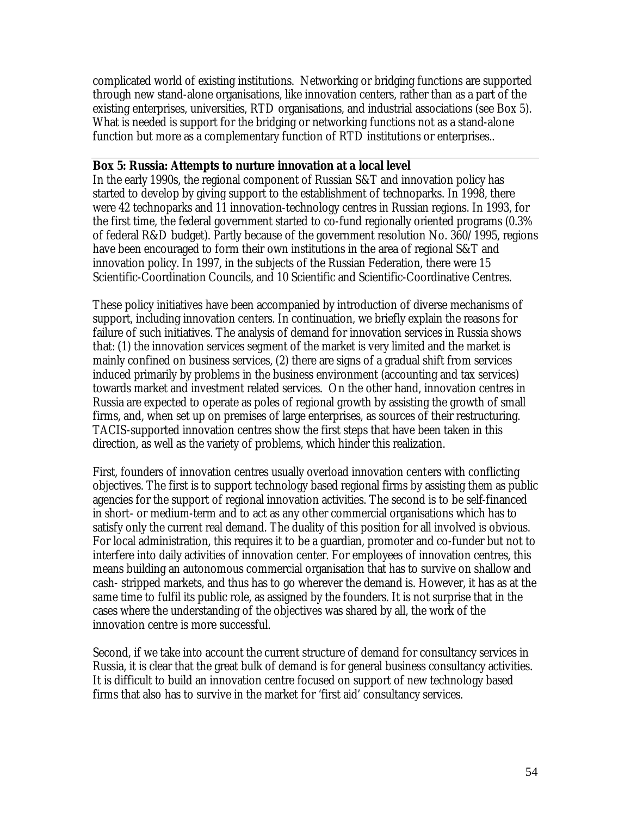complicated world of existing institutions. Networking or bridging functions are supported through new stand-alone organisations, like innovation centers, rather than as a part of the existing enterprises, universities, RTD organisations, and industrial associations (see Box 5). What is needed is support for the bridging or networking functions not as a stand-alone function but more as a complementary function of RTD institutions or enterprises..

### **Box 5: Russia: Attempts to nurture innovation at a local level**

In the early 1990s, the regional component of Russian S&T and innovation policy has started to develop by giving support to the establishment of technoparks. In 1998, there were 42 technoparks and 11 innovation-technology centres in Russian regions. In 1993, for the first time, the federal government started to co-fund regionally oriented programs (0.3% of federal R&D budget). Partly because of the government resolution No. 360/1995, regions have been encouraged to form their own institutions in the area of regional S&T and innovation policy. In 1997, in the subjects of the Russian Federation, there were 15 Scientific-Coordination Councils, and 10 Scientific and Scientific-Coordinative Centres.

These policy initiatives have been accompanied by introduction of diverse mechanisms of support, including innovation centers. In continuation, we briefly explain the reasons for failure of such initiatives. The analysis of demand for innovation services in Russia shows that: (1) the innovation services segment of the market is very limited and the market is mainly confined on business services, (2) there are signs of a gradual shift from services induced primarily by problems in the business environment (accounting and tax services) towards market and investment related services. On the other hand, innovation centres in Russia are expected to operate as poles of regional growth by assisting the growth of small firms, and, when set up on premises of large enterprises, as sources of their restructuring. TACIS-supported innovation centres show the first steps that have been taken in this direction, as well as the variety of problems, which hinder this realization.

First, founders of innovation centres usually overload innovation centers with conflicting objectives. The first is to support technology based regional firms by assisting them as public agencies for the support of regional innovation activities. The second is to be self-financed in short- or medium-term and to act as any other commercial organisations which has to satisfy only the current real demand. The duality of this position for all involved is obvious. For local administration, this requires it to be a guardian, promoter and co-funder but not to interfere into daily activities of innovation center. For employees of innovation centres, this means building an autonomous commercial organisation that has to survive on shallow and cash- stripped markets, and thus has to go wherever the demand is. However, it has as at the same time to fulfil its public role, as assigned by the founders. It is not surprise that in the cases where the understanding of the objectives was shared by all, the work of the innovation centre is more successful.

Second, if we take into account the current structure of demand for consultancy services in Russia, it is clear that the great bulk of demand is for general business consultancy activities. It is difficult to build an innovation centre focused on support of new technology based firms that also has to survive in the market for 'first aid' consultancy services.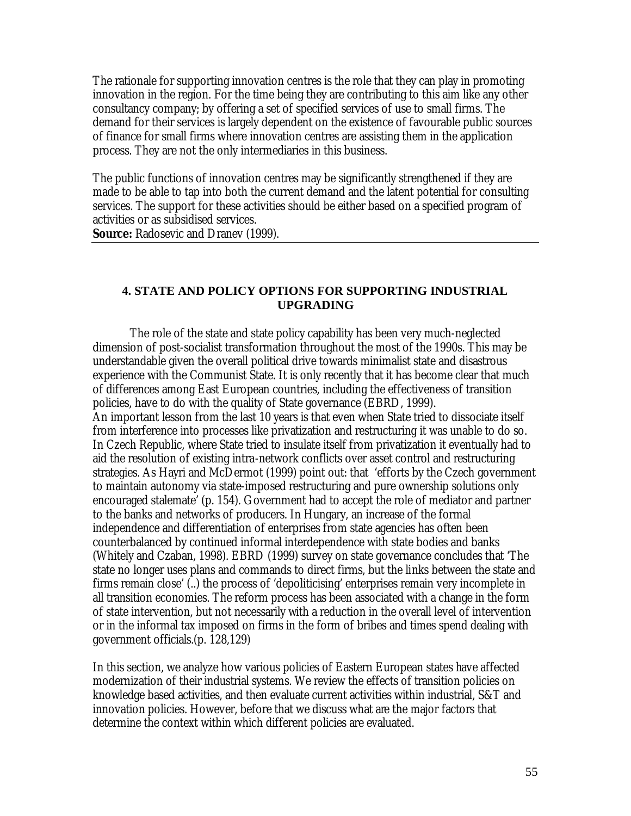The rationale for supporting innovation centres is the role that they can play in promoting innovation in the region. For the time being they are contributing to this aim like any other consultancy company; by offering a set of specified services of use to small firms. The demand for their services is largely dependent on the existence of favourable public sources of finance for small firms where innovation centres are assisting them in the application process. They are not the only intermediaries in this business.

The public functions of innovation centres may be significantly strengthened if they are made to be able to tap into both the current demand and the latent potential for consulting services. The support for these activities should be either based on a specified program of activities or as subsidised services.

**Source:** Radosevic and Dranev (1999).

## **4. STATE AND POLICY OPTIONS FOR SUPPORTING INDUSTRIAL UPGRADING**

The role of the state and state policy capability has been very much-neglected dimension of post-socialist transformation throughout the most of the 1990s. This may be understandable given the overall political drive towards minimalist state and disastrous experience with the Communist State. It is only recently that it has become clear that much of differences among East European countries, including the effectiveness of transition policies, have to do with the quality of State governance (EBRD, 1999). An important lesson from the last 10 years is that even when State tried to dissociate itself from interference into processes like privatization and restructuring it was unable to do so. In Czech Republic, where State tried to insulate itself from privatization it eventually had to aid the resolution of existing intra-network conflicts over asset control and restructuring strategies. As Hayri and McDermot (1999) point out: that 'efforts by the Czech government to maintain autonomy via state-imposed restructuring and pure ownership solutions only encouraged stalemate' (p. 154). Government had to accept the role of mediator and partner to the banks and networks of producers. In Hungary, an increase of the formal independence and differentiation of enterprises from state agencies has often been counterbalanced by continued informal interdependence with state bodies and banks (Whitely and Czaban, 1998). EBRD (1999) survey on state governance concludes that 'The state no longer uses plans and commands to direct firms, but the links between the state and firms remain close' (..) the process of 'depoliticising' enterprises remain very incomplete in all transition economies. The reform process has been associated with a change in the form of state intervention, but not necessarily with a reduction in the overall level of intervention or in the informal tax imposed on firms in the form of bribes and times spend dealing with government officials.(p. 128,129)

In this section, we analyze how various policies of Eastern European states have affected modernization of their industrial systems. We review the effects of transition policies on knowledge based activities, and then evaluate current activities within industrial, S&T and innovation policies. However, before that we discuss what are the major factors that determine the context within which different policies are evaluated.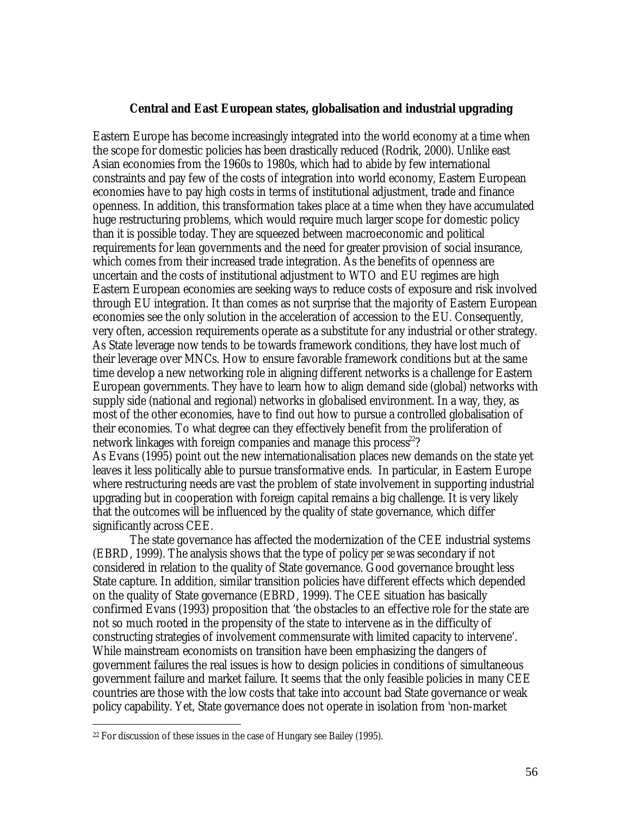### *Central and East European states, globalisation and industrial upgrading*

Eastern Europe has become increasingly integrated into the world economy at a time when the scope for domestic policies has been drastically reduced (Rodrik, 2000). Unlike east Asian economies from the 1960s to 1980s, which had to abide by few international constraints and pay few of the costs of integration into world economy, Eastern European economies have to pay high costs in terms of institutional adjustment, trade and finance openness. In addition, this transformation takes place at a time when they have accumulated huge restructuring problems, which would require much larger scope for domestic policy than it is possible today. They are squeezed between macroeconomic and political requirements for lean governments and the need for greater provision of social insurance, which comes from their increased trade integration. As the benefits of openness are uncertain and the costs of institutional adjustment to WTO and EU regimes are high Eastern European economies are seeking ways to reduce costs of exposure and risk involved through EU integration. It than comes as not surprise that the majority of Eastern European economies see the only solution in the acceleration of accession to the EU. Consequently, very often, accession requirements operate as a substitute for any industrial or other strategy. As State leverage now tends to be towards framework conditions, they have lost much of their leverage over MNCs. How to ensure favorable framework conditions but at the same time develop a new networking role in aligning different networks is a challenge for Eastern European governments. They have to learn how to align demand side (global) networks with supply side (national and regional) networks in globalised environment. In a way, they, as most of the other economies, have to find out how to pursue a controlled globalisation of their economies. To what degree can they effectively benefit from the proliferation of network linkages with foreign companies and manage this process<sup>22</sup>? As Evans (1995) point out the new internationalisation places new demands on the state yet leaves it less politically able to pursue transformative ends. In particular, in Eastern Europe where restructuring needs are vast the problem of state involvement in supporting industrial upgrading but in cooperation with foreign capital remains a big challenge. It is very likely

that the outcomes will be influenced by the quality of state governance, which differ significantly across CEE.

The state governance has affected the modernization of the CEE industrial systems (EBRD, 1999). The analysis shows that the type of policy *per se* was secondary if not considered in relation to the quality of State governance. Good governance brought less State capture. In addition, similar transition policies have different effects which depended on the quality of State governance (EBRD, 1999). The CEE situation has basically confirmed Evans (1993) proposition that 'the obstacles to an effective role for the state are not so much rooted in the propensity of the state to intervene as in the difficulty of constructing strategies of involvement commensurate with limited capacity to intervene'. While mainstream economists on transition have been emphasizing the dangers of government failures the real issues is how to design policies in conditions of simultaneous government failure and market failure. It seems that the only feasible policies in many CEE countries are those with the low costs that take into account bad State governance or weak policy capability. Yet, State governance does not operate in isolation from 'non-market

 $\overline{a}$ 

<sup>22</sup> For discussion of these issues in the case of Hungary see Bailey (1995).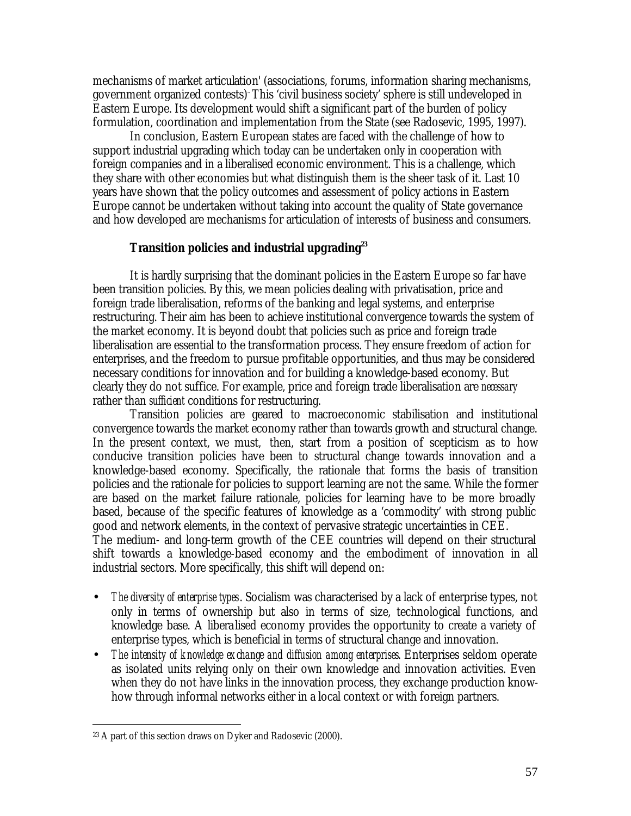mechanisms of market articulation' (associations, forums, information sharing mechanisms, government organized contests). This 'civil business society' sphere is still undeveloped in Eastern Europe. Its development would shift a significant part of the burden of policy formulation, coordination and implementation from the State (see Radosevic, 1995, 1997).

In conclusion, Eastern European states are faced with the challenge of how to support industrial upgrading which today can be undertaken only in cooperation with foreign companies and in a liberalised economic environment. This is a challenge, which they share with other economies but what distinguish them is the sheer task of it. Last 10 years have shown that the policy outcomes and assessment of policy actions in Eastern Europe cannot be undertaken without taking into account the quality of State governance and how developed are mechanisms for articulation of interests of business and consumers.

## **Transition policies and industrial upgrading<sup>23</sup>**

It is hardly surprising that the dominant policies in the Eastern Europe so far have been transition policies. By this, we mean policies dealing with privatisation, price and foreign trade liberalisation, reforms of the banking and legal systems, and enterprise restructuring. Their aim has been to achieve institutional convergence towards the system of the market economy. It is beyond doubt that policies such as price and foreign trade liberalisation are essential to the transformation process. They ensure freedom of action for enterprises, and the freedom to pursue profitable opportunities, and thus may be considered necessary conditions for innovation and for building a knowledge-based economy. But clearly they do not suffice. For example, price and foreign trade liberalisation are *necessary* rather than *sufficient* conditions for restructuring.

Transition policies are geared to macroeconomic stabilisation and institutional convergence towards the market economy rather than towards growth and structural change. In the present context, we must, then, start from a position of scepticism as to how conducive transition policies have been to structural change towards innovation and a knowledge-based economy. Specifically, the rationale that forms the basis of transition policies and the rationale for policies to support learning are not the same. While the former are based on the market failure rationale, policies for learning have to be more broadly based, because of the specific features of knowledge as a 'commodity' with strong public good and network elements, in the context of pervasive strategic uncertainties in CEE.

The medium- and long-term growth of the CEE countries will depend on their structural shift towards a knowledge-based economy and the embodiment of innovation in all industrial sectors. More specifically, this shift will depend on:

- *The diversity of enterprise types*. Socialism was characterised by a lack of enterprise types, not only in terms of ownership but also in terms of size, technological functions, and knowledge base. A libera lised economy provides the opportunity to create a variety of enterprise types, which is beneficial in terms of structural change and innovation.
- *The intensity of knowledge exchange and diffusion among enterprises*. Enterprises seldom operate as isolated units relying only on their own knowledge and innovation activities. Even when they do not have links in the innovation process, they exchange production knowhow through informal networks either in a local context or with foreign partners.

 $\overline{a}$ 23 A part of this section draws on Dyker and Radosevic (2000).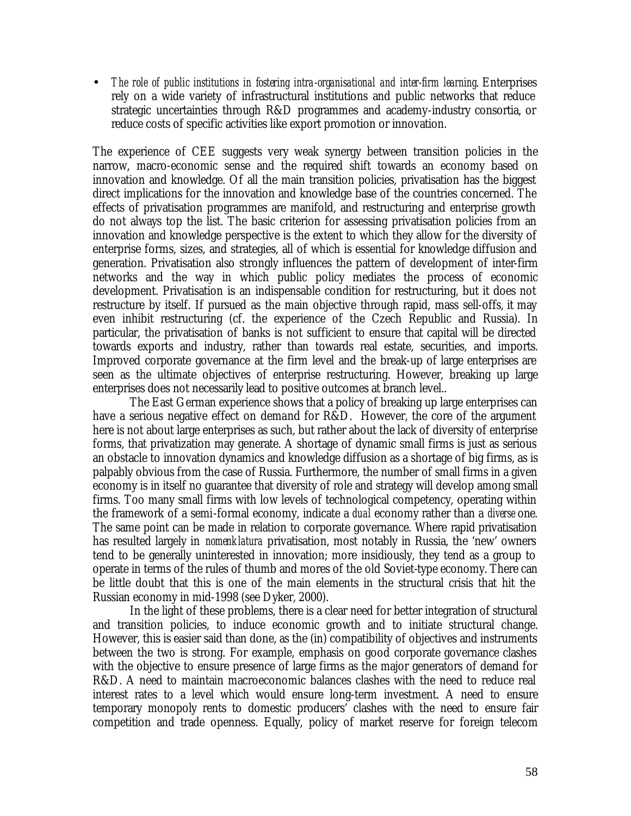• *The role of public institutions in fostering intra-organisational and inter-firm learning*. Enterprises rely on a wide variety of infrastructural institutions and public networks that reduce strategic uncertainties through R&D programmes and academy-industry consortia, or reduce costs of specific activities like export promotion or innovation.

The experience of CEE suggests very weak synergy between transition policies in the narrow, macro-economic sense and the required shift towards an economy based on innovation and knowledge. Of all the main transition policies, privatisation has the biggest direct implications for the innovation and knowledge base of the countries concerned. The effects of privatisation programmes are manifold, and restructuring and enterprise growth do not always top the list. The basic criterion for assessing privatisation policies from an innovation and knowledge perspective is the extent to which they allow for the diversity of enterprise forms, sizes, and strategies, all of which is essential for knowledge diffusion and generation. Privatisation also strongly influences the pattern of development of inter-firm networks and the way in which public policy mediates the process of economic development. Privatisation is an indispensable condition for restructuring, but it does not restructure by itself. If pursued as the main objective through rapid, mass sell-offs, it may even inhibit restructuring (cf. the experience of the Czech Republic and Russia). In particular, the privatisation of banks is not sufficient to ensure that capital will be directed towards exports and industry, rather than towards real estate, securities, and imports. Improved corporate governance at the firm level and the break-up of large enterprises are seen as the ultimate objectives of enterprise restructuring. However, breaking up large enterprises does not necessarily lead to positive outcomes at branch level..

The East German experience shows that a policy of breaking up large enterprises can have a serious negative effect on demand for R&D. However, the core of the argument here is not about large enterprises as such, but rather about the lack of diversity of enterprise forms, that privatization may generate. A shortage of dynamic small firms is just as serious an obstacle to innovation dynamics and knowledge diffusion as a shortage of big firms, as is palpably obvious from the case of Russia. Furthermore, the number of small firms in a given economy is in itself no guarantee that diversity of role and strategy will develop among small firms. Too many small firms with low levels of technological competency, operating within the framework of a semi-formal economy, indicate a *dual* economy rather than a *diverse* one. The same point can be made in relation to corporate governance. Where rapid privatisation has resulted largely in *nomenklatura* privatisation, most notably in Russia, the 'new' owners tend to be generally uninterested in innovation; more insidiously, they tend as a group to operate in terms of the rules of thumb and mores of the old Soviet-type economy. There can be little doubt that this is one of the main elements in the structural crisis that hit the Russian economy in mid-1998 (see Dyker, 2000).

In the light of these problems, there is a clear need for better integration of structural and transition policies, to induce economic growth and to initiate structural change. However, this is easier said than done, as the (in) compatibility of objectives and instruments between the two is strong. For example, emphasis on good corporate governance clashes with the objective to ensure presence of large firms as the major generators of demand for R&D. A need to maintain macroeconomic balances clashes with the need to reduce real interest rates to a level which would ensure long-term investment. A need to ensure temporary monopoly rents to domestic producers' clashes with the need to ensure fair competition and trade openness. Equally, policy of market reserve for foreign telecom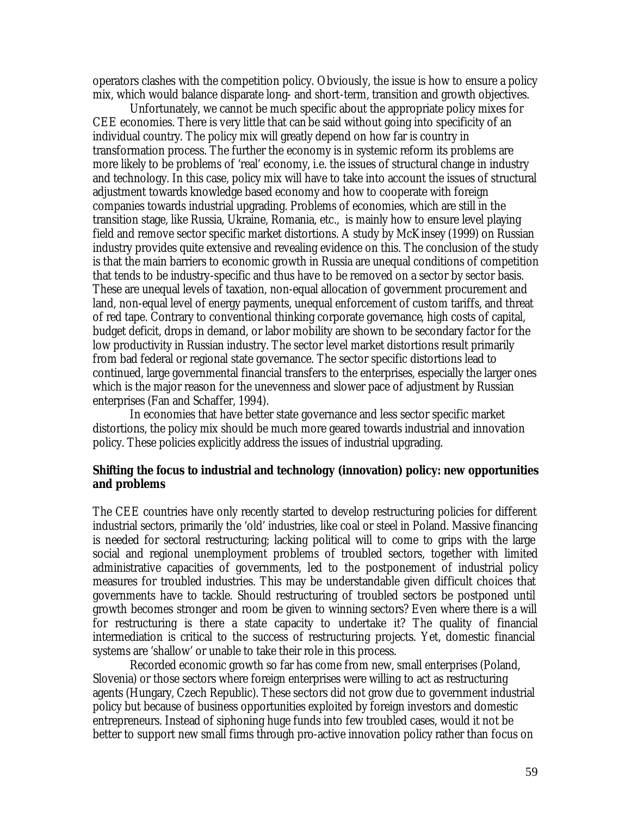operators clashes with the competition policy. Obviously, the issue is how to ensure a policy mix, which would balance disparate long- and short-term, transition and growth objectives.

Unfortunately, we cannot be much specific about the appropriate policy mixes for CEE economies. There is very little that can be said without going into specificity of an individual country. The policy mix will greatly depend on how far is country in transformation process. The further the economy is in systemic reform its problems are more likely to be problems of 'real' economy, i.e. the issues of structural change in industry and technology. In this case, policy mix will have to take into account the issues of structural adjustment towards knowledge based economy and how to cooperate with foreign companies towards industrial upgrading. Problems of economies, which are still in the transition stage, like Russia, Ukraine, Romania, etc., is mainly how to ensure level playing field and remove sector specific market distortions. A study by McKinsey (1999) on Russian industry provides quite extensive and revealing evidence on this. The conclusion of the study is that the main barriers to economic growth in Russia are unequal conditions of competition that tends to be industry-specific and thus have to be removed on a sector by sector basis. These are unequal levels of taxation, non-equal allocation of government procurement and land, non-equal level of energy payments, unequal enforcement of custom tariffs, and threat of red tape. Contrary to conventional thinking corporate governance, high costs of capital, budget deficit, drops in demand, or labor mobility are shown to be secondary factor for the low productivity in Russian industry. The sector level market distortions result primarily from bad federal or regional state governance. The sector specific distortions lead to continued, large governmental financial transfers to the enterprises, especially the larger ones which is the major reason for the unevenness and slower pace of adjustment by Russian enterprises (Fan and Schaffer, 1994).

In economies that have better state governance and less sector specific market distortions, the policy mix should be much more geared towards industrial and innovation policy. These policies explicitly address the issues of industrial upgrading.

## *Shifting the focus to industrial and technology (innovation) policy: new opportunities and problems*

The CEE countries have only recently started to develop restructuring policies for different industrial sectors, primarily the 'old' industries, like coal or steel in Poland. Massive financing is needed for sectoral restructuring; lacking political will to come to grips with the large social and regional unemployment problems of troubled sectors, together with limited administrative capacities of governments, led to the postponement of industrial policy measures for troubled industries. This may be understandable given difficult choices that governments have to tackle. Should restructuring of troubled sectors be postponed until growth becomes stronger and room be given to winning sectors? Even where there is a will for restructuring is there a state capacity to undertake it? The quality of financial intermediation is critical to the success of restructuring projects. Yet, domestic financial systems are 'shallow' or unable to take their role in this process.

Recorded economic growth so far has come from new, small enterprises (Poland, Slovenia) or those sectors where foreign enterprises were willing to act as restructuring agents (Hungary, Czech Republic). These sectors did not grow due to government industrial policy but because of business opportunities exploited by foreign investors and domestic entrepreneurs. Instead of siphoning huge funds into few troubled cases, would it not be better to support new small firms through pro-active innovation policy rather than focus on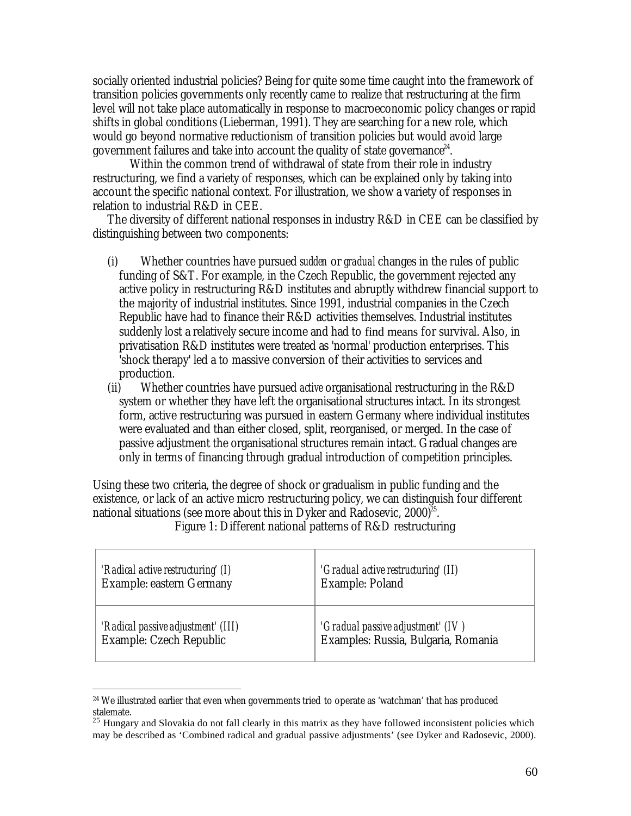socially oriented industrial policies? Being for quite some time caught into the framework of transition policies governments only recently came to realize that restructuring at the firm level will not take place automatically in response to macroeconomic policy changes or rapid shifts in global conditions (Lieberman, 1991). They are searching for a new role, which would go beyond normative reductionism of transition policies but would avoid large government failures and take into account the quality of state governance $24$ .

Within the common trend of withdrawal of state from their role in industry restructuring, we find a variety of responses, which can be explained only by taking into account the specific national context. For illustration, we show a variety of responses in relation to industrial R&D in CEE.

The diversity of different national responses in industry R&D in CEE can be classified by distinguishing between two components:

- (i) Whether countries have pursued *sudden* or *gradual* changes in the rules of public funding of S&T. For example, in the Czech Republic, the government rejected any active policy in restructuring R&D institutes and abruptly withdrew financial support to the majority of industrial institutes. Since 1991, industrial companies in the Czech Republic have had to finance their R&D activities themselves. Industrial institutes suddenly lost a relatively secure income and had to find means for survival. Also, in privatisation R&D institutes were treated as 'normal' production enterprises. This 'shock therapy' led a to massive conversion of their activities to services and production.
- (ii) Whether countries have pursued *active* organisational restructuring in the R&D system or whether they have left the organisational structures intact. In its strongest form, active restructuring was pursued in eastern Germany where individual institutes were evaluated and than either closed, split, reorganised, or merged. In the case of passive adjustment the organisational structures remain intact. Gradual changes are only in terms of financing through gradual introduction of competition principles.

Using these two criteria, the degree of shock or gradualism in public funding and the existence, or lack of an active micro restructuring policy, we can distinguish four different national situations (see more about this in Dyker and Radosevic,  $2000^2$ <sup>5</sup>.

| 'Radical active restructuring' (I) | 'Gradual active restructuring' (II) |
|------------------------------------|-------------------------------------|
| <b>Example: eastern Germany</b>    | <b>Example: Poland</b>              |
| 'Radical passive adjustment' (III) | 'Gradual passive adjustment' $(IV)$ |
| <b>Example: Czech Republic</b>     | Examples: Russia, Bulgaria, Romania |

Figure 1: Different national patterns of R&D restructuring

 $\overline{a}$ 

<sup>24</sup> We illustrated earlier that even when governments tried to operate as 'watchman' that has produced stalemate.

<sup>&</sup>lt;sup>25</sup> Hungary and Slovakia do not fall clearly in this matrix as they have followed inconsistent policies which may be described as 'Combined radical and gradual passive adjustments' (see Dyker and Radosevic, 2000).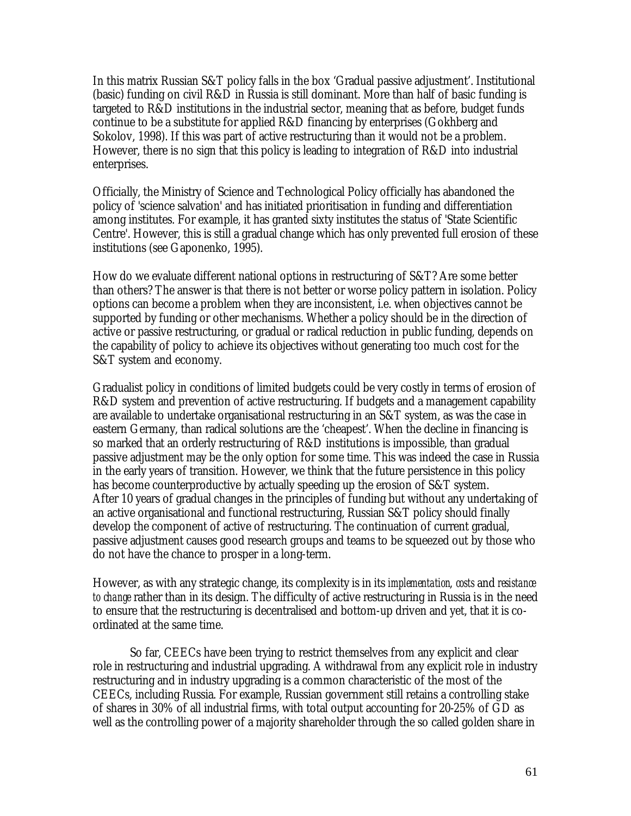In this matrix Russian S&T policy falls in the box 'Gradual passive adjustment'. Institutional (basic) funding on civil R&D in Russia is still dominant. More than half of basic funding is targeted to R&D institutions in the industrial sector, meaning that as before, budget funds continue to be a substitute for applied R&D financing by enterprises (Gokhberg and Sokolov, 1998). If this was part of active restructuring than it would not be a problem. However, there is no sign that this policy is leading to integration of R&D into industrial enterprises.

Officially, the Ministry of Science and Technological Policy officially has abandoned the policy of 'science salvation' and has initiated prioritisation in funding and differentiation among institutes. For example, it has granted sixty institutes the status of 'State Scientific Centre'. However, this is still a gradual change which has only prevented full erosion of these institutions (see Gaponenko, 1995).

How do we evaluate different national options in restructuring of S&T? Are some better than others? The answer is that there is not better or worse policy pattern in isolation. Policy options can become a problem when they are inconsistent, i.e. when objectives cannot be supported by funding or other mechanisms. Whether a policy should be in the direction of active or passive restructuring, or gradual or radical reduction in public funding, depends on the capability of policy to achieve its objectives without generating too much cost for the S&T system and economy.

Gradualist policy in conditions of limited budgets could be very costly in terms of erosion of R&D system and prevention of active restructuring. If budgets and a management capability are available to undertake organisational restructuring in an S&T system, as was the case in eastern Germany, than radical solutions are the 'cheapest'. When the decline in financing is so marked that an orderly restructuring of R&D institutions is impossible, than gradual passive adjustment may be the only option for some time. This was indeed the case in Russia in the early years of transition. However, we think that the future persistence in this policy has become counterproductive by actually speeding up the erosion of S&T system. After 10 years of gradual changes in the principles of funding but without any undertaking of an active organisational and functional restructuring, Russian S&T policy should finally develop the component of active of restructuring. The continuation of current gradual, passive adjustment causes good research groups and teams to be squeezed out by those who do not have the chance to prosper in a long-term.

However, as with any strategic change, its complexity is in its *implementation*, *costs* and *resistance to change* rather than in its design. The difficulty of active restructuring in Russia is in the need to ensure that the restructuring is decentralised and bottom-up driven and yet, that it is coordinated at the same time.

So far, CEECs have been trying to restrict themselves from any explicit and clear role in restructuring and industrial upgrading. A withdrawal from any explicit role in industry restructuring and in industry upgrading is a common characteristic of the most of the CEECs, including Russia. For example, Russian government still retains a controlling stake of shares in 30% of all industrial firms, with total output accounting for 20-25% of GD as well as the controlling power of a majority shareholder through the so called golden share in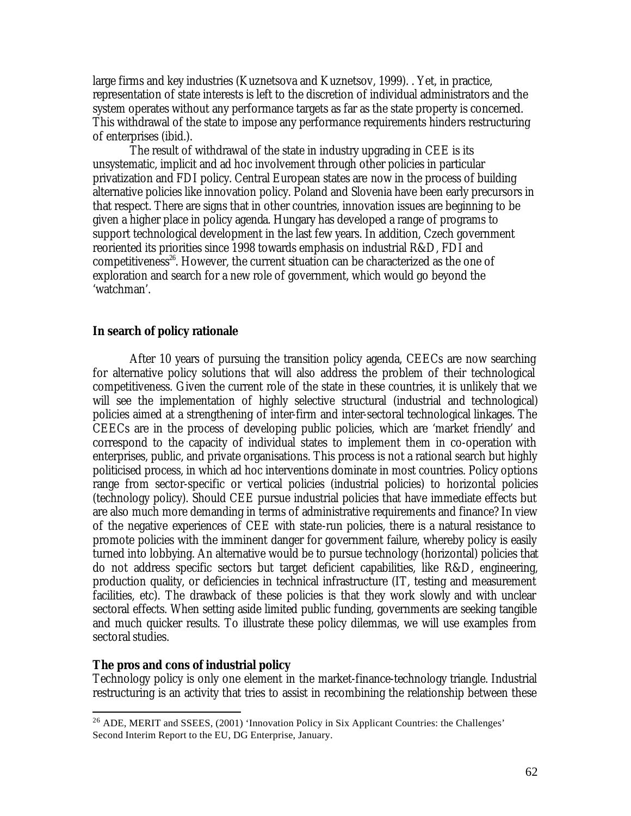large firms and key industries (Kuznetsova and Kuznetsov, 1999). . Yet, in practice, representation of state interests is left to the discretion of individual administrators and the system operates without any performance targets as far as the state property is concerned. This withdrawal of the state to impose any performance requirements hinders restructuring of enterprises (ibid.).

The result of withdrawal of the state in industry upgrading in CEE is its unsystematic, implicit and ad hoc involvement through other policies in particular privatization and FDI policy. Central European states are now in the process of building alternative policies like innovation policy. Poland and Slovenia have been early precursors in that respect. There are signs that in other countries, innovation issues are beginning to be given a higher place in policy agenda. Hungary has developed a range of programs to support technological development in the last few years. In addition, Czech government reoriented its priorities since 1998 towards emphasis on industrial R&D, FDI and competitiveness<sup>26</sup>. However, the current situation can be characterized as the one of exploration and search for a new role of government, which would go beyond the 'watchman'.

## *In search of policy rationale*

After 10 years of pursuing the transition policy agenda, CEECs are now searching for alternative policy solutions that will also address the problem of their technological competitiveness. Given the current role of the state in these countries, it is unlikely that we will see the implementation of highly selective structural (industrial and technological) policies aimed at a strengthening of inter-firm and inter-sectoral technological linkages. The CEECs are in the process of developing public policies, which are 'market friendly' and correspond to the capacity of individual states to implement them in co-operation with enterprises, public, and private organisations. This process is not a rational search but highly politicised process, in which ad hoc interventions dominate in most countries. Policy options range from sector-specific or vertical policies (industrial policies) to horizontal policies (technology policy). Should CEE pursue industrial policies that have immediate effects but are also much more demanding in terms of administrative requirements and finance? In view of the negative experiences of CEE with state-run policies, there is a natural resistance to promote policies with the imminent danger for government failure, whereby policy is easily turned into lobbying. An alternative would be to pursue technology (horizontal) policies that do not address specific sectors but target deficient capabilities, like R&D, engineering, production quality, or deficiencies in technical infrastructure (IT, testing and measurement facilities, etc). The drawback of these policies is that they work slowly and with unclear sectoral effects. When setting aside limited public funding, governments are seeking tangible and much quicker results. To illustrate these policy dilemmas, we will use examples from sectoral studies.

## *The pros and cons of industrial policy*

 $\overline{a}$ 

Technology policy is only one element in the market-finance-technology triangle. Industrial restructuring is an activity that tries to assist in recombining the relationship between these

<sup>&</sup>lt;sup>26</sup> ADE, MERIT and SSEES, (2001) 'Innovation Policy in Six Applicant Countries: the Challenges' Second Interim Report to the EU, DG Enterprise, January.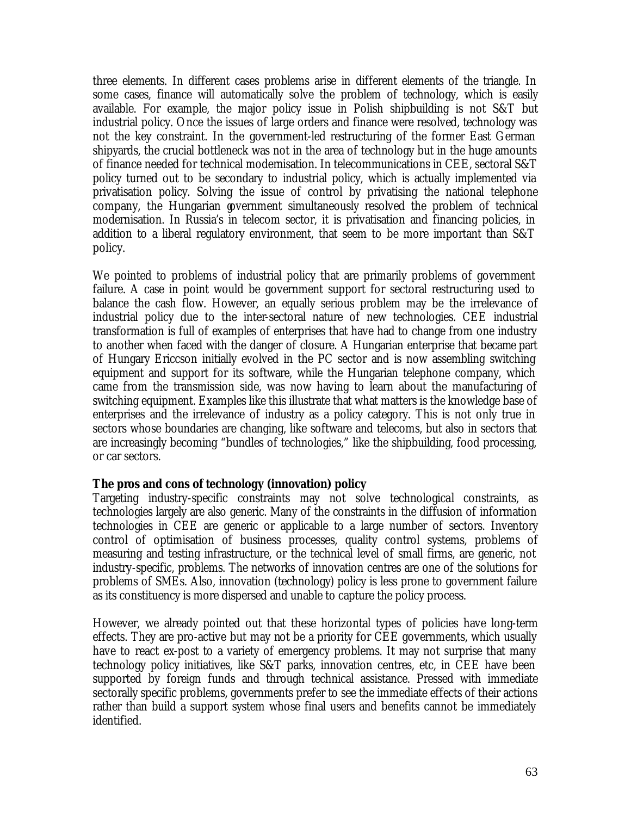three elements. In different cases problems arise in different elements of the triangle. In some cases, finance will automatically solve the problem of technology, which is easily available. For example, the major policy issue in Polish shipbuilding is not S&T but industrial policy. Once the issues of large orders and finance were resolved, technology was not the key constraint. In the government-led restructuring of the former East German shipyards, the crucial bottleneck was not in the area of technology but in the huge amounts of finance needed for technical modernisation. In telecommunications in CEE, sectoral S&T policy turned out to be secondary to industrial policy, which is actually implemented via privatisation policy. Solving the issue of control by privatising the national telephone company, the Hungarian government simultaneously resolved the problem of technical modernisation. In Russia's in telecom sector, it is privatisation and financing policies, in addition to a liberal regulatory environment, that seem to be more important than S&T policy.

We pointed to problems of industrial policy that are primarily problems of government failure. A case in point would be government support for sectoral restructuring used to balance the cash flow. However, an equally serious problem may be the irrelevance of industrial policy due to the inter-sectoral nature of new technologies. CEE industrial transformation is full of examples of enterprises that have had to change from one industry to another when faced with the danger of closure. A Hungarian enterprise that became part of Hungary Ericcson initially evolved in the PC sector and is now assembling switching equipment and support for its software, while the Hungarian telephone company, which came from the transmission side, was now having to learn about the manufacturing of switching equipment. Examples like this illustrate that what matters is the knowledge base of enterprises and the irrelevance of industry as a policy category. This is not only true in sectors whose boundaries are changing, like software and telecoms, but also in sectors that are increasingly becoming "bundles of technologies," like the shipbuilding, food processing, or car sectors.

# *The pros and cons of technology (innovation) policy*

Targeting industry-specific constraints may not solve technological constraints, as technologies largely are also generic. Many of the constraints in the diffusion of information technologies in CEE are generic or applicable to a large number of sectors. Inventory control of optimisation of business processes, quality control systems, problems of measuring and testing infrastructure, or the technical level of small firms, are generic, not industry-specific, problems. The networks of innovation centres are one of the solutions for problems of SMEs. Also, innovation (technology) policy is less prone to government failure as its constituency is more dispersed and unable to capture the policy process.

However, we already pointed out that these horizontal types of policies have long-term effects. They are pro-active but may not be a priority for CEE governments, which usually have to react ex-post to a variety of emergency problems. It may not surprise that many technology policy initiatives, like S&T parks, innovation centres, etc, in CEE have been supported by foreign funds and through technical assistance. Pressed with immediate sectorally specific problems, governments prefer to see the immediate effects of their actions rather than build a support system whose final users and benefits cannot be immediately identified.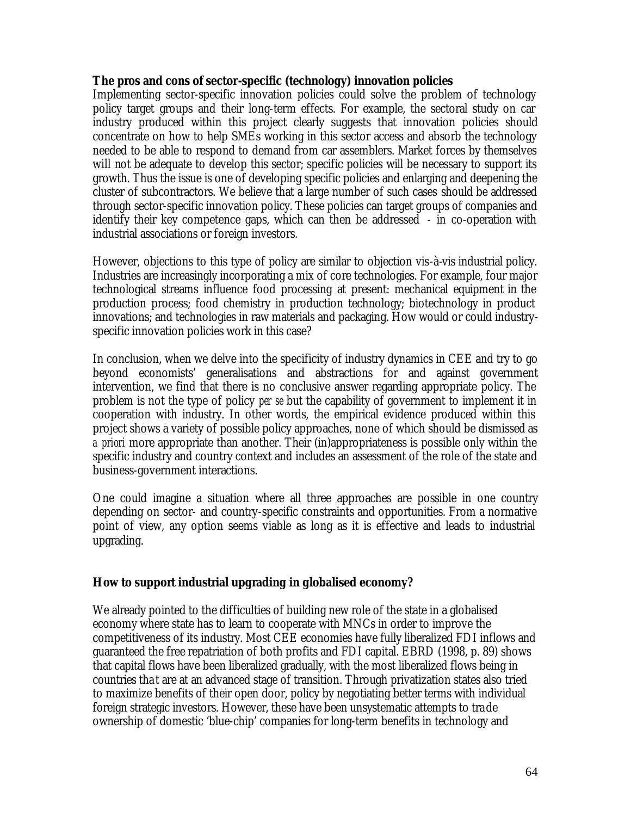## *The pros and cons of sector-specific (technology) innovation policies*

Implementing sector-specific innovation policies could solve the problem of technology policy target groups and their long-term effects. For example, the sectoral study on car industry produced within this project clearly suggests that innovation policies should concentrate on how to help SMEs working in this sector access and absorb the technology needed to be able to respond to demand from car assemblers. Market forces by themselves will not be adequate to develop this sector; specific policies will be necessary to support its growth. Thus the issue is one of developing specific policies and enlarging and deepening the cluster of subcontractors. We believe that a large number of such cases should be addressed through sector-specific innovation policy. These policies can target groups of companies and identify their key competence gaps, which can then be addressed - in co-operation with industrial associations or foreign investors.

However, objections to this type of policy are similar to objection vis-à-vis industrial policy. Industries are increasingly incorporating a mix of core technologies. For example, four major technological streams influence food processing at present: mechanical equipment in the production process; food chemistry in production technology; biotechnology in product innovations; and technologies in raw materials and packaging. How would or could industryspecific innovation policies work in this case?

In conclusion, when we delve into the specificity of industry dynamics in CEE and try to go beyond economists' generalisations and abstractions for and against government intervention, we find that there is no conclusive answer regarding appropriate policy. The problem is not the type of policy *per se* but the capability of government to implement it in cooperation with industry. In other words, the empirical evidence produced within this project shows a variety of possible policy approaches, none of which should be dismissed as *a priori* more appropriate than another. Their (in)appropriateness is possible only within the specific industry and country context and includes an assessment of the role of the state and business-government interactions.

One could imagine a situation where all three approaches are possible in one country depending on sector- and country-specific constraints and opportunities. From a normative point of view, any option seems viable as long as it is effective and leads to industrial upgrading.

# **How to support industrial upgrading in globalised economy?**

We already pointed to the difficulties of building new role of the state in a globalised economy where state has to learn to cooperate with MNCs in order to improve the competitiveness of its industry. Most CEE economies have fully liberalized FDI inflows and guaranteed the free repatriation of both profits and FDI capital. EBRD (1998, p. 89) shows that capital flows have been liberalized gradually, with the most liberalized flows being in countries tha t are at an advanced stage of transition. Through privatization states also tried to maximize benefits of their open door, policy by negotiating better terms with individual foreign strategic investors. However, these have been unsystematic attempts to tra de ownership of domestic 'blue-chip' companies for long-term benefits in technology and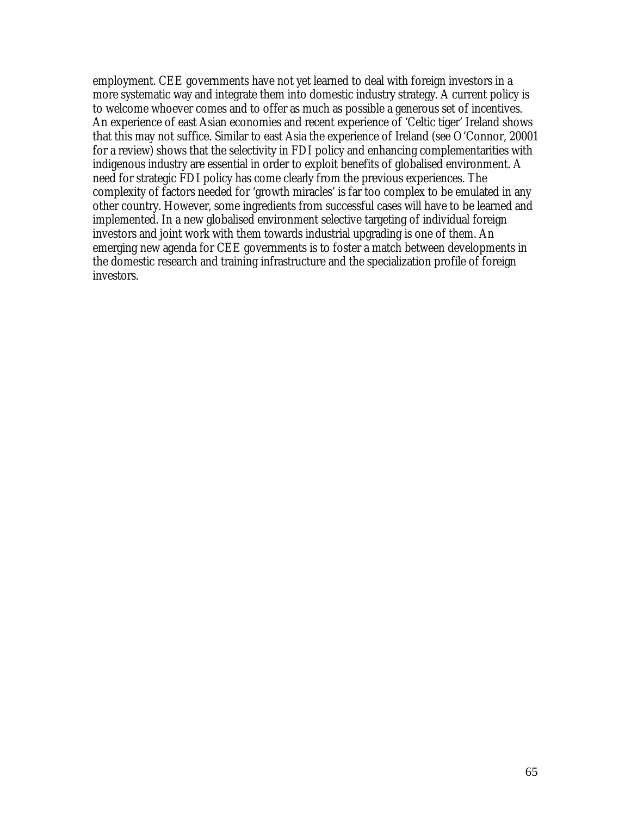employment. CEE governments have not yet learned to deal with foreign investors in a more systematic way and integrate them into domestic industry strategy. A current policy is to welcome whoever comes and to offer as much as possible a generous set of incentives. An experience of east Asian economies and recent experience of 'Celtic tiger' Ireland shows that this may not suffice. Similar to east Asia the experience of Ireland (see O'Connor, 20001 for a review) shows that the selectivity in FDI policy and enhancing complementarities with indigenous industry are essential in order to exploit benefits of globalised environment. A need for strategic FDI policy has come clearly from the previous experiences. The complexity of factors needed for 'growth miracles' is far too complex to be emulated in any other country. However, some ingredients from successful cases will have to be learned and implemented. In a new globalised environment selective targeting of individual foreign investors and joint work with them towards industrial upgrading is one of them. An emerging new agenda for CEE governments is to foster a match between developments in the domestic research and training infrastructure and the specialization profile of foreign investors.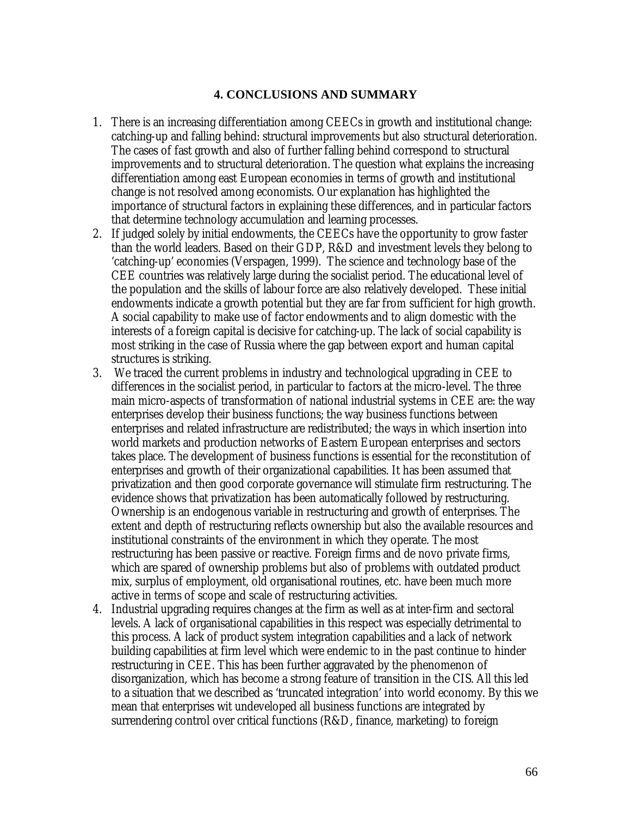### **4. CONCLUSIONS AND SUMMARY**

- 1. There is an increasing differentiation among CEECs in growth and institutional change: catching-up and falling behind: structural improvements but also structural deterioration. The cases of fast growth and also of further falling behind correspond to structural improvements and to structural deterioration. The question what explains the increasing differentiation among east European economies in terms of growth and institutional change is not resolved among economists. Our explanation has highlighted the importance of structural factors in explaining these differences, and in particular factors that determine technology accumulation and learning processes.
- 2. If judged solely by initial endowments, the CEECs have the opportunity to grow faster than the world leaders. Based on their GDP, R&D and investment levels they belong to 'catching-up' economies (Verspagen, 1999). The science and technology base of the CEE countries was relatively large during the socialist period. The educational level of the population and the skills of labour force are also relatively developed. These initial endowments indicate a growth potential but they are far from sufficient for high growth. A social capability to make use of factor endowments and to align domestic with the interests of a foreign capital is decisive for catching-up. The lack of social capability is most striking in the case of Russia where the gap between export and human capital structures is striking.
- 3. We traced the current problems in industry and technological upgrading in CEE to differences in the socialist period, in particular to factors at the micro-level. The three main micro-aspects of transformation of national industrial systems in CEE are: the way enterprises develop their business functions; the way business functions between enterprises and related infrastructure are redistributed; the ways in which insertion into world markets and production networks of Eastern European enterprises and sectors takes place. The development of business functions is essential for the reconstitution of enterprises and growth of their organizational capabilities. It has been assumed that privatization and then good corporate governance will stimulate firm restructuring. The evidence shows that privatization has been automatically followed by restructuring. Ownership is an endogenous variable in restructuring and growth of enterprises. The extent and depth of restructuring reflects ownership but also the available resources and institutional constraints of the environment in which they operate. The most restructuring has been passive or reactive. Foreign firms and de novo private firms, which are spared of ownership problems but also of problems with outdated product mix, surplus of employment, old organisational routines, etc. have been much more active in terms of scope and scale of restructuring activities.
- 4. Industrial upgrading requires changes at the firm as well as at inter-firm and sectoral levels. A lack of organisational capabilities in this respect was especially detrimental to this process. A lack of product system integration capabilities and a lack of network building capabilities at firm level which were endemic to in the past continue to hinder restructuring in CEE. This has been further aggravated by the phenomenon of disorganization, which has become a strong feature of transition in the CIS. All this led to a situation that we described as 'truncated integration' into world economy. By this we mean that enterprises wit undeveloped all business functions are integrated by surrendering control over critical functions (R&D, finance, marketing) to foreign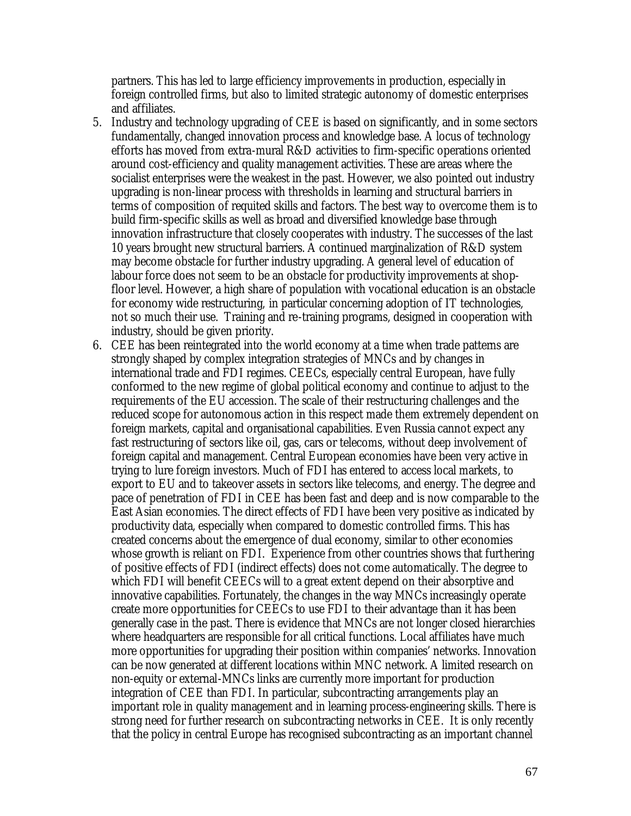partners. This has led to large efficiency improvements in production, especially in foreign controlled firms, but also to limited strategic autonomy of domestic enterprises and affiliates.

- 5. Industry and technology upgrading of CEE is based on significantly, and in some sectors fundamentally, changed innovation process and knowledge base. A locus of technology efforts has moved from extra-mural R&D activities to firm-specific operations oriented around cost-efficiency and quality management activities. These are areas where the socialist enterprises were the weakest in the past. However, we also pointed out industry upgrading is non-linear process with thresholds in learning and structural barriers in terms of composition of requited skills and factors. The best way to overcome them is to build firm-specific skills as well as broad and diversified knowledge base through innovation infrastructure that closely cooperates with industry. The successes of the last 10 years brought new structural barriers. A continued marginalization of R&D system may become obstacle for further industry upgrading. A general level of education of labour force does not seem to be an obstacle for productivity improvements at shopfloor level. However, a high share of population with vocational education is an obstacle for economy wide restructuring, in particular concerning adoption of IT technologies, not so much their use. Training and re-training programs, designed in cooperation with industry, should be given priority.
- 6. CEE has been reintegrated into the world economy at a time when trade patterns are strongly shaped by complex integration strategies of MNCs and by changes in international trade and FDI regimes. CEECs, especially central European, have fully conformed to the new regime of global political economy and continue to adjust to the requirements of the EU accession. The scale of their restructuring challenges and the reduced scope for autonomous action in this respect made them extremely dependent on foreign markets, capital and organisational capabilities. Even Russia cannot expect any fast restructuring of sectors like oil, gas, cars or telecoms, without deep involvement of foreign capital and management. Central European economies have been very active in trying to lure foreign investors. Much of FDI has entered to access local markets, to export to EU and to takeover assets in sectors like telecoms, and energy. The degree and pace of penetration of FDI in CEE has been fast and deep and is now comparable to the East Asian economies. The direct effects of FDI have been very positive as indicated by productivity data, especially when compared to domestic controlled firms. This has created concerns about the emergence of dual economy, similar to other economies whose growth is reliant on FDI. Experience from other countries shows that furthering of positive effects of FDI (indirect effects) does not come automatically. The degree to which FDI will benefit CEECs will to a great extent depend on their absorptive and innovative capabilities. Fortunately, the changes in the way MNCs increasingly operate create more opportunities for CEECs to use FDI to their advantage than it has been generally case in the past. There is evidence that MNCs are not longer closed hierarchies where headquarters are responsible for all critical functions. Local affiliates have much more opportunities for upgrading their position within companies' networks. Innovation can be now generated at different locations within MNC network. A limited research on non-equity or external-MNCs links are currently more important for production integration of CEE than FDI. In particular, subcontracting arrangements play an important role in quality management and in learning process-engineering skills. There is strong need for further research on subcontracting networks in CEE. It is only recently that the policy in central Europe has recognised subcontracting as an important channel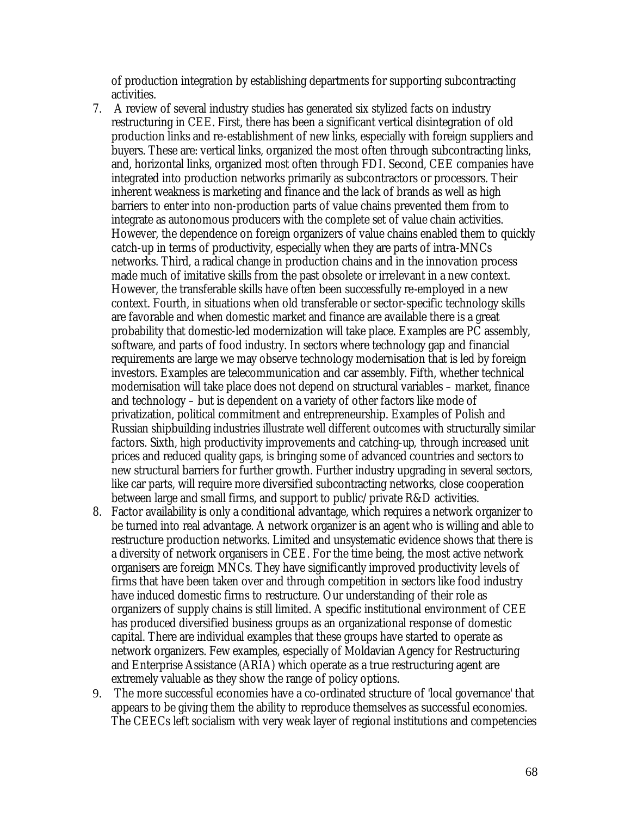of production integration by establishing departments for supporting subcontracting activities.

- 7. A review of several industry studies has generated six stylized facts on industry restructuring in CEE. First, there has been a significant vertical disintegration of old production links and re-establishment of new links, especially with foreign suppliers and buyers. These are: vertical links, organized the most often through subcontracting links, and, horizontal links, organized most often through FDI. Second, CEE companies have integrated into production networks primarily as subcontractors or processors. Their inherent weakness is marketing and finance and the lack of brands as well as high barriers to enter into non-production parts of value chains prevented them from to integrate as autonomous producers with the complete set of value chain activities. However, the dependence on foreign organizers of value chains enabled them to quickly catch-up in terms of productivity, especially when they are parts of intra-MNCs networks. Third, a radical change in production chains and in the innovation process made much of imitative skills from the past obsolete or irrelevant in a new context. However, the transferable skills have often been successfully re-employed in a new context. Fourth, in situations when old transferable or sector-specific technology skills are favorable and when domestic market and finance are available there is a great probability that domestic-led modernization will take place. Examples are PC assembly, software, and parts of food industry. In sectors where technology gap and financial requirements are large we may observe technology modernisation that is led by foreign investors. Examples are telecommunication and car assembly. Fifth, whether technical modernisation will take place does not depend on structural variables – market, finance and technology – but is dependent on a variety of other factors like mode of privatization, political commitment and entrepreneurship. Examples of Polish and Russian shipbuilding industries illustrate well different outcomes with structurally similar factors. Sixth, high productivity improvements and catching-up, through increased unit prices and reduced quality gaps, is bringing some of advanced countries and sectors to new structural barriers for further growth. Further industry upgrading in several sectors, like car parts, will require more diversified subcontracting networks, close cooperation between large and small firms, and support to public/private R&D activities.
- 8. Factor availability is only a conditional advantage, which requires a network organizer to be turned into real advantage. A network organizer is an agent who is willing and able to restructure production networks. Limited and unsystematic evidence shows that there is a diversity of network organisers in CEE. For the time being, the most active network organisers are foreign MNCs. They have significantly improved productivity levels of firms that have been taken over and through competition in sectors like food industry have induced domestic firms to restructure. Our understanding of their role as organizers of supply chains is still limited. A specific institutional environment of CEE has produced diversified business groups as an organizational response of domestic capital. There are individual examples that these groups have started to operate as network organizers. Few examples, especially of Moldavian Agency for Restructuring and Enterprise Assistance (ARIA) which operate as a true restructuring agent are extremely valuable as they show the range of policy options.
- 9. The more successful economies have a co-ordinated structure of 'local governance' that appears to be giving them the ability to reproduce themselves as successful economies. The CEECs left socialism with very weak layer of regional institutions and competencies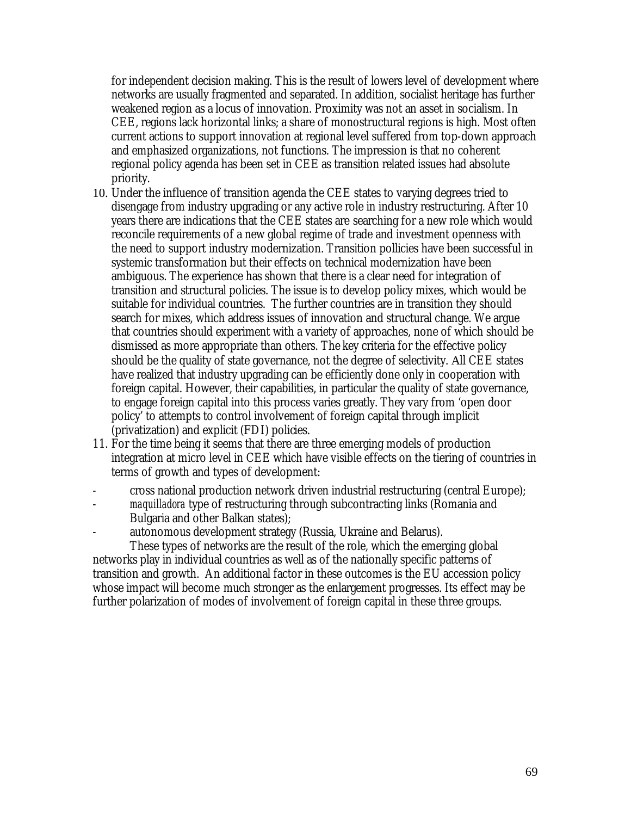for independent decision making. This is the result of lowers level of development where networks are usually fragmented and separated. In addition, socialist heritage has further weakened region as a locus of innovation. Proximity was not an asset in socialism. In CEE, regions lack horizontal links; a share of monostructural regions is high. Most often current actions to support innovation at regional level suffered from top-down approach and emphasized organizations, not functions. The impression is that no coherent regional policy agenda has been set in CEE as transition related issues had absolute priority.

- 10. Under the influence of transition agenda the CEE states to varying degrees tried to disengage from industry upgrading or any active role in industry restructuring. After 10 years there are indications that the CEE states are searching for a new role which would reconcile requirements of a new global regime of trade and investment openness with the need to support industry modernization. Transition pollicies have been successful in systemic transformation but their effects on technical modernization have been ambiguous. The experience has shown that there is a clear need for integration of transition and structural policies. The issue is to develop policy mixes, which would be suitable for individual countries. The further countries are in transition they should search for mixes, which address issues of innovation and structural change. We argue that countries should experiment with a variety of approaches, none of which should be dismissed as more appropriate than others. The key criteria for the effective policy should be the quality of state governance, not the degree of selectivity. All CEE states have realized that industry upgrading can be efficiently done only in cooperation with foreign capital. However, their capabilities, in particular the quality of state governance, to engage foreign capital into this process varies greatly. They vary from 'open door policy' to attempts to control involvement of foreign capital through implicit (privatization) and explicit (FDI) policies.
- 11. For the time being it seems that there are three emerging models of production integration at micro level in CEE which have visible effects on the tiering of countries in terms of growth and types of development:
- cross national production network driven industrial restructuring (central Europe);
- *maquilladora* type of restructuring through subcontracting links (Romania and Bulgaria and other Balkan states);
- autonomous development strategy (Russia, Ukraine and Belarus).

These types of networks are the result of the role, which the emerging global networks play in individual countries as well as of the nationally specific patterns of transition and growth. An additional factor in these outcomes is the EU accession policy whose impact will become much stronger as the enlargement progresses. Its effect may be further polarization of modes of involvement of foreign capital in these three groups.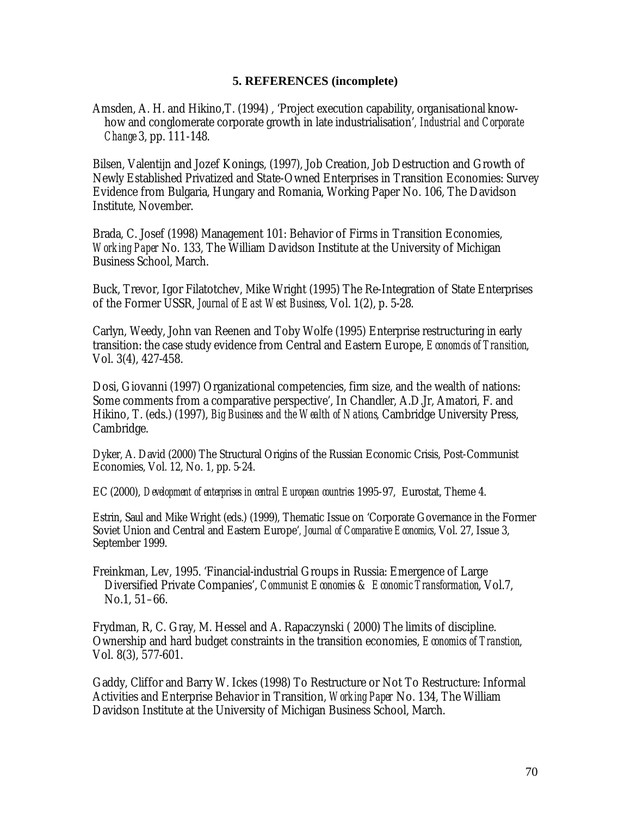#### **5. REFERENCES (incomplete)**

Amsden, A. H. and Hikino,T. (1994) , 'Project execution capability, organisational knowhow and conglomerate corporate growth in late industrialisation'*, Industrial and Corporate Change* 3, pp. 111-148.

Bilsen, Valentijn and Jozef Konings, (1997), Job Creation, Job Destruction and Growth of Newly Established Privatized and State-Owned Enterprises in Transition Economies: Survey Evidence from Bulgaria, Hungary and Romania, Working Paper No. 106, The Davidson Institute, November.

Brada, C. Josef (1998) Management 101: Behavior of Firms in Transition Economies, *Working Paper* No. 133, The William Davidson Institute at the University of Michigan Business School, March.

Buck, Trevor, Igor Filatotchev, Mike Wright (1995) The Re-Integration of State Enterprises of the Former USSR, *Journal of East West Business*, Vol. 1(2), p. 5-28.

Carlyn, Weedy, John van Reenen and Toby Wolfe (1995) Enterprise restructuring in early transition: the case study evidence from Central and Eastern Europe, *Economcis of Transition*, Vol. 3(4), 427-458.

Dosi, Giovanni (1997) Organizational competencies, firm size, and the wealth of nations: Some comments from a comparative perspective', In Chandler, A.D.Jr, Amatori, F. and Hikino, T. (eds.) (1997), *Big Business and the Wealth of Nations*, Cambridge University Press, Cambridge.

Dyker, A. David (2000) The Structural Origins of the Russian Economic Crisis, Post-Communist Economies, Vol. 12, No. 1, pp. 5-24.

EC (2000), *Development of enterprises in central European countries* 1995-97, Eurostat, Theme 4.

Estrin, Saul and Mike Wright (eds.) (1999), Thematic Issue on 'Corporate Governance in the Former Soviet Union and Central and Eastern Europe'*, Journal of Comparative Economics*, Vol. 27, Issue 3, September 1999.

Freinkman, Lev, 1995. 'Financial-industrial Groups in Russia: Emergence of Large Diversified Private Companies', *Communist Economies & Economic Transformation*, Vol.7, No.1, 51–66.

Frydman, R, C. Gray, M. Hessel and A. Rapaczynski ( 2000) The limits of discipline. Ownership and hard budget constraints in the transition economies, *Economics of Transtion*, Vol. 8(3), 577-601.

Gaddy, Cliffor and Barry W. Ickes (1998) To Restructure or Not To Restructure: Informal Activities and Enterprise Behavior in Transition, *Working Paper* No. 134, The William Davidson Institute at the University of Michigan Business School, March.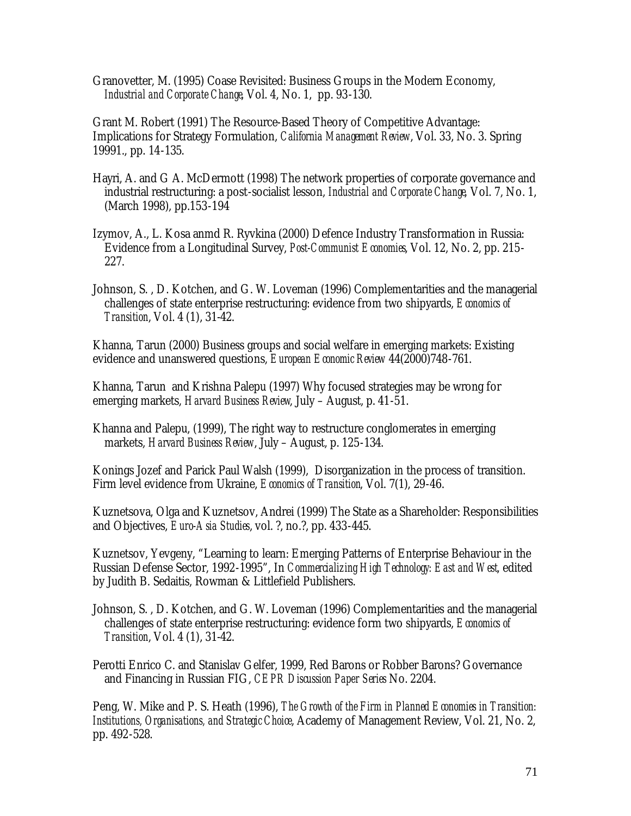Granovetter, M. (1995) Coase Revisited: Business Groups in the Modern Economy, *Industrial and Corporate Change*, Vol. 4, No. 1, pp. 93-130.

Grant M. Robert (1991) The Resource-Based Theory of Competitive Advantage: Implications for Strategy Formulation, *California Management Review*, Vol. 33, No. 3. Spring 19991., pp. 14-135.

- Hayri, A. and G A. McDermott (1998) The network properties of corporate governance and industrial restructuring: a post-socialist lesson, *Industrial and Corporate Change*, Vol. 7, No. 1, (March 1998), pp.153-194
- Izymov, A., L. Kosa anmd R. Ryvkina (2000) Defence Industry Transformation in Russia: Evidence from a Longitudinal Survey, *Post-Communist Economies*, Vol. 12, No. 2, pp. 215- 227.
- Johnson, S. , D. Kotchen, and G. W. Loveman (1996) Complementarities and the managerial challenges of state enterprise restructuring: evidence from two shipyards, *Economics of Transition*, Vol. 4 (1), 31-42.

Khanna, Tarun (2000) Business groups and social welfare in emerging markets: Existing evidence and unanswered questions, *European Economic Review* 44(2000)748-761.

Khanna, Tarun and Krishna Palepu (1997) Why focused strategies may be wrong for emerging markets, *Harvard Business Review*, July – August, p. 41-51.

Khanna and Palepu, (1999), The right way to restructure conglomerates in emerging markets, *Harvard Business Review*, July – August, p. 125-134.

Konings Jozef and Parick Paul Walsh (1999), Disorganization in the process of transition. Firm level evidence from Ukraine, *Economics of Transition*, Vol. 7(1), 29-46.

Kuznetsova, Olga and Kuznetsov, Andrei (1999) The State as a Shareholder: Responsibilities and Objectives, *Euro-Asia Studies*, vol. ?, no.?, pp. 433-445.

Kuznetsov, Yevgeny, "Learning to learn: Emerging Patterns of Enterprise Behaviour in the Russian Defense Sector, 1992-1995", In *Commercializing High Technology: East and West*, edited by Judith B. Sedaitis, Rowman & Littlefield Publishers.

Johnson, S. , D. Kotchen, and G. W. Loveman (1996) Complementarities and the managerial challenges of state enterprise restructuring: evidence form two shipyards, *Economics of Transition*, Vol. 4 (1), 31-42.

Perotti Enrico C. and Stanislav Gelfer, 1999, Red Barons or Robber Barons? Governance and Financing in Russian FIG, *CEPR Discussion Paper Series* No. 2204.

Peng, W. Mike and P. S. Heath (1996), *The Growth of the Firm in Planned Economies in Transition: Institutions, Organisations, and Strategic Choice*, Academy of Management Review, Vol. 21, No. 2, pp. 492-528.